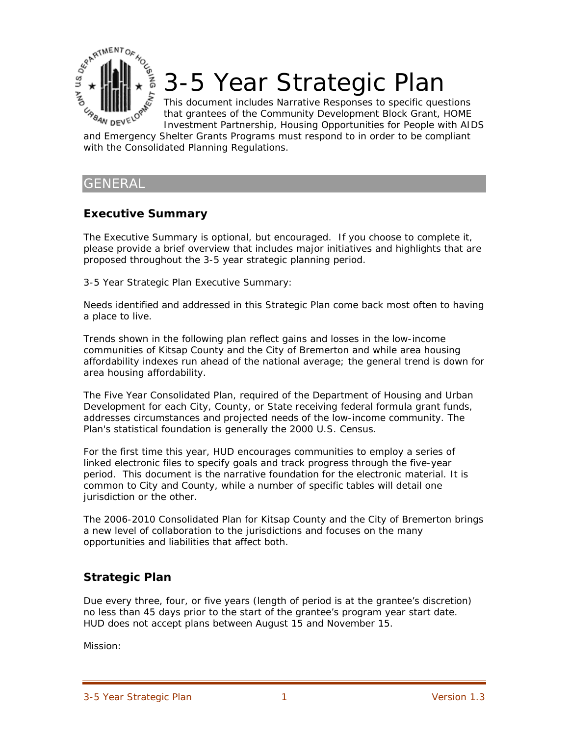

# 3-5 Year Strategic Plan

This document includes Narrative Responses to specific questions that grantees of the Community Development Block Grant, HOME Investment Partnership, Housing Opportunities for People with AIDS

and Emergency Shelter Grants Programs must respond to in order to be compliant with the Consolidated Planning Regulations.

## GENERAL

## **Executive Summary**

The Executive Summary is optional, but encouraged. If you choose to complete it, please provide a brief overview that includes major initiatives and highlights that are proposed throughout the 3-5 year strategic planning period.

3-5 Year Strategic Plan Executive Summary:

Needs identified and addressed in this Strategic Plan come back most often to having a place to live.

Trends shown in the following plan reflect gains and losses in the low-income communities of Kitsap County and the City of Bremerton and while area housing affordability indexes run ahead of the national average; the general trend is down for area housing affordability.

The Five Year Consolidated Plan, required of the Department of Housing and Urban Development for each City, County, or State receiving federal formula grant funds, addresses circumstances and projected needs of the low-income community. The Plan's statistical foundation is generally the 2000 U.S. Census.

For the first time this year, HUD encourages communities to employ a series of linked electronic files to specify goals and track progress through the five-year period. This document is the narrative foundation for the electronic material. It is common to City and County, while a number of specific tables will detail one jurisdiction or the other.

The 2006-2010 Consolidated Plan for Kitsap County and the City of Bremerton brings a new level of collaboration to the jurisdictions and focuses on the many opportunities and liabilities that affect both.

# **Strategic Plan**

Due every three, four, or five years (length of period is at the grantee's discretion) no less than 45 days prior to the start of the grantee's program year start date. HUD does not accept plans between August 15 and November 15.

Mission: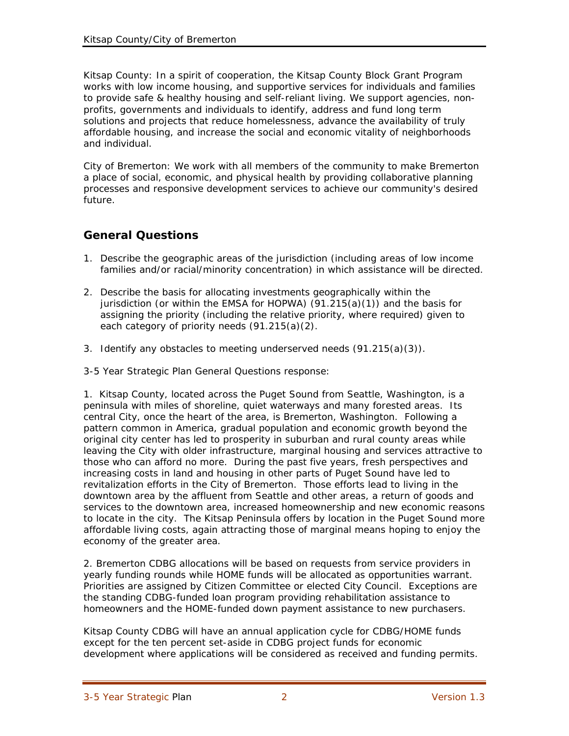Kitsap County: In a spirit of cooperation, the Kitsap County Block Grant Program works with low income housing, and supportive services for individuals and families to provide safe & healthy housing and self-reliant living. We support agencies, nonprofits, governments and individuals to identify, address and fund long term solutions and projects that reduce homelessness, advance the availability of truly affordable housing, and increase the social and economic vitality of neighborhoods and individual.

City of Bremerton: We work with all members of the community to make Bremerton a place of social, economic, and physical health by providing collaborative planning processes and responsive development services to achieve our community's desired future.

# **General Questions**

- 1. Describe the geographic areas of the jurisdiction (including areas of low income families and/or racial/minority concentration) in which assistance will be directed.
- 2. Describe the basis for allocating investments geographically within the jurisdiction (or within the EMSA for HOPWA)  $(91.215(a)(1))$  and the basis for assigning the priority (including the relative priority, where required) given to each category of priority needs (91.215(a)(2).
- 3. Identify any obstacles to meeting underserved needs (91.215(a)(3)).
- 3-5 Year Strategic Plan General Questions response:

1. Kitsap County, located across the Puget Sound from Seattle, Washington, is a peninsula with miles of shoreline, quiet waterways and many forested areas. Its central City, once the heart of the area, is Bremerton, Washington. Following a pattern common in America, gradual population and economic growth beyond the original city center has led to prosperity in suburban and rural county areas while leaving the City with older infrastructure, marginal housing and services attractive to those who can afford no more. During the past five years, fresh perspectives and increasing costs in land and housing in other parts of Puget Sound have led to revitalization efforts in the City of Bremerton. Those efforts lead to living in the downtown area by the affluent from Seattle and other areas, a return of goods and services to the downtown area, increased homeownership and new economic reasons to locate in the city. The Kitsap Peninsula offers by location in the Puget Sound more affordable living costs, again attracting those of marginal means hoping to enjoy the economy of the greater area.

2. Bremerton CDBG allocations will be based on requests from service providers in yearly funding rounds while HOME funds will be allocated as opportunities warrant. Priorities are assigned by Citizen Committee or elected City Council. Exceptions are the standing CDBG-funded loan program providing rehabilitation assistance to homeowners and the HOME-funded down payment assistance to new purchasers.

Kitsap County CDBG will have an annual application cycle for CDBG/HOME funds except for the ten percent set-aside in CDBG project funds for economic development where applications will be considered as received and funding permits.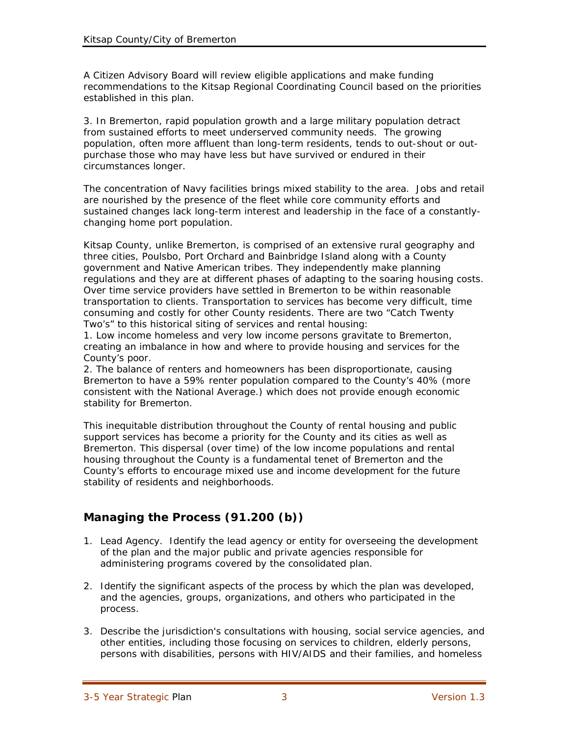A Citizen Advisory Board will review eligible applications and make funding recommendations to the Kitsap Regional Coordinating Council based on the priorities established in this plan.

3. In Bremerton, rapid population growth and a large military population detract from sustained efforts to meet underserved community needs. The growing population, often more affluent than long-term residents, tends to out-shout or outpurchase those who may have less but have survived or endured in their circumstances longer.

The concentration of Navy facilities brings mixed stability to the area. Jobs and retail are nourished by the presence of the fleet while core community efforts and sustained changes lack long-term interest and leadership in the face of a constantlychanging home port population.

Kitsap County, unlike Bremerton, is comprised of an extensive rural geography and three cities, Poulsbo, Port Orchard and Bainbridge Island along with a County government and Native American tribes. They independently make planning regulations and they are at different phases of adapting to the soaring housing costs. Over time service providers have settled in Bremerton to be within reasonable transportation to clients. Transportation to services has become very difficult, time consuming and costly for other County residents. There are two "Catch Twenty Two's" to this historical siting of services and rental housing:

1. Low income homeless and very low income persons gravitate to Bremerton, creating an imbalance in how and where to provide housing and services for the County's poor.

2. The balance of renters and homeowners has been disproportionate, causing Bremerton to have a 59% renter population compared to the County's 40% (more consistent with the National Average.) which does not provide enough economic stability for Bremerton.

This inequitable distribution throughout the County of rental housing and public support services has become a priority for the County and its cities as well as Bremerton. This dispersal (over time) of the low income populations and rental housing throughout the County is a fundamental tenet of Bremerton and the County's efforts to encourage mixed use and income development for the future stability of residents and neighborhoods.

# **Managing the Process (91.200 (b))**

- 1. Lead Agency. Identify the lead agency or entity for overseeing the development of the plan and the major public and private agencies responsible for administering programs covered by the consolidated plan.
- 2. Identify the significant aspects of the process by which the plan was developed, and the agencies, groups, organizations, and others who participated in the process.
- 3. Describe the jurisdiction's consultations with housing, social service agencies, and other entities, including those focusing on services to children, elderly persons, persons with disabilities, persons with HIV/AIDS and their families, and homeless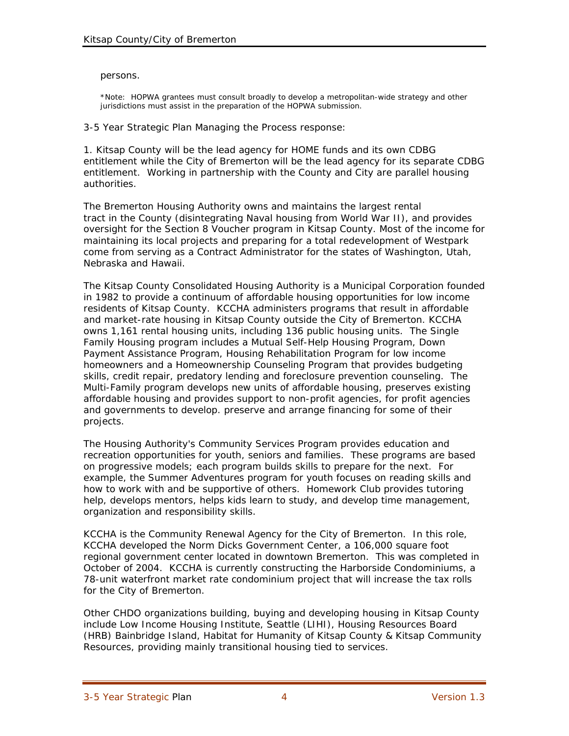#### persons.

\*Note: HOPWA grantees must consult broadly to develop a metropolitan-wide strategy and other jurisdictions must assist in the preparation of the HOPWA submission.

3-5 Year Strategic Plan Managing the Process response:

1. Kitsap County will be the lead agency for HOME funds and its own CDBG entitlement while the City of Bremerton will be the lead agency for its separate CDBG entitlement. Working in partnership with the County and City are parallel housing authorities.

The Bremerton Housing Authority owns and maintains the largest rental tract in the County (disintegrating Naval housing from World War II), and provides oversight for the Section 8 Voucher program in Kitsap County. Most of the income for maintaining its local projects and preparing for a total redevelopment of Westpark come from serving as a Contract Administrator for the states of Washington, Utah, Nebraska and Hawaii.

The Kitsap County Consolidated Housing Authority is a Municipal Corporation founded in 1982 to provide a continuum of affordable housing opportunities for low income residents of Kitsap County. KCCHA administers programs that result in affordable and market-rate housing in Kitsap County outside the City of Bremerton. KCCHA owns 1,161 rental housing units, including 136 public housing units. The Single Family Housing program includes a Mutual Self-Help Housing Program, Down Payment Assistance Program, Housing Rehabilitation Program for low income homeowners and a Homeownership Counseling Program that provides budgeting skills, credit repair, predatory lending and foreclosure prevention counseling. The Multi-Family program develops new units of affordable housing, preserves existing affordable housing and provides support to non-profit agencies, for profit agencies and governments to develop. preserve and arrange financing for some of their projects.

The Housing Authority's Community Services Program provides education and recreation opportunities for youth, seniors and families. These programs are based on progressive models; each program builds skills to prepare for the next. For example, the Summer Adventures program for youth focuses on reading skills and how to work with and be supportive of others. Homework Club provides tutoring help, develops mentors, helps kids learn to study, and develop time management, organization and responsibility skills.

KCCHA is the Community Renewal Agency for the City of Bremerton. In this role, KCCHA developed the Norm Dicks Government Center, a 106,000 square foot regional government center located in downtown Bremerton. This was completed in October of 2004. KCCHA is currently constructing the Harborside Condominiums, a 78-unit waterfront market rate condominium project that will increase the tax rolls for the City of Bremerton.

Other CHDO organizations building, buying and developing housing in Kitsap County include Low Income Housing Institute, Seattle (LIHI), Housing Resources Board (HRB) Bainbridge Island, Habitat for Humanity of Kitsap County & Kitsap Community Resources, providing mainly transitional housing tied to services.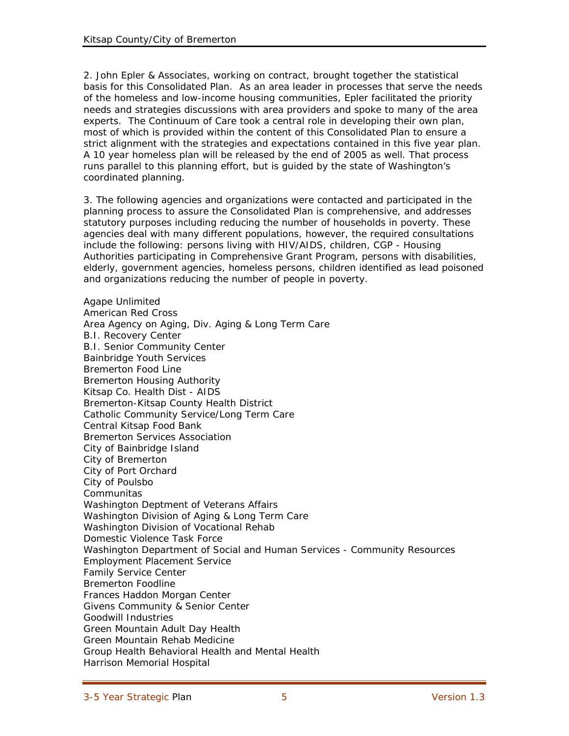2. John Epler & Associates, working on contract, brought together the statistical basis for this Consolidated Plan. As an area leader in processes that serve the needs of the homeless and low-income housing communities, Epler facilitated the priority needs and strategies discussions with area providers and spoke to many of the area experts. The Continuum of Care took a central role in developing their own plan, most of which is provided within the content of this Consolidated Plan to ensure a strict alignment with the strategies and expectations contained in this five year plan. A 10 year homeless plan will be released by the end of 2005 as well. That process runs parallel to this planning effort, but is guided by the state of Washington's coordinated planning.

3. The following agencies and organizations were contacted and participated in the planning process to assure the Consolidated Plan is comprehensive, and addresses statutory purposes including reducing the number of households in poverty. These agencies deal with many different populations, however, the required consultations include the following: persons living with HIV/AIDS, children, CGP - Housing Authorities participating in Comprehensive Grant Program, persons with disabilities, elderly, government agencies, homeless persons, children identified as lead poisoned and organizations reducing the number of people in poverty.

Agape Unlimited American Red Cross Area Agency on Aging, Div. Aging & Long Term Care B.I. Recovery Center B.I. Senior Community Center Bainbridge Youth Services Bremerton Food Line Bremerton Housing Authority Kitsap Co. Health Dist - AIDS Bremerton-Kitsap County Health District Catholic Community Service/Long Term Care Central Kitsap Food Bank Bremerton Services Association City of Bainbridge Island City of Bremerton City of Port Orchard City of Poulsbo **Communitas** Washington Deptment of Veterans Affairs Washington Division of Aging & Long Term Care Washington Division of Vocational Rehab Domestic Violence Task Force Washington Department of Social and Human Services - Community Resources Employment Placement Service Family Service Center Bremerton Foodline Frances Haddon Morgan Center Givens Community & Senior Center Goodwill Industries Green Mountain Adult Day Health Green Mountain Rehab Medicine Group Health Behavioral Health and Mental Health Harrison Memorial Hospital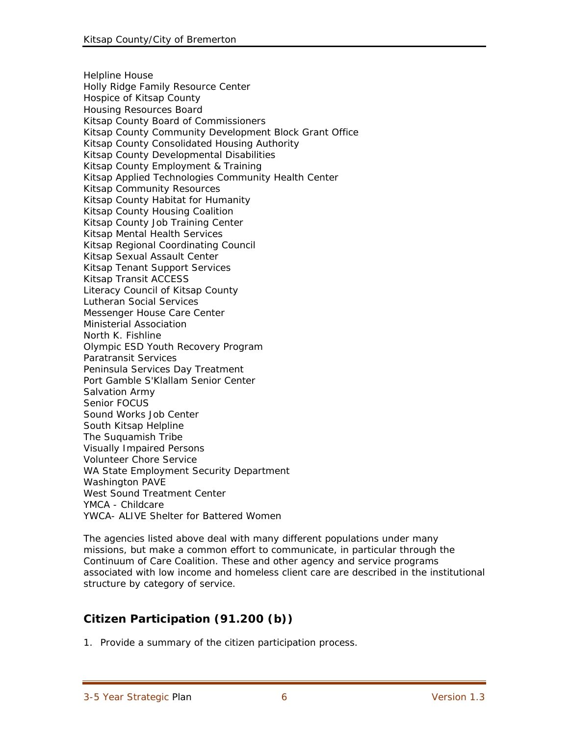Helpline House Holly Ridge Family Resource Center Hospice of Kitsap County Housing Resources Board Kitsap County Board of Commissioners Kitsap County Community Development Block Grant Office Kitsap County Consolidated Housing Authority Kitsap County Developmental Disabilities Kitsap County Employment & Training Kitsap Applied Technologies Community Health Center Kitsap Community Resources Kitsap County Habitat for Humanity Kitsap County Housing Coalition Kitsap County Job Training Center Kitsap Mental Health Services Kitsap Regional Coordinating Council Kitsap Sexual Assault Center Kitsap Tenant Support Services Kitsap Transit ACCESS Literacy Council of Kitsap County Lutheran Social Services Messenger House Care Center Ministerial Association North K. Fishline Olympic ESD Youth Recovery Program Paratransit Services Peninsula Services Day Treatment Port Gamble S'Klallam Senior Center Salvation Army Senior FOCUS Sound Works Job Center South Kitsap Helpline The Suquamish Tribe Visually Impaired Persons Volunteer Chore Service WA State Employment Security Department Washington PAVE West Sound Treatment Center YMCA - Childcare YWCA- ALIVE Shelter for Battered Women

The agencies listed above deal with many different populations under many missions, but make a common effort to communicate, in particular through the Continuum of Care Coalition. These and other agency and service programs associated with low income and homeless client care are described in the institutional structure by category of service.

# **Citizen Participation (91.200 (b))**

1. Provide a summary of the citizen participation process.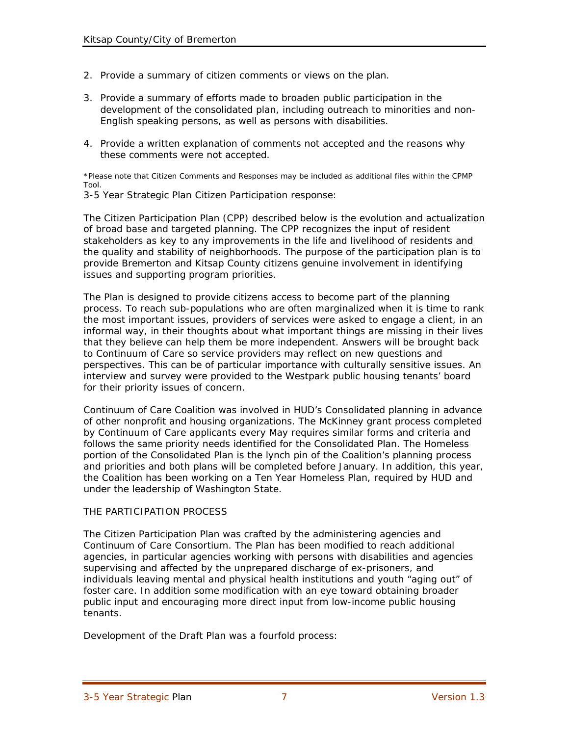- 2. Provide a summary of citizen comments or views on the plan.
- 3. Provide a summary of efforts made to broaden public participation in the development of the consolidated plan, including outreach to minorities and non-English speaking persons, as well as persons with disabilities.
- 4. Provide a written explanation of comments not accepted and the reasons why these comments were not accepted.

\*Please note that Citizen Comments and Responses may be included as additional files within the CPMP Tool.

3-5 Year Strategic Plan Citizen Participation response:

The Citizen Participation Plan (CPP) described below is the evolution and actualization of broad base and targeted planning. The CPP recognizes the input of resident stakeholders as key to any improvements in the life and livelihood of residents and the quality and stability of neighborhoods. The purpose of the participation plan is to provide Bremerton and Kitsap County citizens genuine involvement in identifying issues and supporting program priorities.

The Plan is designed to provide citizens access to become part of the planning process. To reach sub-populations who are often marginalized when it is time to rank the most important issues, providers of services were asked to engage a client, in an informal way, in their thoughts about what important things are missing in their lives that they believe can help them be more independent. Answers will be brought back to Continuum of Care so service providers may reflect on new questions and perspectives. This can be of particular importance with culturally sensitive issues. An interview and survey were provided to the Westpark public housing tenants' board for their priority issues of concern.

Continuum of Care Coalition was involved in HUD's Consolidated planning in advance of other nonprofit and housing organizations. The McKinney grant process completed by Continuum of Care applicants every May requires similar forms and criteria and follows the same priority needs identified for the Consolidated Plan. The Homeless portion of the Consolidated Plan is the lynch pin of the Coalition's planning process and priorities and both plans will be completed before January. In addition, this year, the Coalition has been working on a Ten Year Homeless Plan, required by HUD and under the leadership of Washington State.

## THE PARTICIPATION PROCESS

The Citizen Participation Plan was crafted by the administering agencies and Continuum of Care Consortium. The Plan has been modified to reach additional agencies, in particular agencies working with persons with disabilities and agencies supervising and affected by the unprepared discharge of ex-prisoners, and individuals leaving mental and physical health institutions and youth "aging out" of foster care. In addition some modification with an eye toward obtaining broader public input and encouraging more direct input from low-income public housing tenants.

Development of the Draft Plan was a fourfold process: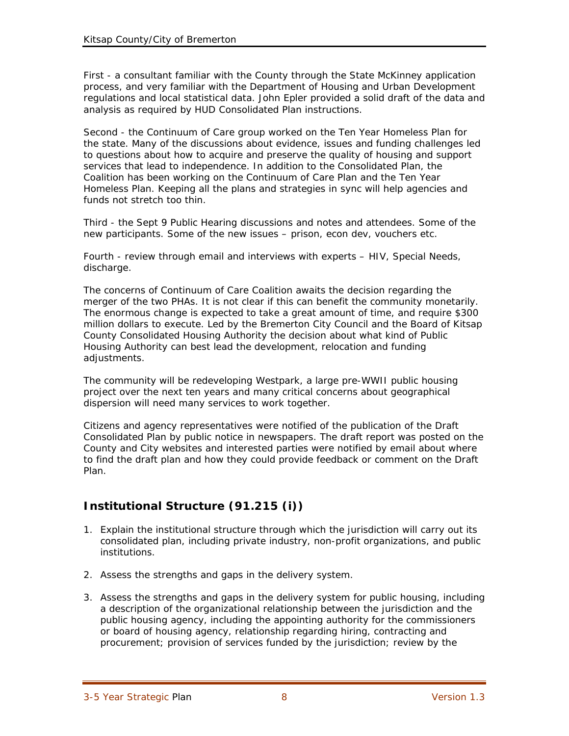First - a consultant familiar with the County through the State McKinney application process, and very familiar with the Department of Housing and Urban Development regulations and local statistical data. John Epler provided a solid draft of the data and analysis as required by HUD Consolidated Plan instructions.

Second - the Continuum of Care group worked on the Ten Year Homeless Plan for the state. Many of the discussions about evidence, issues and funding challenges led to questions about how to acquire and preserve the quality of housing and support services that lead to independence. In addition to the Consolidated Plan, the Coalition has been working on the Continuum of Care Plan and the Ten Year Homeless Plan. Keeping all the plans and strategies in sync will help agencies and funds not stretch too thin.

Third - the Sept 9 Public Hearing discussions and notes and attendees. Some of the new participants. Some of the new issues – prison, econ dev, vouchers etc.

Fourth - review through email and interviews with experts – HIV, Special Needs, discharge.

The concerns of Continuum of Care Coalition awaits the decision regarding the merger of the two PHAs. It is not clear if this can benefit the community monetarily. The enormous change is expected to take a great amount of time, and require \$300 million dollars to execute. Led by the Bremerton City Council and the Board of Kitsap County Consolidated Housing Authority the decision about what kind of Public Housing Authority can best lead the development, relocation and funding adjustments.

The community will be redeveloping Westpark, a large pre-WWII public housing project over the next ten years and many critical concerns about geographical dispersion will need many services to work together.

Citizens and agency representatives were notified of the publication of the Draft Consolidated Plan by public notice in newspapers. The draft report was posted on the County and City websites and interested parties were notified by email about where to find the draft plan and how they could provide feedback or comment on the Draft Plan.

# **Institutional Structure (91.215 (i))**

- 1. Explain the institutional structure through which the jurisdiction will carry out its consolidated plan, including private industry, non-profit organizations, and public institutions.
- 2. Assess the strengths and gaps in the delivery system.
- 3. Assess the strengths and gaps in the delivery system for public housing, including a description of the organizational relationship between the jurisdiction and the public housing agency, including the appointing authority for the commissioners or board of housing agency, relationship regarding hiring, contracting and procurement; provision of services funded by the jurisdiction; review by the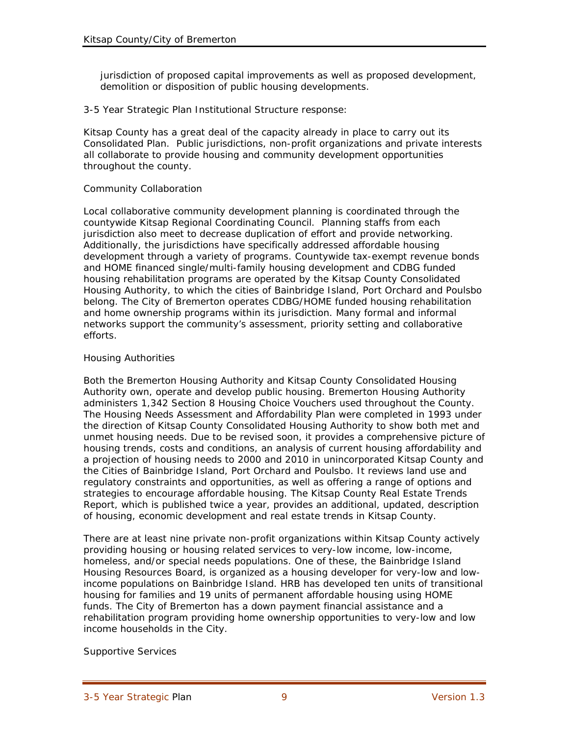jurisdiction of proposed capital improvements as well as proposed development, demolition or disposition of public housing developments.

3-5 Year Strategic Plan Institutional Structure response:

Kitsap County has a great deal of the capacity already in place to carry out its Consolidated Plan. Public jurisdictions, non-profit organizations and private interests all collaborate to provide housing and community development opportunities throughout the county.

#### Community Collaboration

Local collaborative community development planning is coordinated through the countywide Kitsap Regional Coordinating Council. Planning staffs from each jurisdiction also meet to decrease duplication of effort and provide networking. Additionally, the jurisdictions have specifically addressed affordable housing development through a variety of programs. Countywide tax-exempt revenue bonds and HOME financed single/multi-family housing development and CDBG funded housing rehabilitation programs are operated by the Kitsap County Consolidated Housing Authority, to which the cities of Bainbridge Island, Port Orchard and Poulsbo belong. The City of Bremerton operates CDBG/HOME funded housing rehabilitation and home ownership programs within its jurisdiction. Many formal and informal networks support the community's assessment, priority setting and collaborative efforts.

#### Housing Authorities

Both the Bremerton Housing Authority and Kitsap County Consolidated Housing Authority own, operate and develop public housing. Bremerton Housing Authority administers 1,342 Section 8 Housing Choice Vouchers used throughout the County. The Housing Needs Assessment and Affordability Plan were completed in 1993 under the direction of Kitsap County Consolidated Housing Authority to show both met and unmet housing needs. Due to be revised soon, it provides a comprehensive picture of housing trends, costs and conditions, an analysis of current housing affordability and a projection of housing needs to 2000 and 2010 in unincorporated Kitsap County and the Cities of Bainbridge Island, Port Orchard and Poulsbo. It reviews land use and regulatory constraints and opportunities, as well as offering a range of options and strategies to encourage affordable housing. The Kitsap County Real Estate Trends Report, which is published twice a year, provides an additional, updated, description of housing, economic development and real estate trends in Kitsap County.

There are at least nine private non-profit organizations within Kitsap County actively providing housing or housing related services to very-low income, low-income, homeless, and/or special needs populations. One of these, the Bainbridge Island Housing Resources Board, is organized as a housing developer for very-low and lowincome populations on Bainbridge Island. HRB has developed ten units of transitional housing for families and 19 units of permanent affordable housing using HOME funds. The City of Bremerton has a down payment financial assistance and a rehabilitation program providing home ownership opportunities to very-low and low income households in the City.

## Supportive Services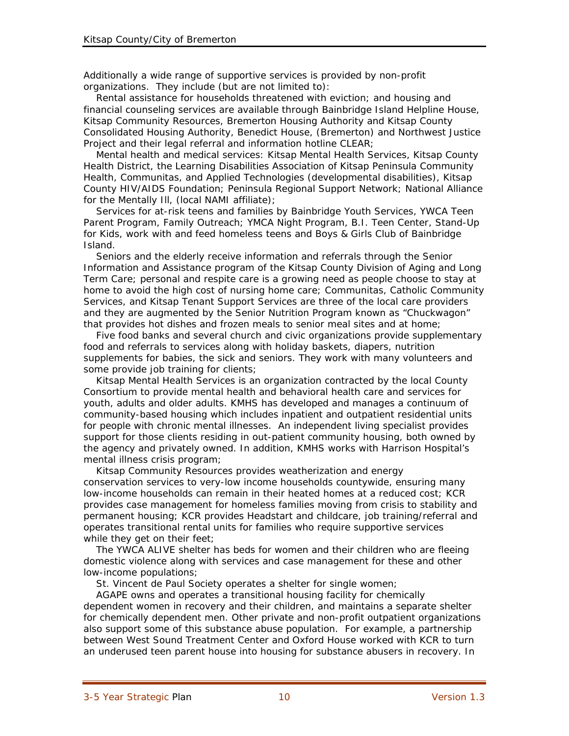Additionally a wide range of supportive services is provided by non-profit organizations. They include (but are not limited to):

 Rental assistance for households threatened with eviction; and housing and financial counseling services are available through Bainbridge Island Helpline House, Kitsap Community Resources, Bremerton Housing Authority and Kitsap County Consolidated Housing Authority, Benedict House, (Bremerton) and Northwest Justice Project and their legal referral and information hotline CLEAR;

 Mental health and medical services: Kitsap Mental Health Services, Kitsap County Health District, the Learning Disabilities Association of Kitsap Peninsula Community Health, Communitas, and Applied Technologies (developmental disabilities), Kitsap County HIV/AIDS Foundation; Peninsula Regional Support Network; National Alliance for the Mentally III, (local NAMI affiliate);

 Services for at-risk teens and families by Bainbridge Youth Services, YWCA Teen Parent Program, Family Outreach; YMCA Night Program, B.I. Teen Center, Stand-Up for Kids, work with and feed homeless teens and Boys & Girls Club of Bainbridge Island.

 Seniors and the elderly receive information and referrals through the Senior Information and Assistance program of the Kitsap County Division of Aging and Long Term Care; personal and respite care is a growing need as people choose to stay at home to avoid the high cost of nursing home care; Communitas, Catholic Community Services, and Kitsap Tenant Support Services are three of the local care providers and they are augmented by the Senior Nutrition Program known as "Chuckwagon" that provides hot dishes and frozen meals to senior meal sites and at home;

 Five food banks and several church and civic organizations provide supplementary food and referrals to services along with holiday baskets, diapers, nutrition supplements for babies, the sick and seniors. They work with many volunteers and some provide job training for clients;

 Kitsap Mental Health Services is an organization contracted by the local County Consortium to provide mental health and behavioral health care and services for youth, adults and older adults. KMHS has developed and manages a continuum of community-based housing which includes inpatient and outpatient residential units for people with chronic mental illnesses. An independent living specialist provides support for those clients residing in out-patient community housing, both owned by the agency and privately owned. In addition, KMHS works with Harrison Hospital's mental illness crisis program;

 Kitsap Community Resources provides weatherization and energy conservation services to very-low income households countywide, ensuring many low-income households can remain in their heated homes at a reduced cost; KCR provides case management for homeless families moving from crisis to stability and permanent housing; KCR provides Headstart and childcare, job training/referral and operates transitional rental units for families who require supportive services while they get on their feet;

 The YWCA ALIVE shelter has beds for women and their children who are fleeing domestic violence along with services and case management for these and other low-income populations;

St. Vincent de Paul Society operates a shelter for single women;

 AGAPE owns and operates a transitional housing facility for chemically dependent women in recovery and their children, and maintains a separate shelter for chemically dependent men. Other private and non-profit outpatient organizations also support some of this substance abuse population. For example, a partnership between West Sound Treatment Center and Oxford House worked with KCR to turn an underused teen parent house into housing for substance abusers in recovery. In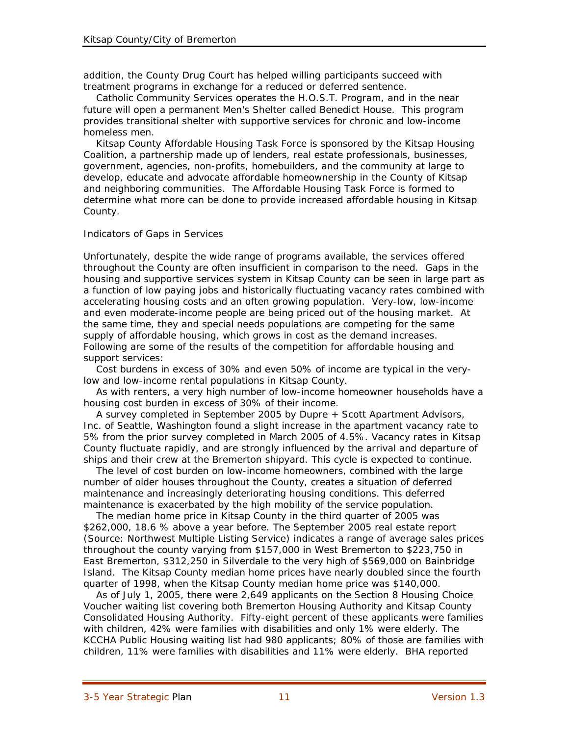addition, the County Drug Court has helped willing participants succeed with treatment programs in exchange for a reduced or deferred sentence.

 Catholic Community Services operates the H.O.S.T. Program, and in the near future will open a permanent Men's Shelter called Benedict House. This program provides transitional shelter with supportive services for chronic and low-income homeless men.

 Kitsap County Affordable Housing Task Force is sponsored by the Kitsap Housing Coalition, a partnership made up of lenders, real estate professionals, businesses, government, agencies, non-profits, homebuilders, and the community at large to develop, educate and advocate affordable homeownership in the County of Kitsap and neighboring communities. The Affordable Housing Task Force is formed to determine what more can be done to provide increased affordable housing in Kitsap County.

Indicators of Gaps in Services

Unfortunately, despite the wide range of programs available, the services offered throughout the County are often insufficient in comparison to the need. Gaps in the housing and supportive services system in Kitsap County can be seen in large part as a function of low paying jobs and historically fluctuating vacancy rates combined with accelerating housing costs and an often growing population. Very-low, low-income and even moderate-income people are being priced out of the housing market. At the same time, they and special needs populations are competing for the same supply of affordable housing, which grows in cost as the demand increases. Following are some of the results of the competition for affordable housing and support services:

 Cost burdens in excess of 30% and even 50% of income are typical in the verylow and low-income rental populations in Kitsap County.

 As with renters, a very high number of low-income homeowner households have a housing cost burden in excess of 30% of their income.

 A survey completed in September 2005 by Dupre + Scott Apartment Advisors, Inc. of Seattle, Washington found a slight increase in the apartment vacancy rate to 5% from the prior survey completed in March 2005 of 4.5%. Vacancy rates in Kitsap County fluctuate rapidly, and are strongly influenced by the arrival and departure of ships and their crew at the Bremerton shipyard. This cycle is expected to continue.

 The level of cost burden on low-income homeowners, combined with the large number of older houses throughout the County, creates a situation of deferred maintenance and increasingly deteriorating housing conditions. This deferred maintenance is exacerbated by the high mobility of the service population.

 The median home price in Kitsap County in the third quarter of 2005 was \$262,000, 18.6 % above a year before. The September 2005 real estate report (Source: Northwest Multiple Listing Service) indicates a range of average sales prices throughout the county varying from \$157,000 in West Bremerton to \$223,750 in East Bremerton, \$312,250 in Silverdale to the very high of \$569,000 on Bainbridge Island. The Kitsap County median home prices have nearly doubled since the fourth quarter of 1998, when the Kitsap County median home price was \$140,000.

 As of July 1, 2005, there were 2,649 applicants on the Section 8 Housing Choice Voucher waiting list covering both Bremerton Housing Authority and Kitsap County Consolidated Housing Authority. Fifty-eight percent of these applicants were families with children, 42% were families with disabilities and only 1% were elderly. The KCCHA Public Housing waiting list had 980 applicants; 80% of those are families with children, 11% were families with disabilities and 11% were elderly. BHA reported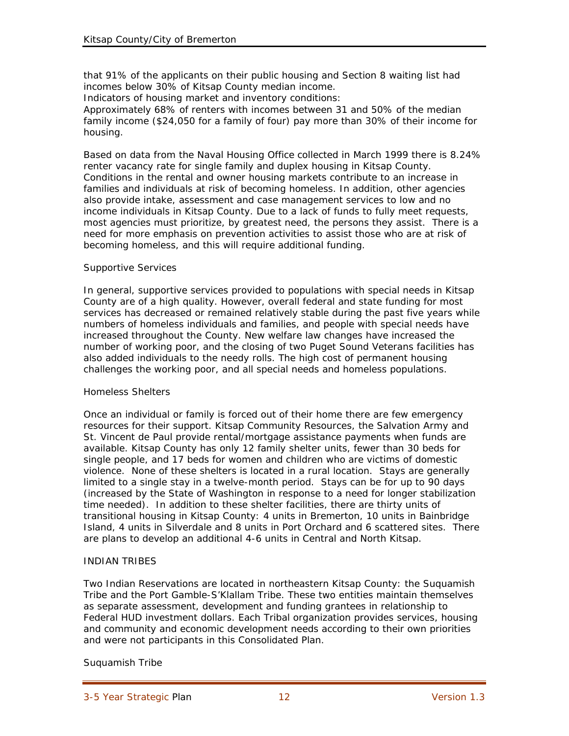that 91% of the applicants on their public housing and Section 8 waiting list had incomes below 30% of Kitsap County median income.

Indicators of housing market and inventory conditions:

Approximately 68% of renters with incomes between 31 and 50% of the median family income (\$24,050 for a family of four) pay more than 30% of their income for housing.

Based on data from the Naval Housing Office collected in March 1999 there is 8.24% renter vacancy rate for single family and duplex housing in Kitsap County. Conditions in the rental and owner housing markets contribute to an increase in families and individuals at risk of becoming homeless. In addition, other agencies also provide intake, assessment and case management services to low and no income individuals in Kitsap County. Due to a lack of funds to fully meet requests, most agencies must prioritize, by greatest need, the persons they assist. There is a need for more emphasis on prevention activities to assist those who are at risk of becoming homeless, and this will require additional funding.

#### Supportive Services

In general, supportive services provided to populations with special needs in Kitsap County are of a high quality. However, overall federal and state funding for most services has decreased or remained relatively stable during the past five years while numbers of homeless individuals and families, and people with special needs have increased throughout the County. New welfare law changes have increased the number of working poor, and the closing of two Puget Sound Veterans facilities has also added individuals to the needy rolls. The high cost of permanent housing challenges the working poor, and all special needs and homeless populations.

## Homeless Shelters

Once an individual or family is forced out of their home there are few emergency resources for their support. Kitsap Community Resources, the Salvation Army and St. Vincent de Paul provide rental/mortgage assistance payments when funds are available. Kitsap County has only 12 family shelter units, fewer than 30 beds for single people, and 17 beds for women and children who are victims of domestic violence. None of these shelters is located in a rural location. Stays are generally limited to a single stay in a twelve-month period. Stays can be for up to 90 days (increased by the State of Washington in response to a need for longer stabilization time needed). In addition to these shelter facilities, there are thirty units of transitional housing in Kitsap County: 4 units in Bremerton, 10 units in Bainbridge Island, 4 units in Silverdale and 8 units in Port Orchard and 6 scattered sites. There are plans to develop an additional 4-6 units in Central and North Kitsap.

#### INDIAN TRIBES

Two Indian Reservations are located in northeastern Kitsap County: the Suquamish Tribe and the Port Gamble-S'Klallam Tribe. These two entities maintain themselves as separate assessment, development and funding grantees in relationship to Federal HUD investment dollars. Each Tribal organization provides services, housing and community and economic development needs according to their own priorities and were not participants in this Consolidated Plan.

#### Suquamish Tribe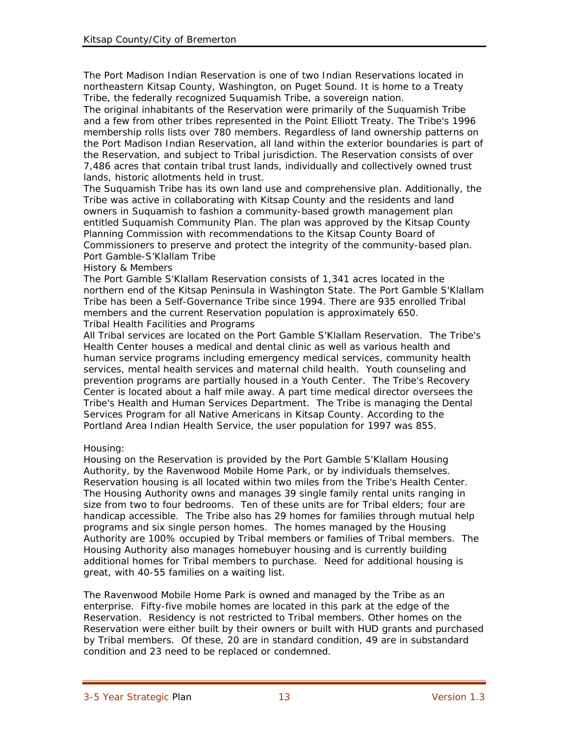The Port Madison Indian Reservation is one of two Indian Reservations located in northeastern Kitsap County, Washington, on Puget Sound. It is home to a Treaty Tribe, the federally recognized Suquamish Tribe, a sovereign nation.

The original inhabitants of the Reservation were primarily of the Suquamish Tribe and a few from other tribes represented in the Point Elliott Treaty. The Tribe's 1996 membership rolls lists over 780 members. Regardless of land ownership patterns on the Port Madison Indian Reservation, all land within the exterior boundaries is part of the Reservation, and subject to Tribal jurisdiction. The Reservation consists of over 7,486 acres that contain tribal trust lands, individually and collectively owned trust lands, historic allotments held in trust.

The Suquamish Tribe has its own land use and comprehensive plan. Additionally, the Tribe was active in collaborating with Kitsap County and the residents and land owners in Suquamish to fashion a community-based growth management plan entitled Suquamish Community Plan. The plan was approved by the Kitsap County Planning Commission with recommendations to the Kitsap County Board of Commissioners to preserve and protect the integrity of the community-based plan. Port Gamble-S'Klallam Tribe

#### History & Members

The Port Gamble S'Klallam Reservation consists of 1,341 acres located in the northern end of the Kitsap Peninsula in Washington State. The Port Gamble S'Klallam Tribe has been a Self-Governance Tribe since 1994. There are 935 enrolled Tribal members and the current Reservation population is approximately 650. Tribal Health Facilities and Programs

All Tribal services are located on the Port Gamble S'Klallam Reservation. The Tribe's Health Center houses a medical and dental clinic as well as various health and human service programs including emergency medical services, community health services, mental health services and maternal child health. Youth counseling and prevention programs are partially housed in a Youth Center. The Tribe's Recovery Center is located about a half mile away. A part time medical director oversees the Tribe's Health and Human Services Department. The Tribe is managing the Dental Services Program for all Native Americans in Kitsap County. According to the

Portland Area Indian Health Service, the user population for 1997 was 855.

## Housing:

Housing on the Reservation is provided by the Port Gamble S'Klallam Housing Authority, by the Ravenwood Mobile Home Park, or by individuals themselves. Reservation housing is all located within two miles from the Tribe's Health Center. The Housing Authority owns and manages 39 single family rental units ranging in size from two to four bedrooms. Ten of these units are for Tribal elders; four are handicap accessible. The Tribe also has 29 homes for families through mutual help programs and six single person homes. The homes managed by the Housing Authority are 100% occupied by Tribal members or families of Tribal members. The Housing Authority also manages homebuyer housing and is currently building additional homes for Tribal members to purchase. Need for additional housing is great, with 40-55 families on a waiting list.

The Ravenwood Mobile Home Park is owned and managed by the Tribe as an enterprise. Fifty-five mobile homes are located in this park at the edge of the Reservation. Residency is not restricted to Tribal members. Other homes on the Reservation were either built by their owners or built with HUD grants and purchased by Tribal members. Of these, 20 are in standard condition, 49 are in substandard condition and 23 need to be replaced or condemned.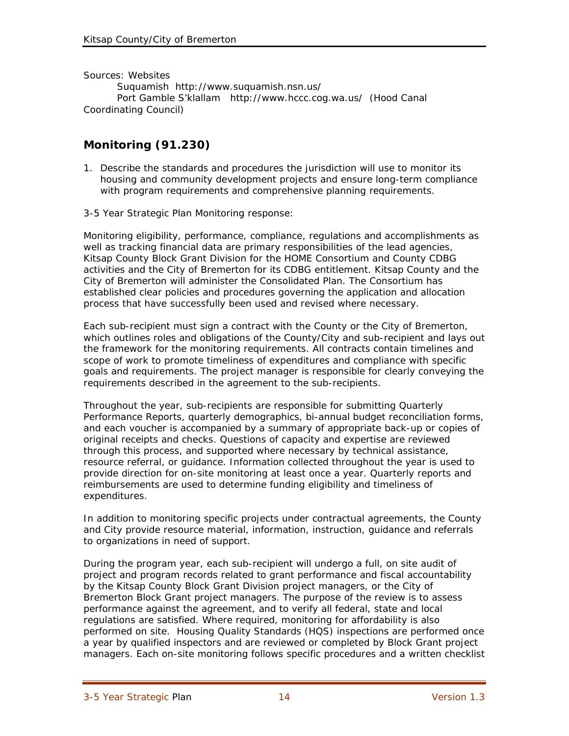Sources: Websites Suquamish http://www.suquamish.nsn.us/ Port Gamble S'klallam http://www.hccc.cog.wa.us/ (Hood Canal Coordinating Council)

# **Monitoring (91.230)**

- 1. Describe the standards and procedures the jurisdiction will use to monitor its housing and community development projects and ensure long-term compliance with program requirements and comprehensive planning requirements.
- 3-5 Year Strategic Plan Monitoring response:

Monitoring eligibility, performance, compliance, regulations and accomplishments as well as tracking financial data are primary responsibilities of the lead agencies, Kitsap County Block Grant Division for the HOME Consortium and County CDBG activities and the City of Bremerton for its CDBG entitlement. Kitsap County and the City of Bremerton will administer the Consolidated Plan. The Consortium has established clear policies and procedures governing the application and allocation process that have successfully been used and revised where necessary.

Each sub-recipient must sign a contract with the County or the City of Bremerton, which outlines roles and obligations of the County/City and sub-recipient and lays out the framework for the monitoring requirements. All contracts contain timelines and scope of work to promote timeliness of expenditures and compliance with specific goals and requirements. The project manager is responsible for clearly conveying the requirements described in the agreement to the sub-recipients.

Throughout the year, sub-recipients are responsible for submitting Quarterly Performance Reports, quarterly demographics, bi-annual budget reconciliation forms, and each voucher is accompanied by a summary of appropriate back-up or copies of original receipts and checks. Questions of capacity and expertise are reviewed through this process, and supported where necessary by technical assistance, resource referral, or guidance. Information collected throughout the year is used to provide direction for on-site monitoring at least once a year. Quarterly reports and reimbursements are used to determine funding eligibility and timeliness of expenditures.

In addition to monitoring specific projects under contractual agreements, the County and City provide resource material, information, instruction, guidance and referrals to organizations in need of support.

During the program year, each sub-recipient will undergo a full, on site audit of project and program records related to grant performance and fiscal accountability by the Kitsap County Block Grant Division project managers, or the City of Bremerton Block Grant project managers. The purpose of the review is to assess performance against the agreement, and to verify all federal, state and local regulations are satisfied. Where required, monitoring for affordability is also performed on site. Housing Quality Standards (HQS) inspections are performed once a year by qualified inspectors and are reviewed or completed by Block Grant project managers. Each on-site monitoring follows specific procedures and a written checklist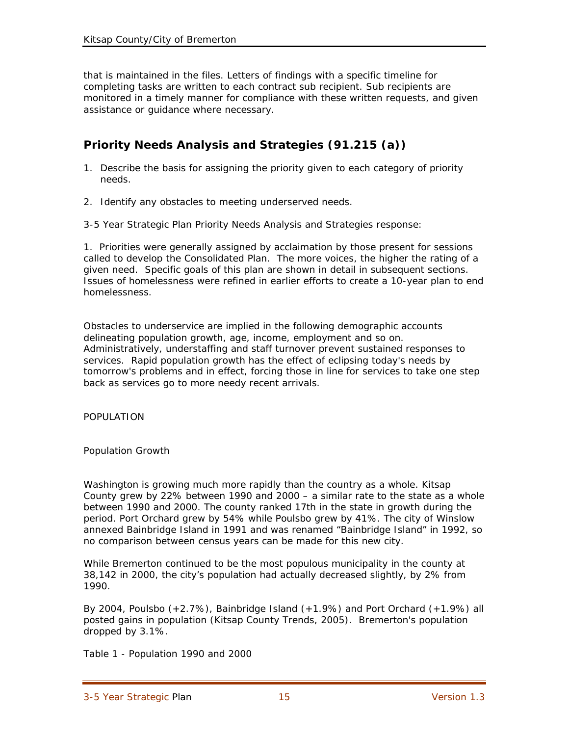that is maintained in the files. Letters of findings with a specific timeline for completing tasks are written to each contract sub recipient. Sub recipients are monitored in a timely manner for compliance with these written requests, and given assistance or guidance where necessary.

# **Priority Needs Analysis and Strategies (91.215 (a))**

- 1. Describe the basis for assigning the priority given to each category of priority needs.
- 2. Identify any obstacles to meeting underserved needs.
- 3-5 Year Strategic Plan Priority Needs Analysis and Strategies response:

1. Priorities were generally assigned by acclaimation by those present for sessions called to develop the Consolidated Plan. The more voices, the higher the rating of a given need. Specific goals of this plan are shown in detail in subsequent sections. Issues of homelessness were refined in earlier efforts to create a 10-year plan to end homelessness.

Obstacles to underservice are implied in the following demographic accounts delineating population growth, age, income, employment and so on. Administratively, understaffing and staff turnover prevent sustained responses to services. Rapid population growth has the effect of eclipsing today's needs by tomorrow's problems and in effect, forcing those in line for services to take one step back as services go to more needy recent arrivals.

POPULATION

Population Growth

Washington is growing much more rapidly than the country as a whole. Kitsap County grew by 22% between 1990 and 2000 – a similar rate to the state as a whole between 1990 and 2000. The county ranked 17th in the state in growth during the period. Port Orchard grew by 54% while Poulsbo grew by 41%. The city of Winslow annexed Bainbridge Island in 1991 and was renamed "Bainbridge Island" in 1992, so no comparison between census years can be made for this new city.

While Bremerton continued to be the most populous municipality in the county at 38,142 in 2000, the city's population had actually decreased slightly, by 2% from 1990.

By 2004, Poulsbo (+2.7%), Bainbridge Island (+1.9%) and Port Orchard (+1.9%) all posted gains in population (Kitsap County Trends, 2005). Bremerton's population dropped by 3.1%.

Table 1 - Population 1990 and 2000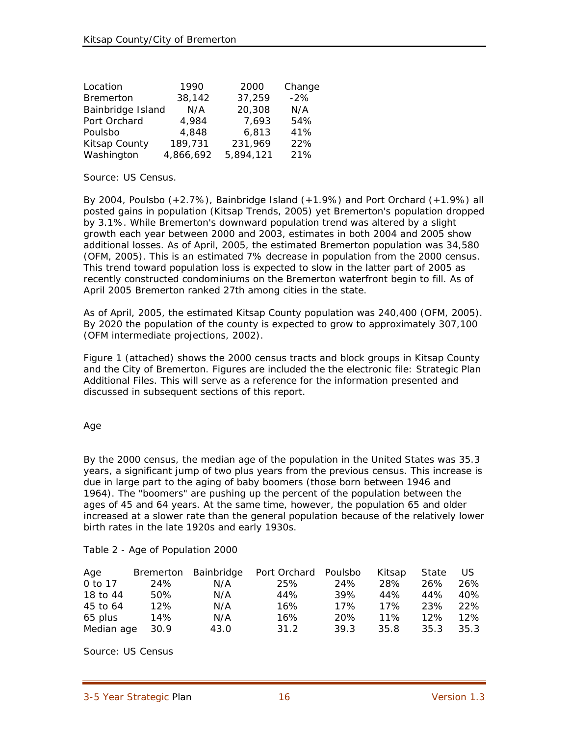| Location          | 1990      | 2000      | Change |
|-------------------|-----------|-----------|--------|
| <b>Bremerton</b>  | 38,142    | 37,259    | $-2%$  |
| Bainbridge Island | N/A       | 20,308    | N/A    |
| Port Orchard      | 4,984     | 7,693     | 54%    |
| Poulsbo           | 4,848     | 6,813     | 41%    |
| Kitsap County     | 189.731   | 231,969   | 22%    |
| Washington        | 4,866,692 | 5,894,121 | 21%    |

Source: US Census.

By 2004, Poulsbo (+2.7%), Bainbridge Island (+1.9%) and Port Orchard (+1.9%) all posted gains in population (Kitsap Trends, 2005) yet Bremerton's population dropped by 3.1%. While Bremerton's downward population trend was altered by a slight growth each year between 2000 and 2003, estimates in both 2004 and 2005 show additional losses. As of April, 2005, the estimated Bremerton population was 34,580 (OFM, 2005). This is an estimated 7% decrease in population from the 2000 census. This trend toward population loss is expected to slow in the latter part of 2005 as recently constructed condominiums on the Bremerton waterfront begin to fill. As of April 2005 Bremerton ranked 27th among cities in the state.

As of April, 2005, the estimated Kitsap County population was 240,400 (OFM, 2005). By 2020 the population of the county is expected to grow to approximately 307,100 (OFM intermediate projections, 2002).

Figure 1 (attached) shows the 2000 census tracts and block groups in Kitsap County and the City of Bremerton. Figures are included the the electronic file: Strategic Plan Additional Files. This will serve as a reference for the information presented and discussed in subsequent sections of this report.

## Age

By the 2000 census, the median age of the population in the United States was 35.3 years, a significant jump of two plus years from the previous census. This increase is due in large part to the aging of baby boomers (those born between 1946 and 1964). The "boomers" are pushing up the percent of the population between the ages of 45 and 64 years. At the same time, however, the population 65 and older increased at a slower rate than the general population because of the relatively lower birth rates in the late 1920s and early 1930s.

Table 2 - Age of Population 2000

| Age        | Bremerton | Bainbridge | Port Orchard Poulsbo |            | Kitsap | State | US.  |
|------------|-----------|------------|----------------------|------------|--------|-------|------|
| 0 to 17    | 24%       | N/A        | 25%                  | 24%        | 28%    | 26%   | 26%  |
| 18 to 44   | 50%       | N/A        | 44%                  | 39%        | 44%    | 44%   | 40%  |
| 45 to 64   | 12%       | N/A        | 16%                  | 17%        | 17%    | 23%   | 22%  |
| 65 plus    | 14%       | N/A        | 16%                  | <b>20%</b> | 11%    | 12%   | 12%  |
| Median age | 30.9      | 43.0       | 31.2                 | 39.3       | 35.8   | 35.3  | 35.3 |

Source: US Census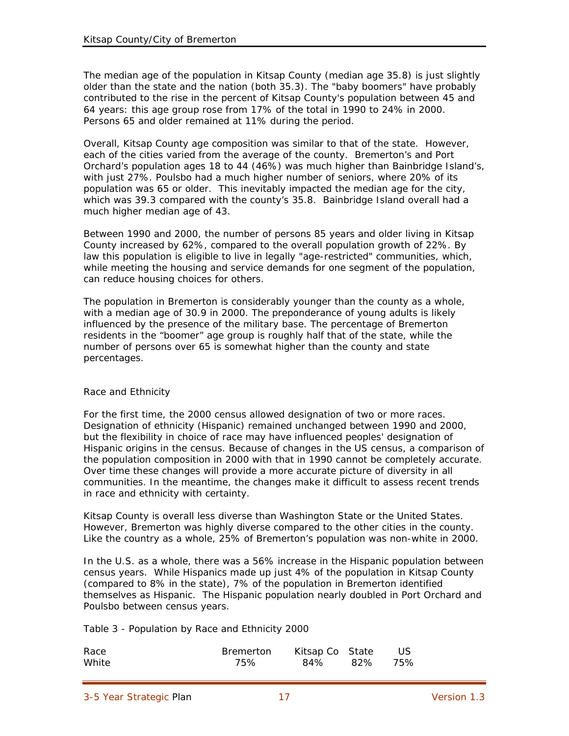The median age of the population in Kitsap County (median age 35.8) is just slightly older than the state and the nation (both 35.3). The "baby boomers" have probably contributed to the rise in the percent of Kitsap County's population between 45 and 64 years: this age group rose from 17% of the total in 1990 to 24% in 2000. Persons 65 and older remained at 11% during the period.

Overall, Kitsap County age composition was similar to that of the state. However, each of the cities varied from the average of the county. Bremerton's and Port Orchard's population ages 18 to 44 (46%) was much higher than Bainbridge Island's, with just 27%. Poulsbo had a much higher number of seniors, where 20% of its population was 65 or older. This inevitably impacted the median age for the city, which was 39.3 compared with the county's 35.8. Bainbridge Island overall had a much higher median age of 43.

Between 1990 and 2000, the number of persons 85 years and older living in Kitsap County increased by 62%, compared to the overall population growth of 22%. By law this population is eligible to live in legally "age-restricted" communities, which, while meeting the housing and service demands for one segment of the population, can reduce housing choices for others.

The population in Bremerton is considerably younger than the county as a whole, with a median age of 30.9 in 2000. The preponderance of young adults is likely influenced by the presence of the military base. The percentage of Bremerton residents in the "boomer" age group is roughly half that of the state, while the number of persons over 65 is somewhat higher than the county and state percentages.

## Race and Ethnicity

For the first time, the 2000 census allowed designation of two or more races. Designation of ethnicity (Hispanic) remained unchanged between 1990 and 2000, but the flexibility in choice of race may have influenced peoples' designation of Hispanic origins in the census. Because of changes in the US census, a comparison of the population composition in 2000 with that in 1990 cannot be completely accurate. Over time these changes will provide a more accurate picture of diversity in all communities. In the meantime, the changes make it difficult to assess recent trends in race and ethnicity with certainty.

Kitsap County is overall less diverse than Washington State or the United States. However, Bremerton was highly diverse compared to the other cities in the county. Like the country as a whole, 25% of Bremerton's population was non-white in 2000.

In the U.S. as a whole, there was a 56% increase in the Hispanic population between census years. While Hispanics made up just 4% of the population in Kitsap County (compared to 8% in the state), 7% of the population in Bremerton identified themselves as Hispanic. The Hispanic population nearly doubled in Port Orchard and Poulsbo between census years.

Table 3 - Population by Race and Ethnicity 2000

| Race  | <b>Bremerton</b> | Kitsap Co State |     | US. |
|-------|------------------|-----------------|-----|-----|
| White | 75%              | 84%             | 82% | 75% |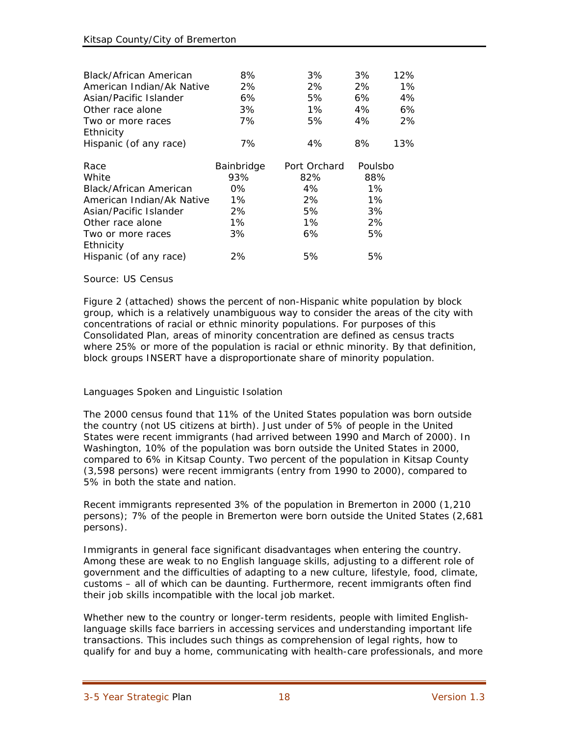| Black/African American<br>American Indian/Ak Native | 8%<br>2%   | 3%<br>2%     | 3%<br>2% | 12%<br>1% |
|-----------------------------------------------------|------------|--------------|----------|-----------|
| Asian/Pacific Islander                              | 6%         | 5%           | 6%       | 4%        |
| Other race alone                                    | 3%         | $1\%$        | 4%       | 6%        |
| Two or more races                                   | 7%         | 5%           | 4%       | 2%        |
| Ethnicity                                           |            |              |          |           |
| Hispanic (of any race)                              | 7%         | 4%           | 8%       | 13%       |
|                                                     |            |              |          |           |
| Race                                                | Bainbridge | Port Orchard | Poulsbo  |           |
| White                                               | 93%        | 82%          | 88%      |           |
| Black/African American                              | $0\%$      | 4%           | $1\%$    |           |
| American Indian/Ak Native                           | 1%         | 2%           | 1%       |           |
| Asian/Pacific Islander                              | 2%         | 5%           | 3%       |           |
| Other race alone                                    | $1\%$      | $1\%$        | 2%       |           |
|                                                     |            |              |          |           |
| Two or more races                                   | 3%         | 6%           | 5%       |           |
| Ethnicity                                           |            |              |          |           |

#### Source: US Census

Figure 2 (attached) shows the percent of non-Hispanic white population by block group, which is a relatively unambiguous way to consider the areas of the city with concentrations of racial or ethnic minority populations. For purposes of this Consolidated Plan, areas of minority concentration are defined as census tracts where 25% or more of the population is racial or ethnic minority. By that definition, block groups INSERT have a disproportionate share of minority population.

## Languages Spoken and Linguistic Isolation

The 2000 census found that 11% of the United States population was born outside the country (not US citizens at birth). Just under of 5% of people in the United States were recent immigrants (had arrived between 1990 and March of 2000). In Washington, 10% of the population was born outside the United States in 2000, compared to 6% in Kitsap County. Two percent of the population in Kitsap County (3,598 persons) were recent immigrants (entry from 1990 to 2000), compared to 5% in both the state and nation.

Recent immigrants represented 3% of the population in Bremerton in 2000 (1,210 persons); 7% of the people in Bremerton were born outside the United States (2,681 persons).

Immigrants in general face significant disadvantages when entering the country. Among these are weak to no English language skills, adjusting to a different role of government and the difficulties of adapting to a new culture, lifestyle, food, climate, customs – all of which can be daunting. Furthermore, recent immigrants often find their job skills incompatible with the local job market.

Whether new to the country or longer-term residents, people with limited Englishlanguage skills face barriers in accessing services and understanding important life transactions. This includes such things as comprehension of legal rights, how to qualify for and buy a home, communicating with health-care professionals, and more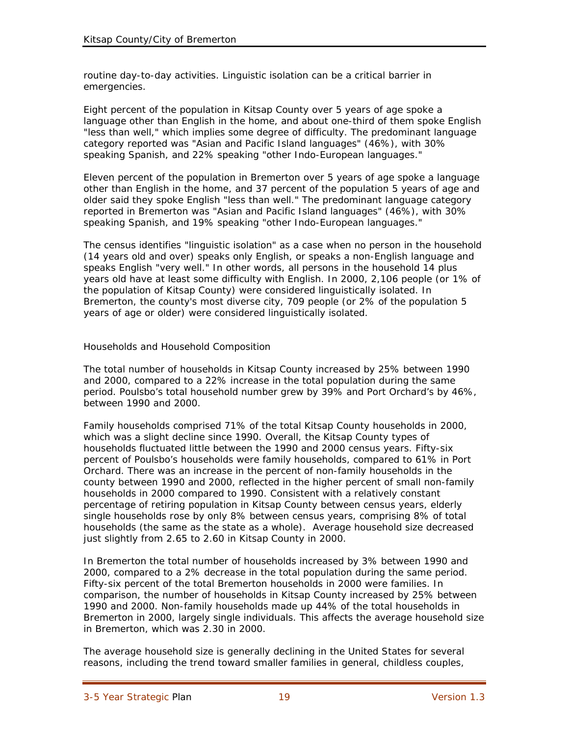routine day-to-day activities. Linguistic isolation can be a critical barrier in emergencies.

Eight percent of the population in Kitsap County over 5 years of age spoke a language other than English in the home, and about one-third of them spoke English "less than well," which implies some degree of difficulty. The predominant language category reported was "Asian and Pacific Island languages" (46%), with 30% speaking Spanish, and 22% speaking "other Indo-European languages."

Eleven percent of the population in Bremerton over 5 years of age spoke a language other than English in the home, and 37 percent of the population 5 years of age and older said they spoke English "less than well." The predominant language category reported in Bremerton was "Asian and Pacific Island languages" (46%), with 30% speaking Spanish, and 19% speaking "other Indo-European languages."

The census identifies "linguistic isolation" as a case when no person in the household (14 years old and over) speaks only English, or speaks a non-English language and speaks English "very well." In other words, all persons in the household 14 plus years old have at least some difficulty with English. In 2000, 2,106 people (or 1% of the population of Kitsap County) were considered linguistically isolated. In Bremerton, the county's most diverse city, 709 people (or 2% of the population 5 years of age or older) were considered linguistically isolated.

#### Households and Household Composition

The total number of households in Kitsap County increased by 25% between 1990 and 2000, compared to a 22% increase in the total population during the same period. Poulsbo's total household number grew by 39% and Port Orchard's by 46%, between 1990 and 2000.

Family households comprised 71% of the total Kitsap County households in 2000, which was a slight decline since 1990. Overall, the Kitsap County types of households fluctuated little between the 1990 and 2000 census years. Fifty-six percent of Poulsbo's households were family households, compared to 61% in Port Orchard. There was an increase in the percent of non-family households in the county between 1990 and 2000, reflected in the higher percent of small non-family households in 2000 compared to 1990. Consistent with a relatively constant percentage of retiring population in Kitsap County between census years, elderly single households rose by only 8% between census years, comprising 8% of total households (the same as the state as a whole). Average household size decreased just slightly from 2.65 to 2.60 in Kitsap County in 2000.

In Bremerton the total number of households increased by 3% between 1990 and 2000, compared to a 2% decrease in the total population during the same period. Fifty-six percent of the total Bremerton households in 2000 were families. In comparison, the number of households in Kitsap County increased by 25% between 1990 and 2000. Non-family households made up 44% of the total households in Bremerton in 2000, largely single individuals. This affects the average household size in Bremerton, which was 2.30 in 2000.

The average household size is generally declining in the United States for several reasons, including the trend toward smaller families in general, childless couples,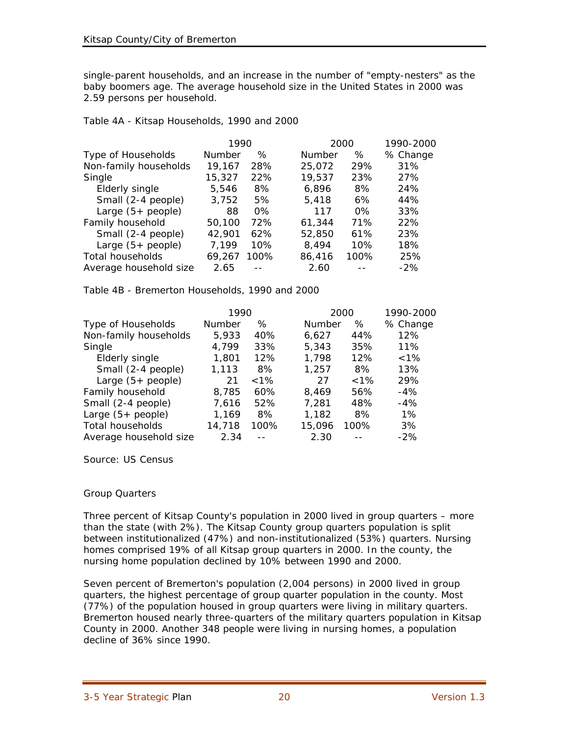single-parent households, and an increase in the number of "empty-nesters" as the baby boomers age. The average household size in the United States in 2000 was 2.59 persons per household.

Table 4A - Kitsap Households, 1990 and 2000

|                         | 1990          |       |               |     | 2000  | 1990-2000 |
|-------------------------|---------------|-------|---------------|-----|-------|-----------|
| Type of Households      | <b>Number</b> | ℅     | <b>Number</b> |     | %     | % Change  |
| Non-family households   | 19,167        | 28%   | 25,072        |     | 29%   | 31%       |
| Single                  | 15,327        | 22%   | 19,537        |     | 23%   | 27%       |
| Elderly single          | 5.546         | 8%    | 6,896         |     | 8%    | 24%       |
| Small (2-4 people)      | 3,752         | 5%    | 5,418         |     | 6%    | 44%       |
| Large $(5+$ people)     | 88            | $0\%$ |               | 117 | $0\%$ | 33%       |
| Family household        | 50,100        | 72%   | 61.344        |     | 71%   | 22%       |
| Small (2-4 people)      | 42,901        | 62%   | 52,850        |     | 61%   | 23%       |
| Large $(5+$ people)     | 7,199         | 10%   | 8,494         |     | 10%   | 18%       |
| <b>Total households</b> | 69,267        | 100%  | 86,416        |     | 100%  | 25%       |
| Average household size  | 2.65          |       | 2.60          |     |       | $-2\%$    |

Table 4B - Bremerton Households, 1990 and 2000

|                        | 1990   |         |               | 2000    | 1990-2000 |
|------------------------|--------|---------|---------------|---------|-----------|
| Type of Households     | Number | %       | <b>Number</b> | ℅       | % Change  |
| Non-family households  | 5,933  | 40%     | 6.627         | 44%     | 12%       |
| Single                 | 4,799  | 33%     | 5,343         | 35%     | 11%       |
| Elderly single         | 1,801  | 12%     | 1,798         | 12%     | $< 1\%$   |
| Small (2-4 people)     | 1.113  | 8%      | 1,257         | $8\%$   | 13%       |
| Large $(5+$ people)    | 21     | $< 1\%$ | 27            | $< 1\%$ | 29%       |
| Family household       | 8,785  | 60%     | 8,469         | 56%     | $-4%$     |
| Small (2-4 people)     | 7,616  | 52%     | 7,281         | 48%     | $-4%$     |
| Large $(5 + people)$   | 1,169  | 8%      | 1,182         | 8%      | $1\%$     |
| Total households       | 14,718 | 100%    | 15,096        | 100%    | 3%        |
| Average household size | 2.34   |         | 2.30          |         | $-2%$     |

Source: US Census

## Group Quarters

Three percent of Kitsap County's population in 2000 lived in group quarters – more than the state (with 2%). The Kitsap County group quarters population is split between institutionalized (47%) and non-institutionalized (53%) quarters. Nursing homes comprised 19% of all Kitsap group quarters in 2000. In the county, the nursing home population declined by 10% between 1990 and 2000.

Seven percent of Bremerton's population (2,004 persons) in 2000 lived in group quarters, the highest percentage of group quarter population in the county. Most (77%) of the population housed in group quarters were living in military quarters. Bremerton housed nearly three-quarters of the military quarters population in Kitsap County in 2000. Another 348 people were living in nursing homes, a population decline of 36% since 1990.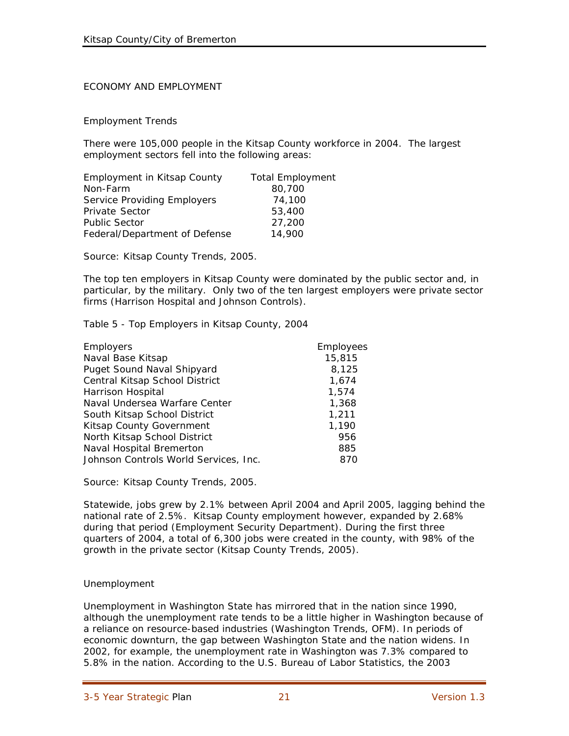## ECONOMY AND EMPLOYMENT

## Employment Trends

There were 105,000 people in the Kitsap County workforce in 2004. The largest employment sectors fell into the following areas:

| <b>Employment in Kitsap County</b> | <b>Total Employment</b> |
|------------------------------------|-------------------------|
| Non-Farm                           | 80,700                  |
| <b>Service Providing Employers</b> | 74,100                  |
| Private Sector                     | 53,400                  |
| <b>Public Sector</b>               | 27,200                  |
| Federal/Department of Defense      | 14,900                  |

Source: Kitsap County Trends, 2005.

The top ten employers in Kitsap County were dominated by the public sector and, in particular, by the military. Only two of the ten largest employers were private sector firms (Harrison Hospital and Johnson Controls).

Table 5 - Top Employers in Kitsap County, 2004

| Employers                             | Employees |
|---------------------------------------|-----------|
| Naval Base Kitsap                     | 15,815    |
| Puget Sound Naval Shipyard            | 8,125     |
| Central Kitsap School District        | 1,674     |
| Harrison Hospital                     | 1,574     |
| Naval Undersea Warfare Center         | 1,368     |
| South Kitsap School District          | 1,211     |
| Kitsap County Government              | 1,190     |
| North Kitsap School District          | 956       |
| Naval Hospital Bremerton              | 885       |
| Johnson Controls World Services, Inc. | 870       |

Source: Kitsap County Trends, 2005.

Statewide, jobs grew by 2.1% between April 2004 and April 2005, lagging behind the national rate of 2.5%. Kitsap County employment however, expanded by 2.68% during that period (Employment Security Department). During the first three quarters of 2004, a total of 6,300 jobs were created in the county, with 98% of the growth in the private sector (Kitsap County Trends, 2005).

## Unemployment

Unemployment in Washington State has mirrored that in the nation since 1990, although the unemployment rate tends to be a little higher in Washington because of a reliance on resource-based industries (Washington Trends, OFM). In periods of economic downturn, the gap between Washington State and the nation widens. In 2002, for example, the unemployment rate in Washington was 7.3% compared to 5.8% in the nation. According to the U.S. Bureau of Labor Statistics, the 2003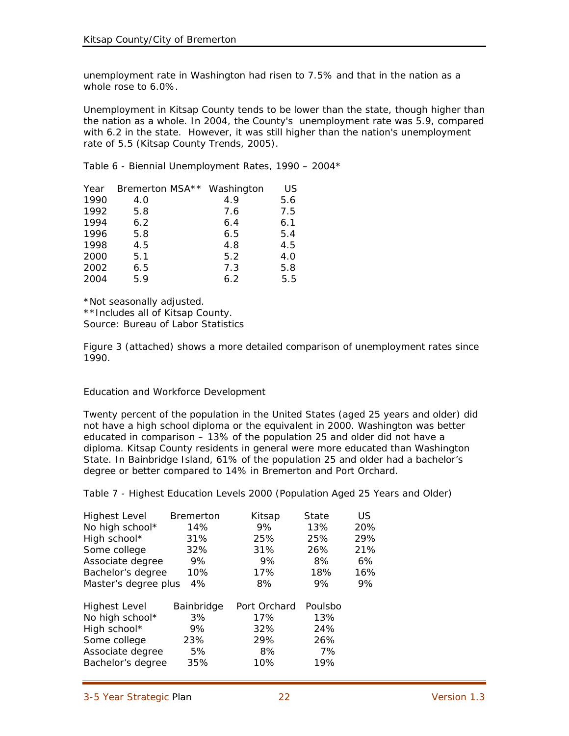unemployment rate in Washington had risen to 7.5% and that in the nation as a whole rose to 6.0%.

Unemployment in Kitsap County tends to be lower than the state, though higher than the nation as a whole. In 2004, the County's unemployment rate was 5.9, compared with 6.2 in the state. However, it was still higher than the nation's unemployment rate of 5.5 (Kitsap County Trends, 2005).

Table 6 - Biennial Unemployment Rates, 1990 – 2004\*

| Year | Bremerton MSA** | Washington | US  |
|------|-----------------|------------|-----|
| 1990 | 4.0             | 4.9        | 5.6 |
| 1992 | 5.8             | 7.6        | 7.5 |
| 1994 | 6.2             | 6.4        | 6.1 |
| 1996 | 5.8             | 6.5        | 5.4 |
| 1998 | 4.5             | 4.8        | 4.5 |
| 2000 | 5.1             | 5.2        | 4.0 |
| 2002 | 6.5             | 7.3        | 5.8 |
| 2004 | 5.9             | 6.2        | 5.5 |

\*Not seasonally adjusted.

\*\*Includes all of Kitsap County.

Source: Bureau of Labor Statistics

Figure 3 (attached) shows a more detailed comparison of unemployment rates since 1990.

Education and Workforce Development

Twenty percent of the population in the United States (aged 25 years and older) did not have a high school diploma or the equivalent in 2000. Washington was better educated in comparison – 13% of the population 25 and older did not have a diploma. Kitsap County residents in general were more educated than Washington State. In Bainbridge Island, 61% of the population 25 and older had a bachelor's degree or better compared to 14% in Bremerton and Port Orchard.

Table 7 - Highest Education Levels 2000 (Population Aged 25 Years and Older)

| <b>Highest Level</b> | <b>Bremerton</b> | Kitsap       | State   | US  |
|----------------------|------------------|--------------|---------|-----|
| No high school*      | 14%              | 9%           | 13%     | 20% |
| High school*         | 31%              | 25%          | 25%     | 29% |
| Some college         | 32%              | 31%          | 26%     | 21% |
| Associate degree     | 9%               | 9%           | 8%      | 6%  |
| Bachelor's degree    | 10%              | 17%          | 18%     | 16% |
| Master's degree plus | 4%               | 8%           | 9%      | 9%  |
|                      |                  |              |         |     |
| <b>Highest Level</b> | Bainbridge       | Port Orchard | Poulsbo |     |
| No high school*      | 3%               | 17%          | 13%     |     |
| High school*         | 9%               | 32%          | 24%     |     |
| Some college         | 23%              | 29%          | 26%     |     |
| Associate degree     | 5%               | 8%           | 7%      |     |
| Bachelor's degree    | 35%              | 10%          | 19%     |     |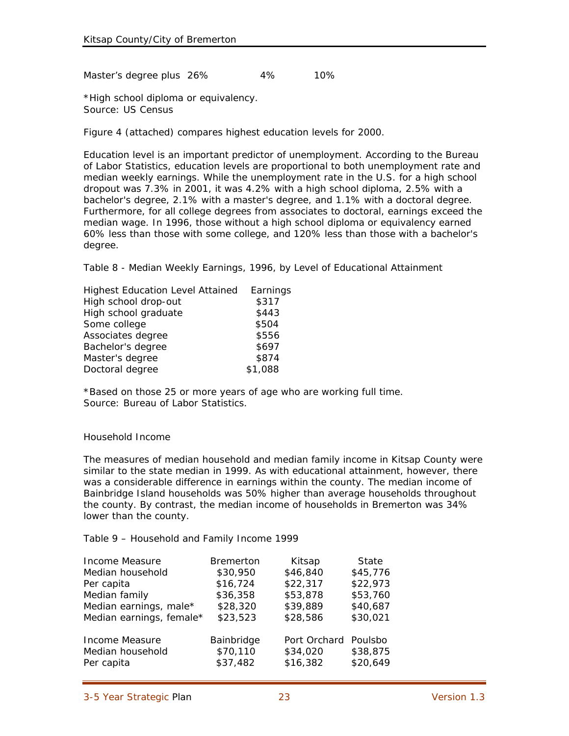Master's degree plus 26% 4% 10%

\*High school diploma or equivalency. Source: US Census

Figure 4 (attached) compares highest education levels for 2000.

Education level is an important predictor of unemployment. According to the Bureau of Labor Statistics, education levels are proportional to both unemployment rate and median weekly earnings. While the unemployment rate in the U.S. for a high school dropout was 7.3% in 2001, it was 4.2% with a high school diploma, 2.5% with a bachelor's degree, 2.1% with a master's degree, and 1.1% with a doctoral degree. Furthermore, for all college degrees from associates to doctoral, earnings exceed the median wage. In 1996, those without a high school diploma or equivalency earned 60% less than those with some college, and 120% less than those with a bachelor's degree.

Table 8 - Median Weekly Earnings, 1996, by Level of Educational Attainment

| <b>Highest Education Level Attained</b> | Earnings |
|-----------------------------------------|----------|
| High school drop-out                    | \$317    |
| High school graduate                    | \$443    |
| Some college                            | \$504    |
| Associates degree                       | \$556    |
| Bachelor's degree                       | \$697    |
| Master's degree                         | \$874    |
| Doctoral degree                         | \$1,088  |

\*Based on those 25 or more years of age who are working full time. Source: Bureau of Labor Statistics.

## Household Income

The measures of median household and median family income in Kitsap County were similar to the state median in 1999. As with educational attainment, however, there was a considerable difference in earnings within the county. The median income of Bainbridge Island households was 50% higher than average households throughout the county. By contrast, the median income of households in Bremerton was 34% lower than the county.

Table 9 – Household and Family Income 1999

| Income Measure           | <b>Bremerton</b> | Kitsap       | State    |
|--------------------------|------------------|--------------|----------|
| Median household         | \$30,950         | \$46,840     | \$45,776 |
| Per capita               | \$16,724         | \$22,317     | \$22,973 |
| Median family            | \$36,358         | \$53,878     | \$53,760 |
| Median earnings, male*   | \$28,320         | \$39,889     | \$40,687 |
| Median earnings, female* | \$23,523         | \$28,586     | \$30,021 |
| Income Measure           | Bainbridge       | Port Orchard | Poulsbo  |
| Median household         | \$70,110         | \$34,020     | \$38,875 |
| Per capita               | \$37,482         | \$16,382     | \$20,649 |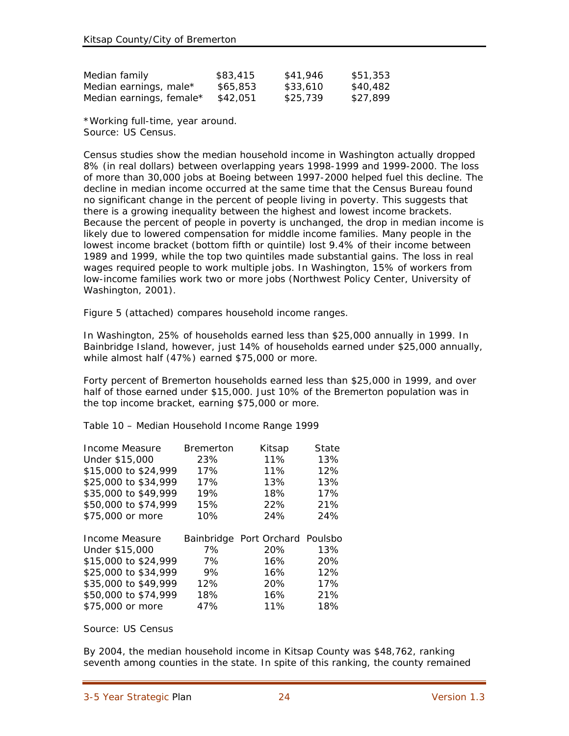| Median family            | \$83,415 | \$41,946 | \$51,353 |
|--------------------------|----------|----------|----------|
| Median earnings, male*   | \$65,853 | \$33,610 | \$40,482 |
| Median earnings, female* | \$42,051 | \$25,739 | \$27.899 |

\*Working full-time, year around. Source: US Census.

Census studies show the median household income in Washington actually dropped 8% (in real dollars) between overlapping years 1998-1999 and 1999-2000. The loss of more than 30,000 jobs at Boeing between 1997-2000 helped fuel this decline. The decline in median income occurred at the same time that the Census Bureau found no significant change in the percent of people living in poverty. This suggests that there is a growing inequality between the highest and lowest income brackets. Because the percent of people in poverty is unchanged, the drop in median income is likely due to lowered compensation for middle income families. Many people in the lowest income bracket (bottom fifth or quintile) lost 9.4% of their income between 1989 and 1999, while the top two quintiles made substantial gains. The loss in real wages required people to work multiple jobs. In Washington, 15% of workers from low-income families work two or more jobs (Northwest Policy Center, University of Washington, 2001).

Figure 5 (attached) compares household income ranges.

In Washington, 25% of households earned less than \$25,000 annually in 1999. In Bainbridge Island, however, just 14% of households earned under \$25,000 annually, while almost half (47%) earned \$75,000 or more.

Forty percent of Bremerton households earned less than \$25,000 in 1999, and over half of those earned under \$15,000. Just 10% of the Bremerton population was in the top income bracket, earning \$75,000 or more.

Table 10 – Median Household Income Range 1999

| Income Measure       | <b>Bremerton</b>  | Kitsap               | State |
|----------------------|-------------------|----------------------|-------|
| Under \$15,000       | 23%               | 11%                  | 13%   |
| \$15,000 to \$24,999 | 17%               | 11%                  | 12%   |
| \$25,000 to \$34,999 | 17%               | 13%                  | 13%   |
| \$35,000 to \$49,999 | 19%               | 18%                  | 17%   |
| \$50,000 to \$74,999 | 15%               | 22%                  | 21%   |
| \$75,000 or more     | 10%               | 24%                  | 24%   |
|                      |                   |                      |       |
|                      |                   |                      |       |
| Income Measure       | <b>Bainbridge</b> | Port Orchard Poulsbo |       |
| Under \$15,000       | 7%                | 20%                  | 13%   |
| \$15,000 to \$24,999 | 7%                | 16%                  | 20%   |
| \$25,000 to \$34,999 | 9%                | 16%                  | 12%   |
| \$35,000 to \$49,999 | 12%               | 20%                  | 17%   |
| \$50,000 to \$74,999 | 18%               | 16%                  | 21%   |
| \$75,000 or more     | 47%               | 11%                  | 18%   |

Source: US Census

By 2004, the median household income in Kitsap County was \$48,762, ranking seventh among counties in the state. In spite of this ranking, the county remained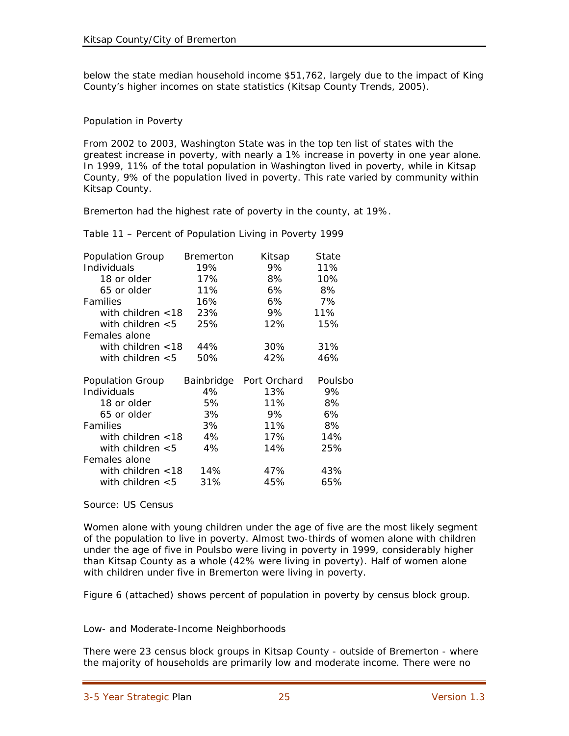below the state median household income \$51,762, largely due to the impact of King County's higher incomes on state statistics (Kitsap County Trends, 2005).

Population in Poverty

From 2002 to 2003, Washington State was in the top ten list of states with the greatest increase in poverty, with nearly a 1% increase in poverty in one year alone. In 1999, 11% of the total population in Washington lived in poverty, while in Kitsap County, 9% of the population lived in poverty. This rate varied by community within Kitsap County.

Bremerton had the highest rate of poverty in the county, at 19%.

Table 11 – Percent of Population Living in Poverty 1999

| <b>Population Group</b> | <b>Bremerton</b> | Kitsap       | State   |
|-------------------------|------------------|--------------|---------|
| Individuals             | 19%              | 9%           | 11%     |
| 18 or older             | 17%              | 8%           | 10%     |
| 65 or older             | 11%              | 6%           | 8%      |
| Families                | 16%              | 6%           | 7%      |
| with children $<$ 18    | 23%              | 9%           | 11%     |
| with children $< 5$     | 25%              | 12%          | 15%     |
| Females alone           |                  |              |         |
| with children $<$ 18    | 44%              | 30%          | 31%     |
| with children $< 5$     | 50%              | 42%          | 46%     |
|                         |                  |              |         |
|                         |                  |              |         |
| <b>Population Group</b> | Bainbridge       | Port Orchard | Poulsbo |
| Individuals             | 4%               | 13%          | 9%      |
| 18 or older             | 5%               | 11%          | 8%      |
| 65 or older             | 3%               | 9%           | 6%      |
| <b>Families</b>         | 3%               | 11%          | 8%      |
| with children $<$ 18    | 4%               | 17%          | 14%     |
| with children $<$ 5     | 4%               | 14%          | 25%     |
| Females alone           |                  |              |         |
| with children $<$ 18    | 14%              | 47%          | 43%     |
| with children $<$ 5     | 31%              | 45%          | 65%     |

#### Source: US Census

Women alone with young children under the age of five are the most likely segment of the population to live in poverty. Almost two-thirds of women alone with children under the age of five in Poulsbo were living in poverty in 1999, considerably higher than Kitsap County as a whole (42% were living in poverty). Half of women alone with children under five in Bremerton were living in poverty.

Figure 6 (attached) shows percent of population in poverty by census block group.

Low- and Moderate-Income Neighborhoods

There were 23 census block groups in Kitsap County - outside of Bremerton - where the majority of households are primarily low and moderate income. There were no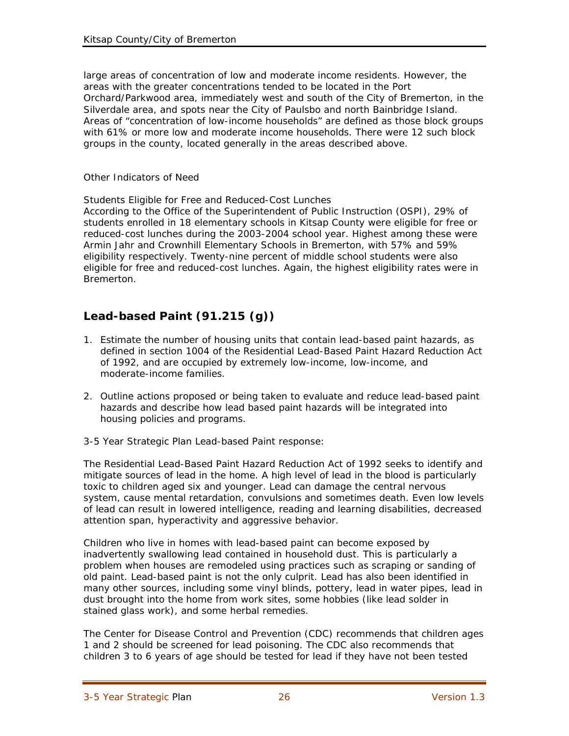large areas of concentration of low and moderate income residents. However, the areas with the greater concentrations tended to be located in the Port Orchard/Parkwood area, immediately west and south of the City of Bremerton, in the Silverdale area, and spots near the City of Paulsbo and north Bainbridge Island. Areas of "concentration of low-income households" are defined as those block groups with 61% or more low and moderate income households. There were 12 such block groups in the county, located generally in the areas described above.

#### Other Indicators of Need

Students Eligible for Free and Reduced-Cost Lunches

According to the Office of the Superintendent of Public Instruction (OSPI), 29% of students enrolled in 18 elementary schools in Kitsap County were eligible for free or reduced-cost lunches during the 2003-2004 school year. Highest among these were Armin Jahr and Crownhill Elementary Schools in Bremerton, with 57% and 59% eligibility respectively. Twenty-nine percent of middle school students were also eligible for free and reduced-cost lunches. Again, the highest eligibility rates were in Bremerton.

# **Lead-based Paint (91.215 (g))**

- 1. Estimate the number of housing units that contain lead-based paint hazards, as defined in section 1004 of the Residential Lead-Based Paint Hazard Reduction Act of 1992, and are occupied by extremely low-income, low-income, and moderate-income families.
- 2. Outline actions proposed or being taken to evaluate and reduce lead-based paint hazards and describe how lead based paint hazards will be integrated into housing policies and programs.
- 3-5 Year Strategic Plan Lead-based Paint response:

The Residential Lead-Based Paint Hazard Reduction Act of 1992 seeks to identify and mitigate sources of lead in the home. A high level of lead in the blood is particularly toxic to children aged six and younger. Lead can damage the central nervous system, cause mental retardation, convulsions and sometimes death. Even low levels of lead can result in lowered intelligence, reading and learning disabilities, decreased attention span, hyperactivity and aggressive behavior.

Children who live in homes with lead-based paint can become exposed by inadvertently swallowing lead contained in household dust. This is particularly a problem when houses are remodeled using practices such as scraping or sanding of old paint. Lead-based paint is not the only culprit. Lead has also been identified in many other sources, including some vinyl blinds, pottery, lead in water pipes, lead in dust brought into the home from work sites, some hobbies (like lead solder in stained glass work), and some herbal remedies.

The Center for Disease Control and Prevention (CDC) recommends that children ages 1 and 2 should be screened for lead poisoning. The CDC also recommends that children 3 to 6 years of age should be tested for lead if they have not been tested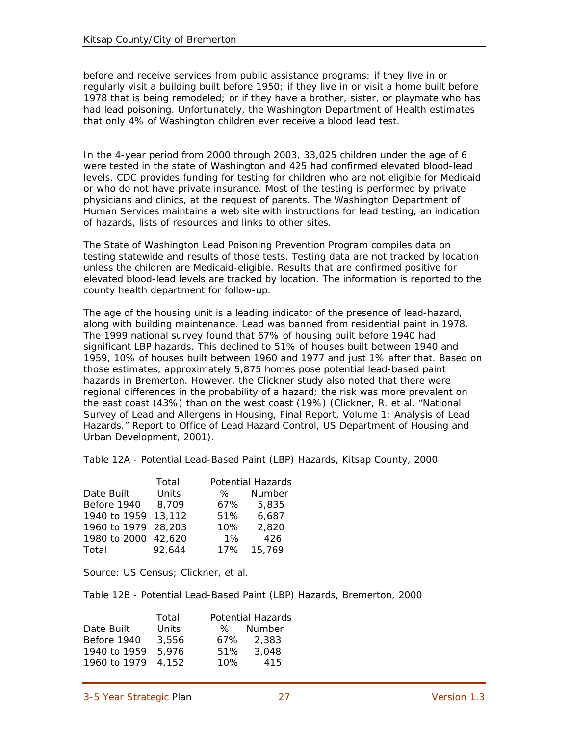before and receive services from public assistance programs; if they live in or regularly visit a building built before 1950; if they live in or visit a home built before 1978 that is being remodeled; or if they have a brother, sister, or playmate who has had lead poisoning. Unfortunately, the Washington Department of Health estimates that only 4% of Washington children ever receive a blood lead test.

In the 4-year period from 2000 through 2003, 33,025 children under the age of 6 were tested in the state of Washington and 425 had confirmed elevated blood-lead levels. CDC provides funding for testing for children who are not eligible for Medicaid or who do not have private insurance. Most of the testing is performed by private physicians and clinics, at the request of parents. The Washington Department of Human Services maintains a web site with instructions for lead testing, an indication of hazards, lists of resources and links to other sites.

The State of Washington Lead Poisoning Prevention Program compiles data on testing statewide and results of those tests. Testing data are not tracked by location unless the children are Medicaid-eligible. Results that are confirmed positive for elevated blood-lead levels are tracked by location. The information is reported to the county health department for follow-up.

The age of the housing unit is a leading indicator of the presence of lead-hazard, along with building maintenance. Lead was banned from residential paint in 1978. The 1999 national survey found that 67% of housing built before 1940 had significant LBP hazards. This declined to 51% of houses built between 1940 and 1959, 10% of houses built between 1960 and 1977 and just 1% after that. Based on those estimates, approximately 5,875 homes pose potential lead-based paint hazards in Bremerton. However, the Clickner study also noted that there were regional differences in the probability of a hazard; the risk was more prevalent on the east coast (43%) than on the west coast (19%) (Clickner, R. et al. "National Survey of Lead and Allergens in Housing, Final Report, Volume 1: Analysis of Lead Hazards." Report to Office of Lead Hazard Control, US Department of Housing and Urban Development, 2001).

Table 12A - Potential Lead-Based Paint (LBP) Hazards, Kitsap County, 2000

|                     | Total  |       | <b>Potential Hazards</b> |
|---------------------|--------|-------|--------------------------|
| Date Built          | Units  | ℅     | Number                   |
| Before 1940         | 8,709  | 67%   | 5,835                    |
| 1940 to 1959 13,112 |        | 51%   | 6,687                    |
| 1960 to 1979 28,203 |        | 10%   | 2,820                    |
| 1980 to 2000 42,620 |        | $1\%$ | 426                      |
| Total               | 92,644 | 17%   | 15,769                   |

Source: US Census; Clickner, et al.

Table 12B - Potential Lead-Based Paint (LBP) Hazards, Bremerton, 2000

|              | Total | <b>Potential Hazards</b> |
|--------------|-------|--------------------------|
| Date Built   | Units | <b>Number</b><br>℅       |
| Before 1940  | 3.556 | 67%<br>2,383             |
| 1940 to 1959 | 5.976 | 3,048<br>51%             |
| 1960 to 1979 | 4.152 | 10%<br>415               |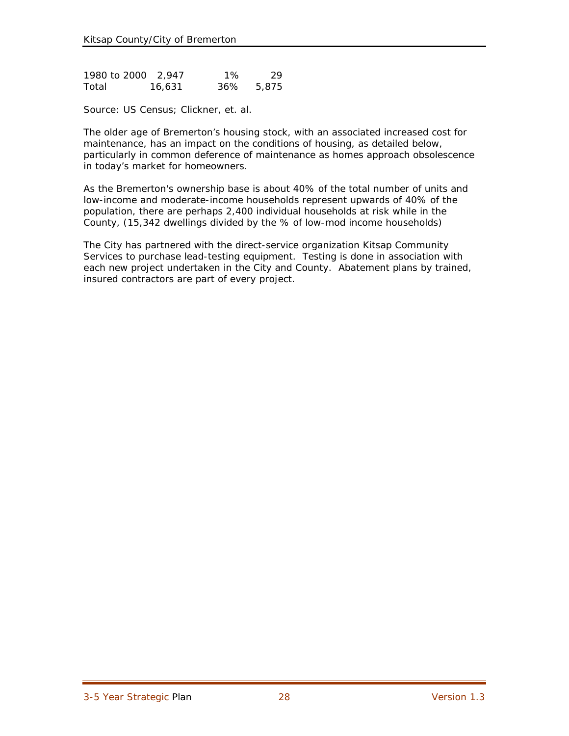| 1980 to 2000 2.947 |        | $1\%$ | 29.       |
|--------------------|--------|-------|-----------|
| Total              | 16.631 |       | 36% 5.875 |

Source: US Census; Clickner, et. al.

The older age of Bremerton's housing stock, with an associated increased cost for maintenance, has an impact on the conditions of housing, as detailed below, particularly in common deference of maintenance as homes approach obsolescence in today's market for homeowners.

As the Bremerton's ownership base is about 40% of the total number of units and low-income and moderate-income households represent upwards of 40% of the population, there are perhaps 2,400 individual households at risk while in the County, (15,342 dwellings divided by the % of low-mod income households)

The City has partnered with the direct-service organization Kitsap Community Services to purchase lead-testing equipment. Testing is done in association with each new project undertaken in the City and County. Abatement plans by trained, insured contractors are part of every project.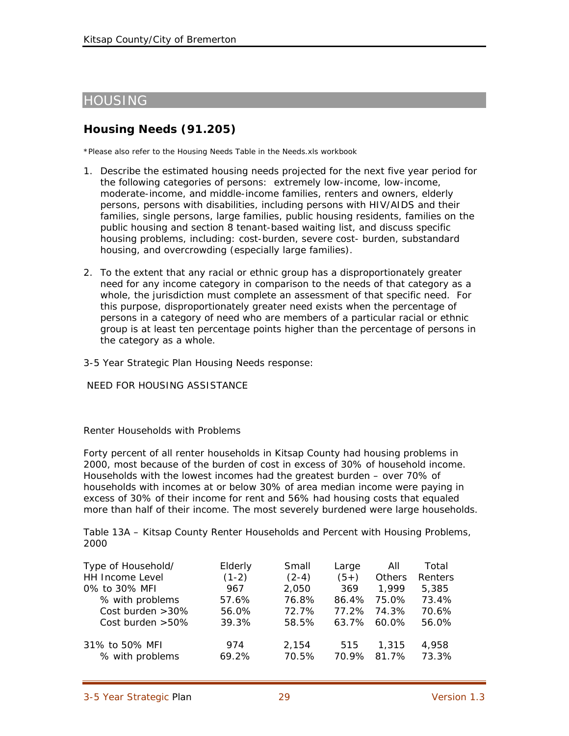# HOUSING

# **Housing Needs (91.205)**

\*Please also refer to the Housing Needs Table in the Needs.xls workbook

- 1. Describe the estimated housing needs projected for the next five year period for the following categories of persons: extremely low-income, low-income, moderate-income, and middle-income families, renters and owners, elderly persons, persons with disabilities, including persons with HIV/AIDS and their families, single persons, large families, public housing residents, families on the public housing and section 8 tenant-based waiting list, and discuss specific housing problems, including: cost-burden, severe cost- burden, substandard housing, and overcrowding (especially large families).
- 2. To the extent that any racial or ethnic group has a disproportionately greater need for any income category in comparison to the needs of that category as a whole, the jurisdiction must complete an assessment of that specific need. For this purpose, disproportionately greater need exists when the percentage of persons in a category of need who are members of a particular racial or ethnic group is at least ten percentage points higher than the percentage of persons in the category as a whole.
- 3-5 Year Strategic Plan Housing Needs response:

NEED FOR HOUSING ASSISTANCE

Renter Households with Problems

Forty percent of all renter households in Kitsap County had housing problems in 2000, most because of the burden of cost in excess of 30% of household income. Households with the lowest incomes had the greatest burden – over 70% of households with incomes at or below 30% of area median income were paying in excess of 30% of their income for rent and 56% had housing costs that equaled more than half of their income. The most severely burdened were large households.

Table 13A – Kitsap County Renter Households and Percent with Housing Problems, 2000

| Type of Household/                | Elderly      | Small          | Large        | All            | Total          |
|-----------------------------------|--------------|----------------|--------------|----------------|----------------|
| HH Income Level                   | $(1-2)$      | $(2-4)$        | $(5+)$       | Others         | Renters        |
| 0% to 30% MFI                     | 967          | 2,050          | 369          | 1.999          | 5,385          |
| % with problems                   | 57.6%        | 76.8%          | 86.4%        | 75.0%          | 73.4%          |
| Cost burden $>30\%$               | 56.0%        | 72.7%          | 77.2%        | 74.3%          | 70.6%          |
| Cost burden $>50\%$               | 39.3%        | 58.5%          | $63.7\%$     | $60.0\%$       | 56.0%          |
| 31% to 50% MFI<br>% with problems | 974<br>69.2% | 2.154<br>70.5% | 515<br>70.9% | 1,315<br>81.7% | 4,958<br>73.3% |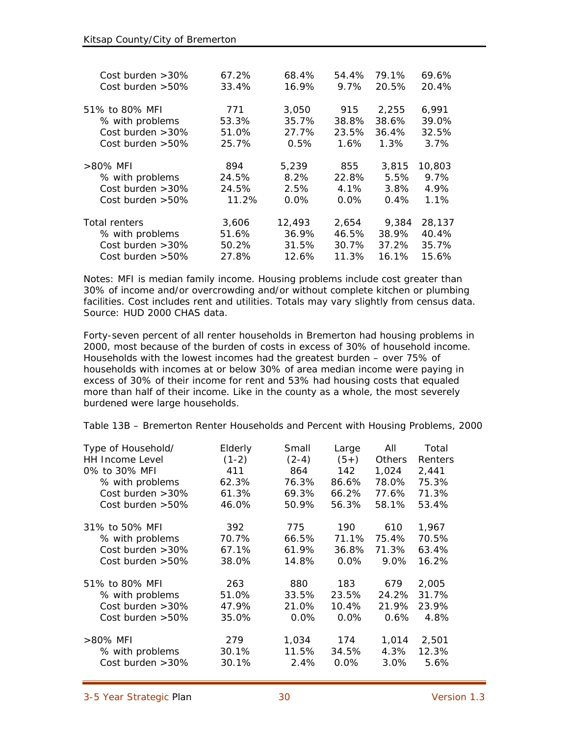| Cost burden $>30\%$ | 67.2% | 68.4%   | 54.4%   | 79.1%   | 69.6%   |
|---------------------|-------|---------|---------|---------|---------|
| Cost burden $>50\%$ | 33.4% | 16.9%   | $9.7\%$ | 20.5%   | 20.4%   |
| 51% to 80% MFI      | 771   | 3,050   | 915     | 2,255   | 6,991   |
| % with problems     | 53.3% | 35.7%   | 38.8%   | 38.6%   | 39.0%   |
| Cost burden $>30\%$ | 51.0% | 27.7%   | 23.5%   | 36.4%   | 32.5%   |
| Cost burden $>50\%$ | 25.7% | 0.5%    | $1.6\%$ | 1.3%    | 3.7%    |
| >80% MFI            | 894   | 5,239   | 855     | 3,815   | 10,803  |
| % with problems     | 24.5% | 8.2%    | 22.8%   | 5.5%    | $9.7\%$ |
| Cost burden $>30\%$ | 24.5% | 2.5%    | 4.1%    | 3.8%    | 4.9%    |
| Cost burden $>50\%$ | 11.2% | $0.0\%$ | $0.0\%$ | $0.4\%$ | 1.1%    |
| Total renters       | 3,606 | 12,493  | 2,654   | 9,384   | 28,137  |
| % with problems     | 51.6% | 36.9%   | 46.5%   | 38.9%   | 40.4%   |
| Cost burden > 30%   | 50.2% | 31.5%   | 30.7%   | 37.2%   | 35.7%   |
| Cost burden $>50\%$ | 27.8% | 12.6%   | 11.3%   | 16.1%   | 15.6%   |

Notes: MFI is median family income. Housing problems include cost greater than 30% of income and/or overcrowding and/or without complete kitchen or plumbing facilities. Cost includes rent and utilities. Totals may vary slightly from census data. Source: HUD 2000 CHAS data.

Forty-seven percent of all renter households in Bremerton had housing problems in 2000, most because of the burden of costs in excess of 30% of household income. Households with the lowest incomes had the greatest burden – over 75% of households with incomes at or below 30% of area median income were paying in excess of 30% of their income for rent and 53% had housing costs that equaled more than half of their income. Like in the county as a whole, the most severely burdened were large households.

Table 13B – Bremerton Renter Households and Percent with Housing Problems, 2000

| Type of Household/     | Elderly | Small   | Large   | All           | Total   |
|------------------------|---------|---------|---------|---------------|---------|
| <b>HH Income Level</b> | $(1-2)$ | $(2-4)$ | $(5+)$  | <b>Others</b> | Renters |
| 0% to 30% MFI          | 411     | 864     | 142     | 1,024         | 2,441   |
| % with problems        | 62.3%   | 76.3%   | 86.6%   | 78.0%         | 75.3%   |
| Cost burden $>30\%$    | 61.3%   | 69.3%   | 66.2%   | 77.6%         | 71.3%   |
| Cost burden $>50\%$    | 46.0%   | 50.9%   | 56.3%   | 58.1%         | 53.4%   |
| 31% to 50% MFI         | 392     | 775     | 190     | 610           | 1.967   |
| % with problems        | 70.7%   | 66.5%   | 71.1%   | 75.4%         | 70.5%   |
| Cost burden $>30\%$    | 67.1%   | 61.9%   | 36.8%   | 71.3%         | 63.4%   |
| Cost burden $>50\%$    | 38.0%   | 14.8%   | $0.0\%$ | 9.0%          | 16.2%   |
| 51% to 80% MFI         | 263     | 880     | 183     | 679           | 2,005   |
| % with problems        | 51.0%   | 33.5%   | 23.5%   | 24.2%         | 31.7%   |
| Cost burden $>30\%$    | 47.9%   | 21.0%   | 10.4%   | 21.9%         | 23.9%   |
| Cost burden $>50\%$    | 35.0%   | 0.0%    | $0.0\%$ | 0.6%          | 4.8%    |
| $>80\%$ MFI            | 279     | 1,034   | 174     | 1.014         | 2,501   |
| % with problems        | 30.1%   | 11.5%   | 34.5%   | 4.3%          | 12.3%   |
| Cost burden $>30\%$    | 30.1%   | 2.4%    | 0.0%    | 3.0%          | 5.6%    |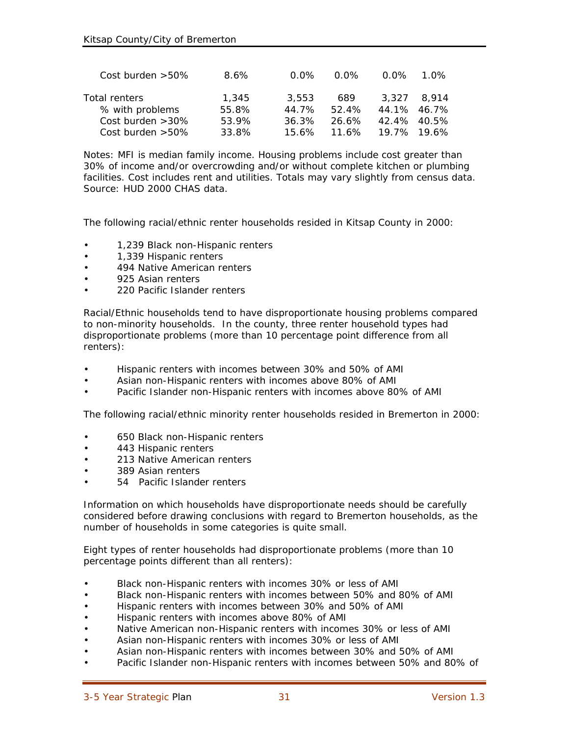| Cost burden $>50\%$ | 8.6%  | $0.0\%$  | $0.0\%$  | <u>በ በ% </u>      | 1 በ%          |
|---------------------|-------|----------|----------|-------------------|---------------|
| Total renters       | 1.345 | 3.553    | 689      | 3.327             | 8.914         |
| % with problems     | 55.8% | 44.7%    | 524%     |                   | 44.1% 46.7%   |
| Cost burden $>30\%$ | 53.9% | 36.3%    | 26.6%    | $42.4\%$ $40.5\%$ |               |
| Cost burden $>50\%$ | 33.8% | $15.6\%$ | $11.6\%$ | 19 7% ነ           | <u>19.6% </u> |

Notes: MFI is median family income. Housing problems include cost greater than 30% of income and/or overcrowding and/or without complete kitchen or plumbing facilities. Cost includes rent and utilities. Totals may vary slightly from census data. Source: HUD 2000 CHAS data.

The following racial/ethnic renter households resided in Kitsap County in 2000:

- 1,239 Black non-Hispanic renters
- 1,339 Hispanic renters
- 494 Native American renters
- 925 Asian renters
- 220 Pacific Islander renters

Racial/Ethnic households tend to have disproportionate housing problems compared to non-minority households. In the county, three renter household types had disproportionate problems (more than 10 percentage point difference from all renters):

- Hispanic renters with incomes between 30% and 50% of AMI
- Asian non-Hispanic renters with incomes above 80% of AMI
- Pacific Islander non-Hispanic renters with incomes above 80% of AMI

The following racial/ethnic minority renter households resided in Bremerton in 2000:

- 650 Black non-Hispanic renters
- 443 Hispanic renters
- 213 Native American renters
- 389 Asian renters
- 54 Pacific Islander renters

Information on which households have disproportionate needs should be carefully considered before drawing conclusions with regard to Bremerton households, as the number of households in some categories is quite small.

Eight types of renter households had disproportionate problems (more than 10 percentage points different than all renters):

- Black non-Hispanic renters with incomes 30% or less of AMI
- Black non-Hispanic renters with incomes between 50% and 80% of AMI
- Hispanic renters with incomes between 30% and 50% of AMI
- Hispanic renters with incomes above 80% of AMI
- Native American non-Hispanic renters with incomes 30% or less of AMI
- Asian non-Hispanic renters with incomes 30% or less of AMI
- Asian non-Hispanic renters with incomes between 30% and 50% of AMI
- Pacific Islander non-Hispanic renters with incomes between 50% and 80% of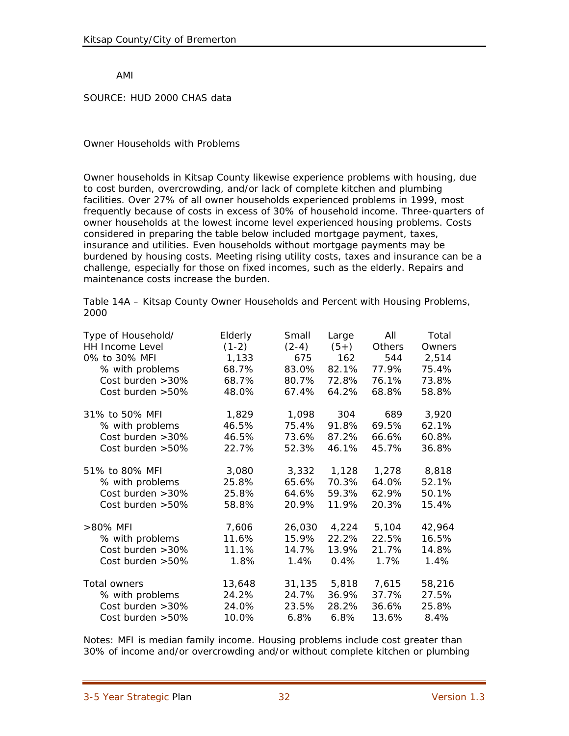AMI

## SOURCE: HUD 2000 CHAS data

#### Owner Households with Problems

Owner households in Kitsap County likewise experience problems with housing, due to cost burden, overcrowding, and/or lack of complete kitchen and plumbing facilities. Over 27% of all owner households experienced problems in 1999, most frequently because of costs in excess of 30% of household income. Three-quarters of owner households at the lowest income level experienced housing problems. Costs considered in preparing the table below included mortgage payment, taxes, insurance and utilities. Even households without mortgage payments may be burdened by housing costs. Meeting rising utility costs, taxes and insurance can be a challenge, especially for those on fixed incomes, such as the elderly. Repairs and maintenance costs increase the burden.

Table 14A – Kitsap County Owner Households and Percent with Housing Problems, 2000

| Type of Household/<br><b>HH Income Level</b> | Elderly<br>$(1-2)$ | Small<br>$(2-4)$ | Large<br>$(5+)$ | All<br>Others | Total<br>Owners |
|----------------------------------------------|--------------------|------------------|-----------------|---------------|-----------------|
| 0% to 30% MFI                                | 1,133              | 675              | 162             | 544           | 2,514           |
| % with problems                              | 68.7%              | 83.0%            | 82.1%           | 77.9%         | 75.4%           |
| Cost burden > 30%                            | 68.7%              | 80.7%            | 72.8%           | 76.1%         | 73.8%           |
| Cost burden > 50%                            | 48.0%              | 67.4%            | 64.2%           | 68.8%         | 58.8%           |
| 31% to 50% MFI                               | 1,829              | 1,098            | 304             | 689           | 3,920           |
| % with problems                              | 46.5%              | 75.4%            | 91.8%           | 69.5%         | 62.1%           |
| Cost burden > 30%                            | 46.5%              | 73.6%            | 87.2%           | 66.6%         | 60.8%           |
| Cost burden > 50%                            | 22.7%              | 52.3%            | 46.1%           | 45.7%         | 36.8%           |
| 51% to 80% MFI                               | 3,080              | 3,332            | 1,128           | 1,278         | 8,818           |
| % with problems                              | 25.8%              | 65.6%            | 70.3%           | 64.0%         | 52.1%           |
| Cost burden $>30\%$                          | 25.8%              | 64.6%            | 59.3%           | 62.9%         | 50.1%           |
| Cost burden > 50%                            | 58.8%              | 20.9%            | 11.9%           | 20.3%         | 15.4%           |
| >80% MFI                                     | 7,606              | 26,030           | 4,224           | 5,104         | 42,964          |
| % with problems                              | 11.6%              | 15.9%            | 22.2%           | 22.5%         | 16.5%           |
| Cost burden > 30%                            | 11.1%              | 14.7%            | 13.9%           | 21.7%         | 14.8%           |
| Cost burden $>50\%$                          | 1.8%               | 1.4%             | 0.4%            | 1.7%          | 1.4%            |
| <b>Total owners</b>                          | 13,648             | 31,135           | 5,818           | 7,615         | 58,216          |
| % with problems                              | 24.2%              | 24.7%            | 36.9%           | 37.7%         | 27.5%           |
| Cost burden > 30%                            | 24.0%              | 23.5%            | 28.2%           | 36.6%         | 25.8%           |
| Cost burden $>50\%$                          | 10.0%              | 6.8%             | 6.8%            | 13.6%         | 8.4%            |

Notes: MFI is median family income. Housing problems include cost greater than 30% of income and/or overcrowding and/or without complete kitchen or plumbing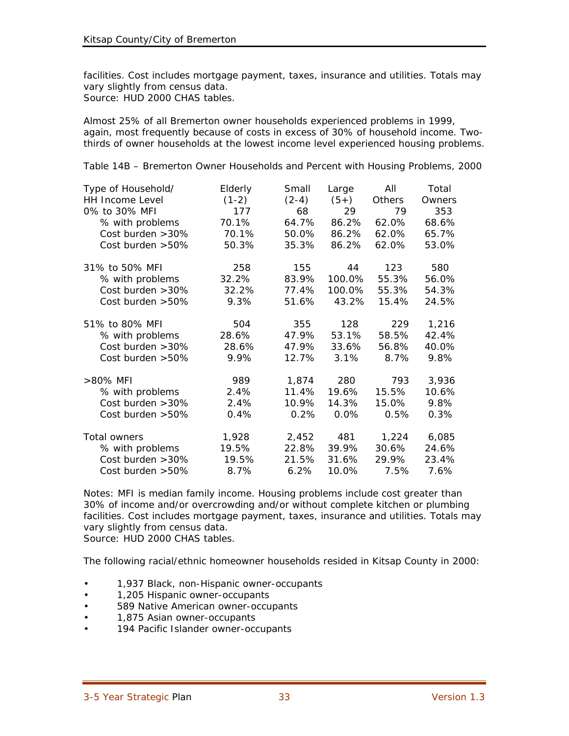facilities. Cost includes mortgage payment, taxes, insurance and utilities. Totals may vary slightly from census data.

Source: HUD 2000 CHAS tables.

Almost 25% of all Bremerton owner households experienced problems in 1999, again, most frequently because of costs in excess of 30% of household income. Twothirds of owner households at the lowest income level experienced housing problems.

Table 14B – Bremerton Owner Households and Percent with Housing Problems, 2000

| Type of Household/     | Elderly | Small   | Large  | All           | Total  |
|------------------------|---------|---------|--------|---------------|--------|
| <b>HH Income Level</b> | $(1-2)$ | $(2-4)$ | $(5+)$ | <b>Others</b> | Owners |
| 0% to 30% MFI          | 177     | 68      | 29     | 79            | 353    |
| % with problems        | 70.1%   | 64.7%   | 86.2%  | 62.0%         | 68.6%  |
| Cost burden > 30%      | 70.1%   | 50.0%   | 86.2%  | 62.0%         | 65.7%  |
| Cost burden > 50%      | 50.3%   | 35.3%   | 86.2%  | 62.0%         | 53.0%  |
| 31% to 50% MFI         | 258     | 155     | 44     | 123           | 580    |
| % with problems        | 32.2%   | 83.9%   | 100.0% | 55.3%         | 56.0%  |
| Cost burden > 30%      | 32.2%   | 77.4%   | 100.0% | 55.3%         | 54.3%  |
| Cost burden > 50%      | 9.3%    | 51.6%   | 43.2%  | 15.4%         | 24.5%  |
| 51% to 80% MFI         | 504     | 355     | 128    | 229           | 1,216  |
| % with problems        | 28.6%   | 47.9%   | 53.1%  | 58.5%         | 42.4%  |
| Cost burden > 30%      | 28.6%   | 47.9%   | 33.6%  | 56.8%         | 40.0%  |
| Cost burden > 50%      | 9.9%    | 12.7%   | 3.1%   | 8.7%          | 9.8%   |
| >80% MFI               | 989     | 1,874   | 280    | 793           | 3,936  |
| % with problems        | 2.4%    | 11.4%   | 19.6%  | 15.5%         | 10.6%  |
| Cost burden > 30%      | 2.4%    | 10.9%   | 14.3%  | 15.0%         | 9.8%   |
| Cost burden > 50%      | 0.4%    | 0.2%    | 0.0%   | 0.5%          | 0.3%   |
| Total owners           | 1,928   | 2,452   | 481    | 1,224         | 6,085  |
| % with problems        | 19.5%   | 22.8%   | 39.9%  | 30.6%         | 24.6%  |
| Cost burden > 30%      | 19.5%   | 21.5%   | 31.6%  | 29.9%         | 23.4%  |
| Cost burden $>50\%$    | 8.7%    | 6.2%    | 10.0%  | 7.5%          | 7.6%   |

Notes: MFI is median family income. Housing problems include cost greater than 30% of income and/or overcrowding and/or without complete kitchen or plumbing facilities. Cost includes mortgage payment, taxes, insurance and utilities. Totals may vary slightly from census data.

Source: HUD 2000 CHAS tables.

The following racial/ethnic homeowner households resided in Kitsap County in 2000:

- 1,937 Black, non-Hispanic owner-occupants
- 1,205 Hispanic owner-occupants
- 589 Native American owner-occupants
- 1,875 Asian owner-occupants
- 194 Pacific Islander owner-occupants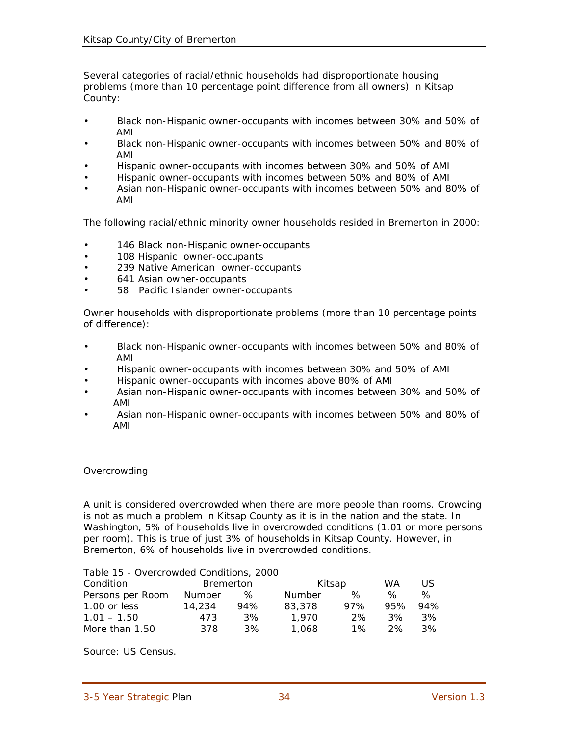Several categories of racial/ethnic households had disproportionate housing problems (more than 10 percentage point difference from all owners) in Kitsap County:

- Black non-Hispanic owner-occupants with incomes between 30% and 50% of AMI
- Black non-Hispanic owner-occupants with incomes between 50% and 80% of AMI
- Hispanic owner-occupants with incomes between 30% and 50% of AMI
- Hispanic owner-occupants with incomes between 50% and 80% of AMI
- Asian non-Hispanic owner-occupants with incomes between 50% and 80% of AMI

The following racial/ethnic minority owner households resided in Bremerton in 2000:

- 146 Black non-Hispanic owner-occupants
- 108 Hispanic owner-occupants
- 239 Native American owner-occupants
- 641 Asian owner-occupants
- 58 Pacific Islander owner-occupants

Owner households with disproportionate problems (more than 10 percentage points of difference):

- Black non-Hispanic owner-occupants with incomes between 50% and 80% of AMI
- Hispanic owner-occupants with incomes between 30% and 50% of AMI
- Hispanic owner-occupants with incomes above 80% of AMI
- Asian non-Hispanic owner-occupants with incomes between 30% and 50% of AMI
- Asian non-Hispanic owner-occupants with incomes between 50% and 80% of AMI

## **Overcrowding**

A unit is considered overcrowded when there are more people than rooms. Crowding is not as much a problem in Kitsap County as it is in the nation and the state. In Washington, 5% of households live in overcrowded conditions (1.01 or more persons per room). This is true of just 3% of households in Kitsap County. However, in Bremerton, 6% of households live in overcrowded conditions.

Table 15 - Overcrowded Conditions, 2000

| Condition        | <b>Bremerton</b> |     | Kitsap |       | WA  | US  |
|------------------|------------------|-----|--------|-------|-----|-----|
| Persons per Room | <b>Number</b>    | ℅   | Number | ℅     | ℅   | ℅   |
| $1.00$ or less   | 14.234           | 94% | 83,378 | 97%   | 95% | 94% |
| $1.01 - 1.50$    | 473              | 3%  | 1.970  | 2%    | 3%  | 3%  |
| More than 1.50   | 378              | 3%  | 1.068  | $1\%$ | 2%  | 3%  |

Source: US Census.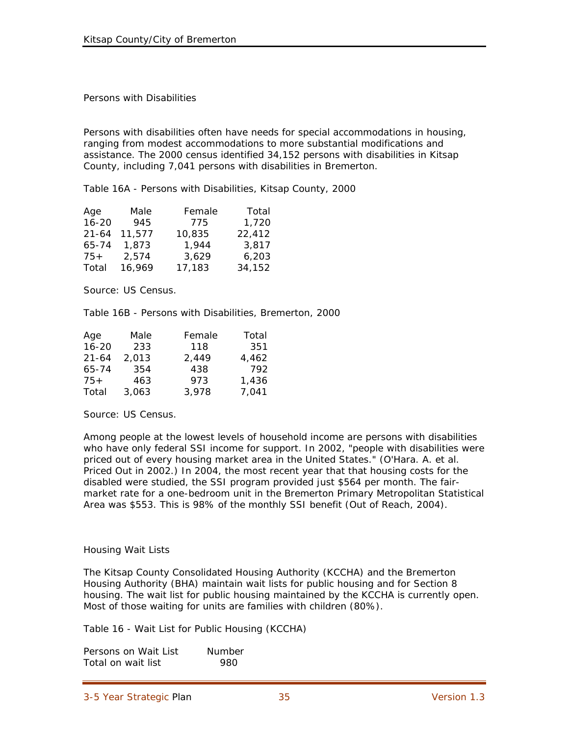Persons with Disabilities

Persons with disabilities often have needs for special accommodations in housing, ranging from modest accommodations to more substantial modifications and assistance. The 2000 census identified 34,152 persons with disabilities in Kitsap County, including 7,041 persons with disabilities in Bremerton.

Table 16A - Persons with Disabilities, Kitsap County, 2000

| Age       | Male   | Female | Total  |
|-----------|--------|--------|--------|
| $16 - 20$ | -945   | 775    | 1,720  |
| $21 - 64$ | 11,577 | 10,835 | 22,412 |
| $65 - 74$ | 1,873  | 1,944  | 3.817  |
| $75+$     | 2,574  | 3,629  | 6,203  |
| Total     | 16,969 | 17,183 | 34,152 |

Source: US Census.

Table 16B - Persons with Disabilities, Bremerton, 2000

| Age       | Male  | Female | Total |
|-----------|-------|--------|-------|
| $16 - 20$ | 233   | 118    | 351   |
| $21 - 64$ | 2,013 | 2,449  | 4.462 |
| 65-74     | 354   | 438    | 792   |
| $75+$     | 463   | 973    | 1.436 |
| Total     | 3,063 | 3,978  | 7,041 |

Source: US Census.

Among people at the lowest levels of household income are persons with disabilities who have only federal SSI income for support. In 2002, "people with disabilities were priced out of every housing market area in the United States." (O'Hara. A. et al. Priced Out in 2002.) In 2004, the most recent year that that housing costs for the disabled were studied, the SSI program provided just \$564 per month. The fairmarket rate for a one-bedroom unit in the Bremerton Primary Metropolitan Statistical Area was \$553. This is 98% of the monthly SSI benefit (Out of Reach, 2004).

## Housing Wait Lists

The Kitsap County Consolidated Housing Authority (KCCHA) and the Bremerton Housing Authority (BHA) maintain wait lists for public housing and for Section 8 housing. The wait list for public housing maintained by the KCCHA is currently open. Most of those waiting for units are families with children (80%).

Table 16 - Wait List for Public Housing (KCCHA)

| Persons on Wait List | <b>Number</b> |
|----------------------|---------------|
| Total on wait list   | 980           |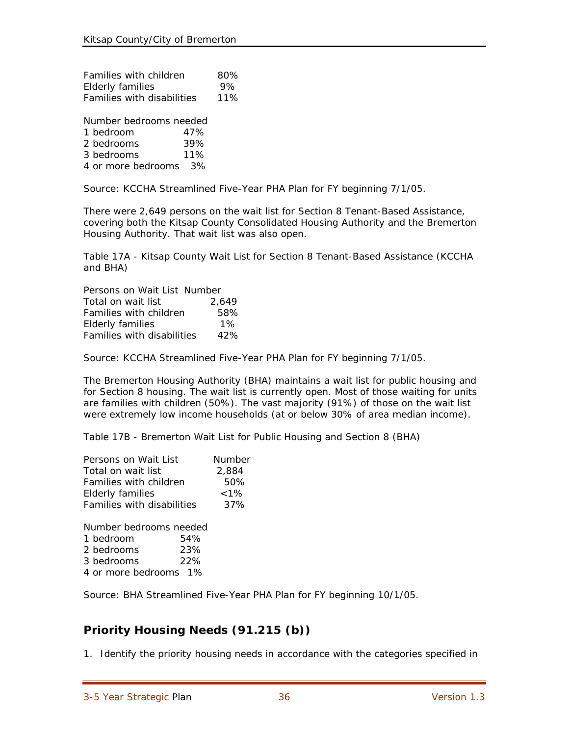| Families with children            | 80% |
|-----------------------------------|-----|
| <b>Elderly families</b>           | 9%  |
| <b>Families with disabilities</b> | 11% |

Number bedrooms needed 1 bedroom 47% 2 bedrooms 39%

3 bedrooms 11% 4 or more bedrooms 3%

Source: KCCHA Streamlined Five-Year PHA Plan for FY beginning 7/1/05.

There were 2,649 persons on the wait list for Section 8 Tenant-Based Assistance, covering both the Kitsap County Consolidated Housing Authority and the Bremerton Housing Authority. That wait list was also open.

Table 17A - Kitsap County Wait List for Section 8 Tenant-Based Assistance (KCCHA and BHA)

Persons on Wait List Number Total on wait list 2.649 Families with children 58% Elderly families 1% Families with disabilities 42%

Source: KCCHA Streamlined Five-Year PHA Plan for FY beginning 7/1/05.

The Bremerton Housing Authority (BHA) maintains a wait list for public housing and for Section 8 housing. The wait list is currently open. Most of those waiting for units are families with children (50%). The vast majority (91%) of those on the wait list were extremely low income households (at or below 30% of area median income).

Table 17B - Bremerton Wait List for Public Housing and Section 8 (BHA)

| Persons on Wait List       | <b>Number</b> |
|----------------------------|---------------|
| Total on wait list         | 2,884         |
| Families with children     | 50%           |
| <b>Elderly families</b>    | $< 1\%$       |
| Families with disabilities | 37%           |

Number bedrooms needed 1 bedroom 54% 2 bedrooms 23% 3 bedrooms 22% 4 or more bedrooms 1%

Source: BHA Streamlined Five-Year PHA Plan for FY beginning 10/1/05.

# **Priority Housing Needs (91.215 (b))**

1. Identify the priority housing needs in accordance with the categories specified in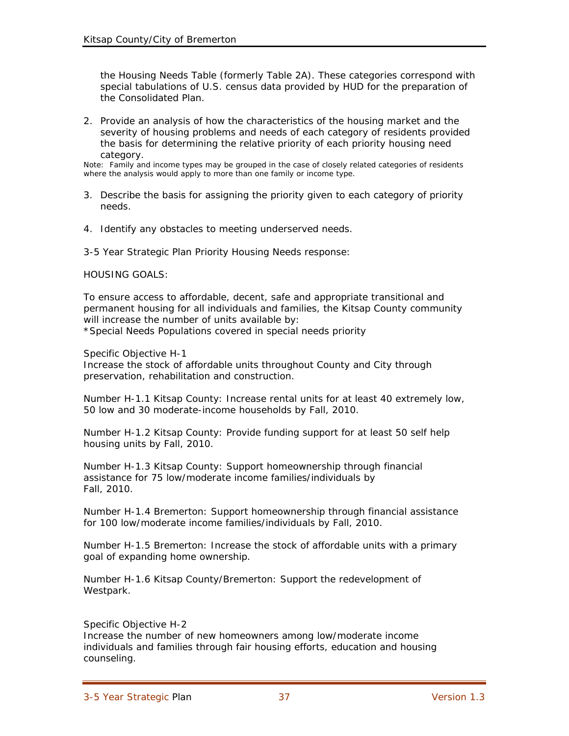the Housing Needs Table (formerly Table 2A). These categories correspond with special tabulations of U.S. census data provided by HUD for the preparation of the Consolidated Plan.

2. Provide an analysis of how the characteristics of the housing market and the severity of housing problems and needs of each category of residents provided the basis for determining the relative priority of each priority housing need category.

Note: Family and income types may be grouped in the case of closely related categories of residents where the analysis would apply to more than one family or income type.

- 3. Describe the basis for assigning the priority given to each category of priority needs.
- 4. Identify any obstacles to meeting underserved needs.
- 3-5 Year Strategic Plan Priority Housing Needs response:

#### HOUSING GOALS:

To ensure access to affordable, decent, safe and appropriate transitional and permanent housing for all individuals and families, the Kitsap County community will increase the number of units available by: \*Special Needs Populations covered in special needs priority

Specific Objective H-1

Increase the stock of affordable units throughout County and City through preservation, rehabilitation and construction.

Number H-1.1 Kitsap County: Increase rental units for at least 40 extremely low, 50 low and 30 moderate-income households by Fall, 2010.

Number H-1.2 Kitsap County: Provide funding support for at least 50 self help housing units by Fall, 2010.

Number H-1.3 Kitsap County: Support homeownership through financial assistance for 75 low/moderate income families/individuals by Fall, 2010.

Number H-1.4 Bremerton: Support homeownership through financial assistance for 100 low/moderate income families/individuals by Fall, 2010.

Number H-1.5 Bremerton: Increase the stock of affordable units with a primary goal of expanding home ownership.

Number H-1.6 Kitsap County/Bremerton: Support the redevelopment of Westpark.

Specific Objective H-2

Increase the number of new homeowners among low/moderate income individuals and families through fair housing efforts, education and housing counseling.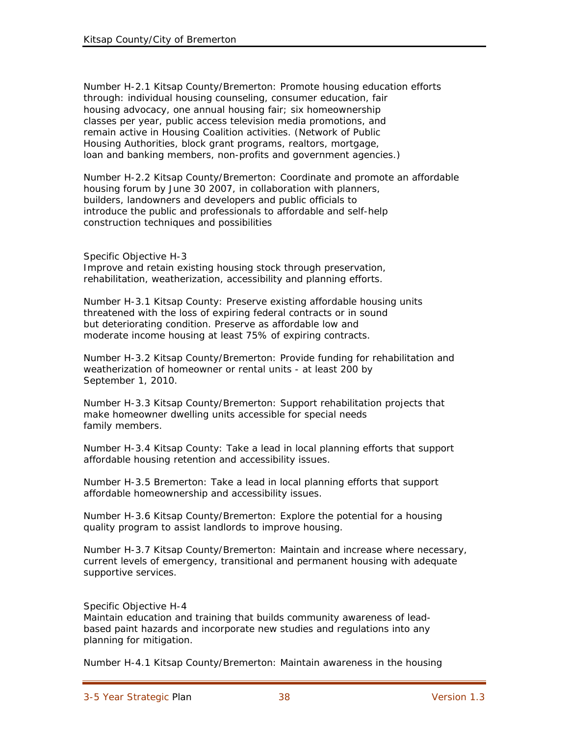Number H-2.1Kitsap County/Bremerton: Promote housing education efforts through: individual housing counseling, consumer education, fair housing advocacy, one annual housing fair; six homeownership classes per year, public access television media promotions, and remain active in Housing Coalition activities. (Network of Public Housing Authorities, block grant programs, realtors, mortgage, loan and banking members, non-profits and government agencies.)

Number H-2.2 Kitsap County/Bremerton: Coordinate and promote an affordable housing forum by June 30 2007, in collaboration with planners, builders, landowners and developers and public officials to introduce the public and professionals to affordable and self-help construction techniques and possibilities

Specific Objective H-3

Improve and retain existing housing stock through preservation, rehabilitation, weatherization, accessibility and planning efforts.

Number H-3.1 Kitsap County: Preserve existing affordable housing units threatened with the loss of expiring federal contracts or in sound but deteriorating condition. Preserve as affordable low and moderate income housing at least 75% of expiring contracts.

Number H-3.2 Kitsap County/Bremerton: Provide funding for rehabilitation and weatherization of homeowner or rental units - at least 200 by September 1, 2010.

Number H-3.3 Kitsap County/Bremerton: Support rehabilitation projects that make homeowner dwelling units accessible for special needs family members.

Number H-3.4Kitsap County: Take a lead in local planning efforts that support affordable housing retention and accessibility issues.

Number H-3.5 Bremerton: Take a lead in local planning efforts that support affordable homeownership and accessibility issues.

Number H-3.6 Kitsap County/Bremerton: Explore the potential for a housing quality program to assist landlords to improve housing.

Number H-3.7 Kitsap County/Bremerton: Maintain and increase where necessary, current levels of emergency, transitional and permanent housing with adequate supportive services.

Specific Objective H-4

Maintain education and training that builds community awareness of leadbased paint hazards and incorporate new studies and regulations into any planning for mitigation.

Number H-4.1 Kitsap County/Bremerton: Maintain awareness in the housing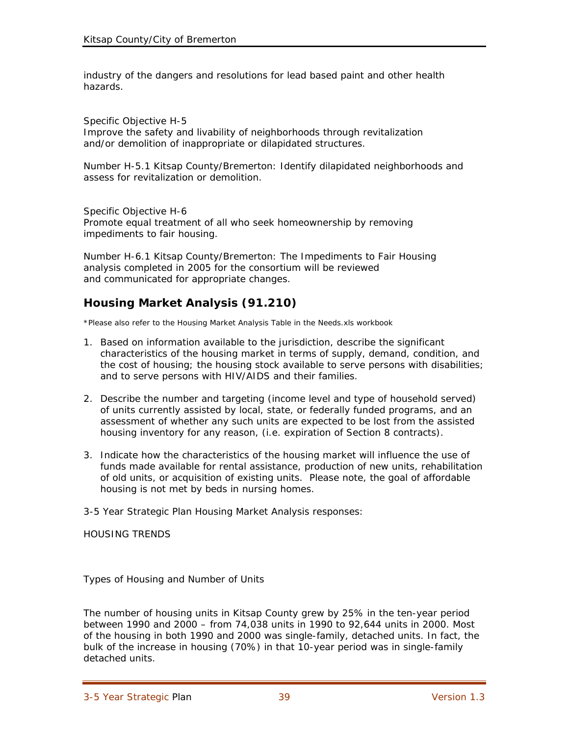industry of the dangers and resolutions for lead based paint and other health hazards.

Specific Objective H-5 Improve the safety and livability of neighborhoods through revitalization and/or demolition of inappropriate or dilapidated structures.

Number H-5.1 Kitsap County/Bremerton: Identify dilapidated neighborhoods and assess for revitalization or demolition.

Specific Objective H-6 Promote equal treatment of all who seek homeownership by removing impediments to fair housing.

Number H-6.1 Kitsap County/Bremerton: The Impediments to Fair Housing analysis completed in 2005 for the consortium will be reviewed and communicated for appropriate changes.

## **Housing Market Analysis (91.210)**

\*Please also refer to the Housing Market Analysis Table in the Needs.xls workbook

- 1. Based on information available to the jurisdiction, describe the significant characteristics of the housing market in terms of supply, demand, condition, and the cost of housing; the housing stock available to serve persons with disabilities; and to serve persons with HIV/AIDS and their families.
- 2. Describe the number and targeting (income level and type of household served) of units currently assisted by local, state, or federally funded programs, and an assessment of whether any such units are expected to be lost from the assisted housing inventory for any reason, (i.e. expiration of Section 8 contracts).
- 3. Indicate how the characteristics of the housing market will influence the use of funds made available for rental assistance, production of new units, rehabilitation of old units, or acquisition of existing units. Please note, the goal of affordable housing is not met by beds in nursing homes.

3-5 Year Strategic Plan Housing Market Analysis responses:

HOUSING TRENDS

Types of Housing and Number of Units

The number of housing units in Kitsap County grew by 25% in the ten-year period between 1990 and 2000 – from 74,038 units in 1990 to 92,644 units in 2000. Most of the housing in both 1990 and 2000 was single-family, detached units. In fact, the bulk of the increase in housing (70%) in that 10-year period was in single-family detached units.

<sup>3-5</sup> Year Strategic Plan 39 Version 1.3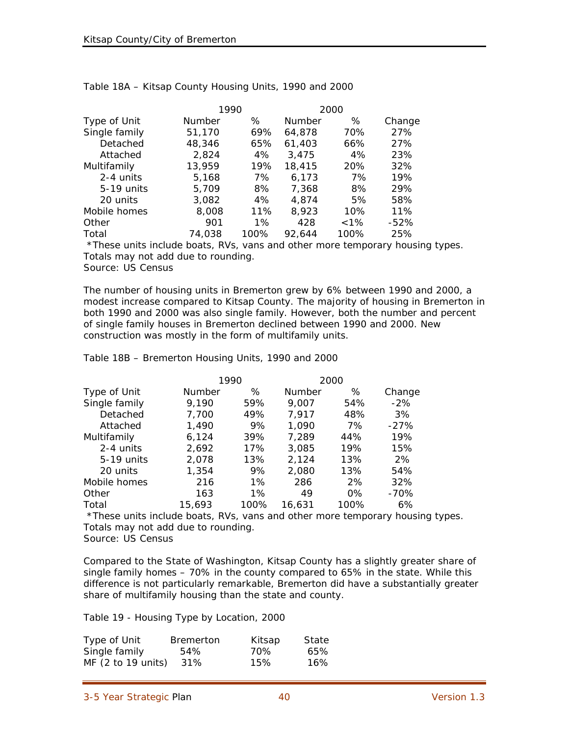|               | 1990   |       |        | 2000    |        |
|---------------|--------|-------|--------|---------|--------|
| Type of Unit  | Number | %     | Number | %       | Change |
| Single family | 51,170 | 69%   | 64,878 | 70%     | 27%    |
| Detached      | 48,346 | 65%   | 61,403 | 66%     | 27%    |
| Attached      | 2,824  | 4%    | 3,475  | 4%      | 23%    |
| Multifamily   | 13,959 | 19%   | 18,415 | 20%     | 32%    |
| 2-4 units     | 5,168  | 7%    | 6,173  | 7%      | 19%    |
| 5-19 units    | 5,709  | 8%    | 7,368  | 8%      | 29%    |
| 20 units      | 3,082  | 4%    | 4,874  | 5%      | 58%    |
| Mobile homes  | 8,008  | 11%   | 8,923  | 10%     | 11%    |
| Other         | 901    | $1\%$ | 428    | $< 1\%$ | $-52%$ |
| Total         | 74,038 | 100%  | 92.644 | 100%    | 25%    |

Table 18A – Kitsap County Housing Units, 1990 and 2000

 \*These units include boats, RVs, vans and other more temporary housing types. Totals may not add due to rounding.

Source: US Census

The number of housing units in Bremerton grew by 6% between 1990 and 2000, a modest increase compared to Kitsap County. The majority of housing in Bremerton in both 1990 and 2000 was also single family. However, both the number and percent of single family houses in Bremerton declined between 1990 and 2000. New construction was mostly in the form of multifamily units.

Table 18B – Bremerton Housing Units, 1990 and 2000

|               |               | 1990  |        | 2000  |        |
|---------------|---------------|-------|--------|-------|--------|
| Type of Unit  | <b>Number</b> | ℅     | Number | ℅     | Change |
| Single family | 9,190         | 59%   | 9,007  | 54%   | $-2\%$ |
| Detached      | 7,700         | 49%   | 7,917  | 48%   | 3%     |
| Attached      | 1,490         | 9%    | 1,090  | 7%    | $-27%$ |
| Multifamily   | 6,124         | 39%   | 7,289  | 44%   | 19%    |
| 2-4 units     | 2,692         | 17%   | 3,085  | 19%   | 15%    |
| 5-19 units    | 2,078         | 13%   | 2,124  | 13%   | 2%     |
| 20 units      | 1,354         | 9%    | 2,080  | 13%   | 54%    |
| Mobile homes  | 216           | $1\%$ | 286    | 2%    | 32%    |
| Other         | 163           | $1\%$ | 49     | $0\%$ | $-70%$ |
| Total         | 15,693        | 100%  | 16,631 | 100%  | 6%     |

 \*These units include boats, RVs, vans and other more temporary housing types. Totals may not add due to rounding. Source: US Census

Compared to the State of Washington, Kitsap County has a slightly greater share of single family homes – 70% in the county compared to 65% in the state. While this difference is not particularly remarkable, Bremerton did have a substantially greater share of multifamily housing than the state and county.

Table 19 - Housing Type by Location, 2000

| Type of Unit         | <b>Bremerton</b> | Kitsap | State |
|----------------------|------------------|--------|-------|
| Single family        | 54%              | 70%    | 65%   |
| MF $(2 to 19 units)$ | 31%              | 15%    | 16%   |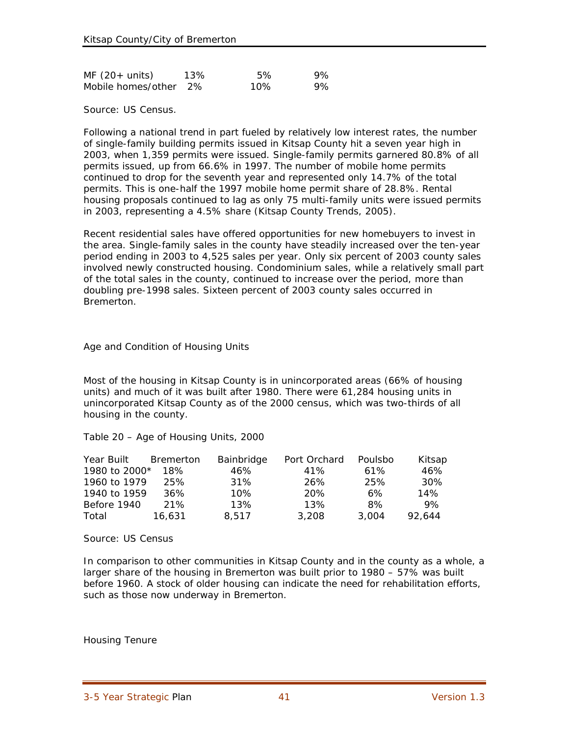| $MF(20+units)$        | 13% | .5% | 9% |
|-----------------------|-----|-----|----|
| Mobile homes/other 2% |     | 10% | 9% |

Source: US Census.

Following a national trend in part fueled by relatively low interest rates, the number of single-family building permits issued in Kitsap County hit a seven year high in 2003, when 1,359 permits were issued. Single-family permits garnered 80.8% of all permits issued, up from 66.6% in 1997. The number of mobile home permits continued to drop for the seventh year and represented only 14.7% of the total permits. This is one-half the 1997 mobile home permit share of 28.8%. Rental housing proposals continued to lag as only 75 multi-family units were issued permits in 2003, representing a 4.5% share (Kitsap County Trends, 2005).

Recent residential sales have offered opportunities for new homebuyers to invest in the area. Single-family sales in the county have steadily increased over the ten-year period ending in 2003 to 4,525 sales per year. Only six percent of 2003 county sales involved newly constructed housing. Condominium sales, while a relatively small part of the total sales in the county, continued to increase over the period, more than doubling pre-1998 sales. Sixteen percent of 2003 county sales occurred in Bremerton.

Age and Condition of Housing Units

Most of the housing in Kitsap County is in unincorporated areas (66% of housing units) and much of it was built after 1980. There were 61,284 housing units in unincorporated Kitsap County as of the 2000 census, which was two-thirds of all housing in the county.

Table 20 – Age of Housing Units, 2000

| Year Built    | <b>Bremerton</b> | Bainbridge | Port Orchard | Poulsbo | Kitsap |
|---------------|------------------|------------|--------------|---------|--------|
| 1980 to 2000* | 18%              | 46%        | 41%          | 61%     | 46%    |
| 1960 to 1979  | 25%              | 31%        | 26%          | 25%     | 30%    |
| 1940 to 1959  | 36%              | 10%        | 20%          | 6%      | 14%    |
| Before 1940   | 21%              | 13%        | 13%          | 8%      | 9%     |
| Total         | 16.631           | 8.517      | 3,208        | 3.004   | 92.644 |

Source: US Census

In comparison to other communities in Kitsap County and in the county as a whole, a larger share of the housing in Bremerton was built prior to 1980 – 57% was built before 1960. A stock of older housing can indicate the need for rehabilitation efforts, such as those now underway in Bremerton.

Housing Tenure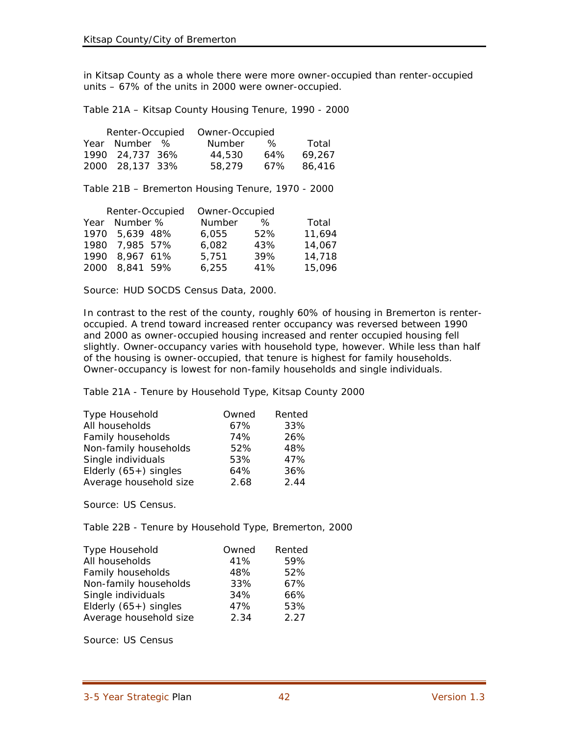in Kitsap County as a whole there were more owner-occupied than renter-occupied units – 67% of the units in 2000 were owner-occupied.

Table 21A – Kitsap County Housing Tenure, 1990 - 2000

| Renter-Occupied | Owner-Occupied |      |            |
|-----------------|----------------|------|------------|
| Year Number %   | Number         | $\%$ | Total      |
| 1990 24,737 36% | 44,530         | 64%  | 69.267     |
| 2000 28.137 33% | 58,279         |      | 67% 86.416 |

Table 21B – Bremerton Housing Tenure, 1970 - 2000

|                | Renter-Occupied | Owner-Occupied |     |        |
|----------------|-----------------|----------------|-----|--------|
| Year Number %  |                 | Number         | ℅   | Total  |
| 1970 5,639 48% |                 | 6.055          | 52% | 11,694 |
| 1980 7,985 57% |                 | 6,082          | 43% | 14,067 |
| 1990 8,967 61% |                 | 5,751          | 39% | 14,718 |
| 2000 8,841 59% |                 | 6,255          | 41% | 15,096 |

Source: HUD SOCDS Census Data, 2000.

In contrast to the rest of the county, roughly 60% of housing in Bremerton is renteroccupied. A trend toward increased renter occupancy was reversed between 1990 and 2000 as owner-occupied housing increased and renter occupied housing fell slightly. Owner-occupancy varies with household type, however. While less than half of the housing is owner-occupied, that tenure is highest for family households. Owner-occupancy is lowest for non-family households and single individuals.

Table 21A - Tenure by Household Type, Kitsap County 2000

| Type Household          | Owned | Rented |
|-------------------------|-------|--------|
| All households          | 67%   | 33%    |
| Family households       | 74%   | 26%    |
| Non-family households   | 52%   | 48%    |
| Single individuals      | 53%   | 47%    |
| Elderly $(65+)$ singles | 64%   | 36%    |
| Average household size  | 2.68  | 2.44   |

Source: US Census.

Table 22B - Tenure by Household Type, Bremerton, 2000

| <b>Type Household</b>   | Owned | Rented |
|-------------------------|-------|--------|
| All households          | 41%   | 59%    |
| Family households       | 48%   | 52%    |
| Non-family households   | 33%   | 67%    |
| Single individuals      | 34%   | 66%    |
| Elderly $(65+)$ singles | 47%   | 53%    |
| Average household size  | 2.34  | 2.27   |

Source: US Census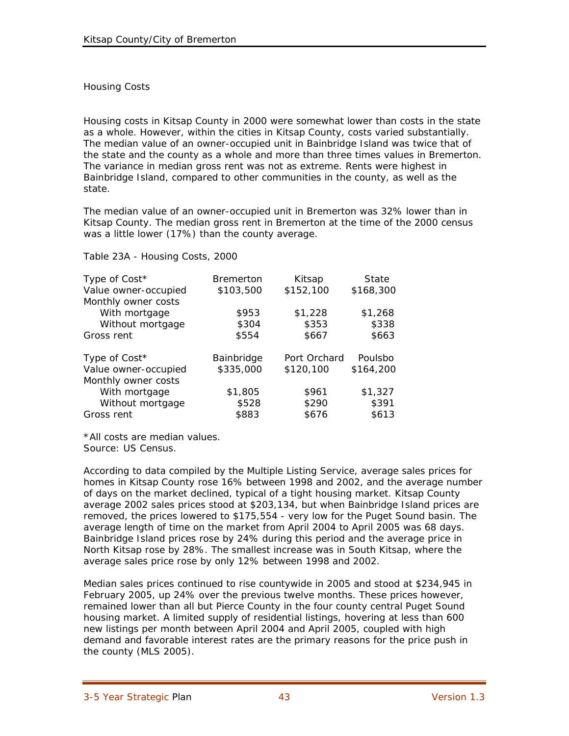#### Housing Costs

Housing costs in Kitsap County in 2000 were somewhat lower than costs in the state as a whole. However, within the cities in Kitsap County, costs varied substantially. The median value of an owner-occupied unit in Bainbridge Island was twice that of the state and the county as a whole and more than three times values in Bremerton. The variance in median gross rent was not as extreme. Rents were highest in Bainbridge Island, compared to other communities in the county, as well as the state.

The median value of an owner-occupied unit in Bremerton was 32% lower than in Kitsap County. The median gross rent in Bremerton at the time of the 2000 census was a little lower (17%) than the county average.

#### Table 23A - Housing Costs, 2000

| Type of Cost*        | <b>Bremerton</b> | Kitsap       | State     |
|----------------------|------------------|--------------|-----------|
| Value owner-occupied | \$103,500        | \$152,100    | \$168,300 |
| Monthly owner costs  |                  |              |           |
| With mortgage        | \$953            | \$1,228      | \$1,268   |
| Without mortgage     | \$304            | \$353        | \$338     |
| Gross rent           | \$554            | \$667        | \$663     |
| Type of Cost*        | Bainbridge       | Port Orchard | Poulsbo   |
| Value owner-occupied | \$335,000        | \$120,100    | \$164,200 |
| Monthly owner costs  |                  |              |           |
| With mortgage        | \$1,805          | \$961        | \$1,327   |
| Without mortgage     | \$528            | \$290        | \$391     |
| Gross rent           | \$883            | \$676        | \$613     |

\*All costs are median values. Source: US Census.

According to data compiled by the Multiple Listing Service, average sales prices for homes in Kitsap County rose 16% between 1998 and 2002, and the average number of days on the market declined, typical of a tight housing market. Kitsap County average 2002 sales prices stood at \$203,134, but when Bainbridge Island prices are removed, the prices lowered to \$175,554 - very low for the Puget Sound basin. The average length of time on the market from April 2004 to April 2005 was 68 days. Bainbridge Island prices rose by 24% during this period and the average price in North Kitsap rose by 28%. The smallest increase was in South Kitsap, where the average sales price rose by only 12% between 1998 and 2002.

Median sales prices continued to rise countywide in 2005 and stood at \$234,945 in February 2005, up 24% over the previous twelve months. These prices however, remained lower than all but Pierce County in the four county central Puget Sound housing market. A limited supply of residential listings, hovering at less than 600 new listings per month between April 2004 and April 2005, coupled with high demand and favorable interest rates are the primary reasons for the price push in the county (MLS 2005).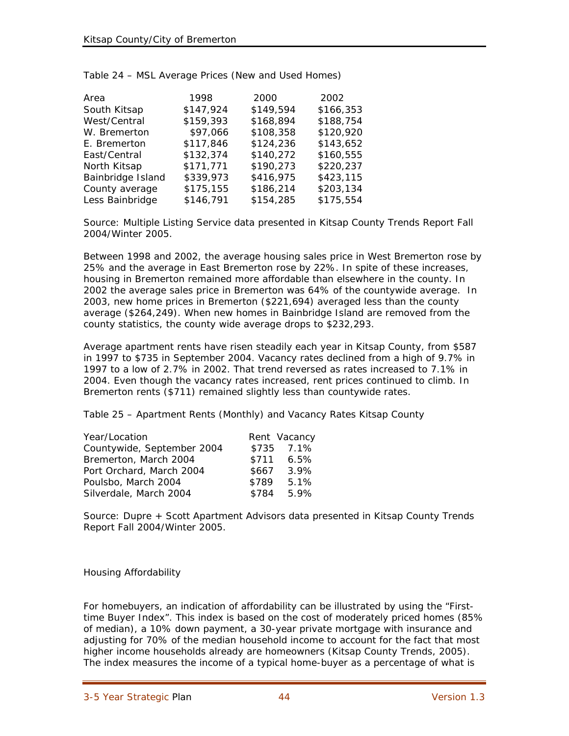| Area              | 1998      | 2000      | 2002      |
|-------------------|-----------|-----------|-----------|
| South Kitsap      | \$147,924 | \$149,594 | \$166,353 |
| West/Central      | \$159,393 | \$168,894 | \$188,754 |
| W. Bremerton      | \$97,066  | \$108,358 | \$120,920 |
| E. Bremerton      | \$117,846 | \$124,236 | \$143,652 |
| East/Central      | \$132,374 | \$140,272 | \$160,555 |
| North Kitsap      | \$171,771 | \$190,273 | \$220,237 |
| Bainbridge Island | \$339,973 | \$416,975 | \$423,115 |
| County average    | \$175,155 | \$186,214 | \$203,134 |
| Less Bainbridge   | \$146,791 | \$154,285 | \$175,554 |

Table 24 – MSL Average Prices (New and Used Homes)

Source: Multiple Listing Service data presented in Kitsap County Trends Report Fall 2004/Winter 2005.

Between 1998 and 2002, the average housing sales price in West Bremerton rose by 25% and the average in East Bremerton rose by 22%. In spite of these increases, housing in Bremerton remained more affordable than elsewhere in the county. In 2002 the average sales price in Bremerton was 64% of the countywide average. In 2003, new home prices in Bremerton (\$221,694) averaged less than the county average (\$264,249). When new homes in Bainbridge Island are removed from the county statistics, the county wide average drops to \$232,293.

Average apartment rents have risen steadily each year in Kitsap County, from \$587 in 1997 to \$735 in September 2004. Vacancy rates declined from a high of 9.7% in 1997 to a low of 2.7% in 2002. That trend reversed as rates increased to 7.1% in 2004. Even though the vacancy rates increased, rent prices continued to climb. In Bremerton rents (\$711) remained slightly less than countywide rates.

Table 25 – Apartment Rents (Monthly) and Vacancy Rates Kitsap County

| Year/Location              |       | Rent Vacancy |
|----------------------------|-------|--------------|
| Countywide, September 2004 |       | \$735 7.1%   |
| Bremerton, March 2004      | \$711 | 6.5%         |
| Port Orchard, March 2004   | \$667 | 3.9%         |
| Poulsbo, March 2004        | \$789 | 5.1%         |
| Silverdale, March 2004     | \$784 | 5.9%         |

Source: Dupre + Scott Apartment Advisors data presented in Kitsap County Trends Report Fall 2004/Winter 2005.

Housing Affordability

For homebuyers, an indication of affordability can be illustrated by using the "Firsttime Buyer Index". This index is based on the cost of moderately priced homes (85% of median), a 10% down payment, a 30-year private mortgage with insurance and adjusting for 70% of the median household income to account for the fact that most higher income households already are homeowners (Kitsap County Trends, 2005). The index measures the income of a typical home-buyer as a percentage of what is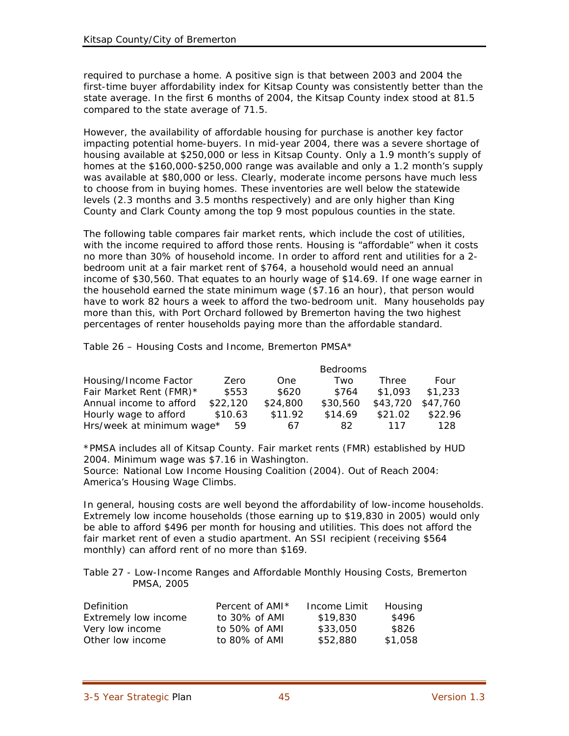required to purchase a home. A positive sign is that between 2003 and 2004 the first-time buyer affordability index for Kitsap County was consistently better than the state average. In the first 6 months of 2004, the Kitsap County index stood at 81.5 compared to the state average of 71.5.

However, the availability of affordable housing for purchase is another key factor impacting potential home-buyers. In mid-year 2004, there was a severe shortage of housing available at \$250,000 or less in Kitsap County. Only a 1.9 month's supply of homes at the \$160,000-\$250,000 range was available and only a 1.2 month's supply was available at \$80,000 or less. Clearly, moderate income persons have much less to choose from in buying homes. These inventories are well below the statewide levels (2.3 months and 3.5 months respectively) and are only higher than King County and Clark County among the top 9 most populous counties in the state.

The following table compares fair market rents, which include the cost of utilities, with the income required to afford those rents. Housing is "affordable" when it costs no more than 30% of household income. In order to afford rent and utilities for a 2 bedroom unit at a fair market rent of \$764, a household would need an annual income of \$30,560. That equates to an hourly wage of \$14.69. If one wage earner in the household earned the state minimum wage (\$7.16 an hour), that person would have to work 82 hours a week to afford the two-bedroom unit. Many households pay more than this, with Port Orchard followed by Bremerton having the two highest percentages of renter households paying more than the affordable standard.

Table 26 – Housing Costs and Income, Bremerton PMSA\*

|                           |          |          | <b>Bedrooms</b> |              |          |
|---------------------------|----------|----------|-----------------|--------------|----------|
| Housing/Income Factor     | Zero     | One      | Two             | <b>Three</b> | Four     |
| Fair Market Rent (FMR)*   | \$553    | \$620    | \$764           | \$1.093      | \$1.233  |
| Annual income to afford   | \$22,120 | \$24,800 | \$30,560        | \$43,720     | \$47,760 |
| Hourly wage to afford     | \$10.63  | \$11.92  | \$14.69         | \$21.02      | \$22.96  |
| Hrs/week at minimum wage* | 59       | 67       | 82              | 117          | 128      |

\*PMSA includes all of Kitsap County. Fair market rents (FMR) established by HUD 2004. Minimum wage was \$7.16 in Washington. Source: National Low Income Housing Coalition (2004). Out of Reach 2004:

America's Housing Wage Climbs.

In general, housing costs are well beyond the affordability of low-income households. Extremely low income households (those earning up to \$19,830 in 2005) would only be able to afford \$496 per month for housing and utilities. This does not afford the fair market rent of even a studio apartment. An SSI recipient (receiving \$564 monthly) can afford rent of no more than \$169.

Table 27 - Low-Income Ranges and Affordable Monthly Housing Costs, Bremerton PMSA, 2005

| Definition           | Percent of AMI <sup>*</sup> | Income Limit | Housing |
|----------------------|-----------------------------|--------------|---------|
| Extremely low income | to 30% of AMI               | \$19.830     | \$496   |
| Very low income      | to 50% of AMI               | \$33,050     | \$826   |
| Other low income     | to 80% of AMI               | \$52,880     | \$1,058 |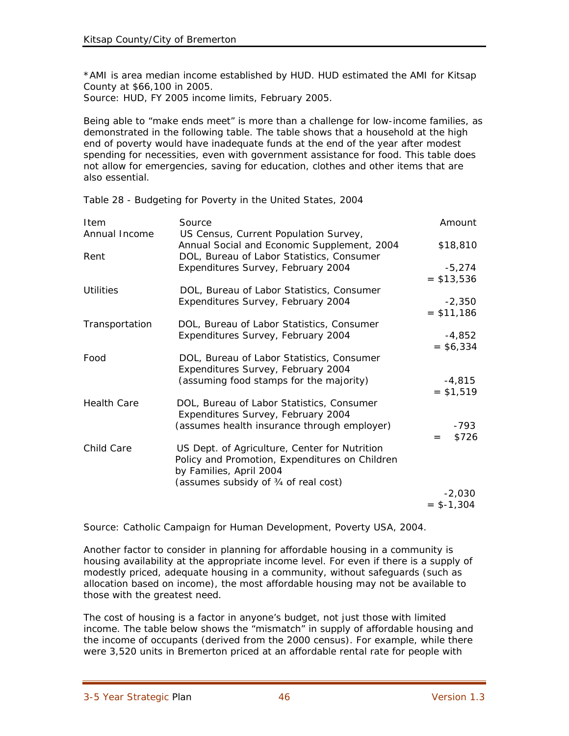\*AMI is area median income established by HUD. HUD estimated the AMI for Kitsap County at \$66,100 in 2005.

Source: HUD, FY 2005 income limits, February 2005.

Being able to "make ends meet" is more than a challenge for low-income families, as demonstrated in the following table. The table shows that a household at the high end of poverty would have inadequate funds at the end of the year after modest spending for necessities, even with government assistance for food. This table does not allow for emergencies, saving for education, clothes and other items that are also essential.

| Item               | Source                                         | Amount       |
|--------------------|------------------------------------------------|--------------|
| Annual Income      | US Census, Current Population Survey,          |              |
|                    | Annual Social and Economic Supplement, 2004    | \$18,810     |
| Rent               | DOL, Bureau of Labor Statistics, Consumer      |              |
|                    | Expenditures Survey, February 2004             | $-5,274$     |
|                    |                                                | $= $13,536$  |
| Utilities          | DOL, Bureau of Labor Statistics, Consumer      |              |
|                    | Expenditures Survey, February 2004             | $-2,350$     |
|                    |                                                | $= $11,186$  |
| Transportation     | DOL, Bureau of Labor Statistics, Consumer      |              |
|                    | Expenditures Survey, February 2004             | $-4,852$     |
|                    |                                                | $= $6,334$   |
|                    |                                                |              |
| Food               | DOL, Bureau of Labor Statistics, Consumer      |              |
|                    | Expenditures Survey, February 2004             |              |
|                    | (assuming food stamps for the majority)        | $-4,815$     |
|                    |                                                | $= $1,519$   |
| <b>Health Care</b> | DOL, Bureau of Labor Statistics, Consumer      |              |
|                    | Expenditures Survey, February 2004             |              |
|                    | (assumes health insurance through employer)    | -793         |
|                    |                                                | \$726<br>$=$ |
| Child Care         | US Dept. of Agriculture, Center for Nutrition  |              |
|                    |                                                |              |
|                    | Policy and Promotion, Expenditures on Children |              |
|                    | by Families, April 2004                        |              |
|                    | (assumes subsidy of 3/4 of real cost)          |              |
|                    |                                                | $-2,030$     |
|                    |                                                | $= $-1,304$  |

Table 28 - Budgeting for Poverty in the United States, 2004

Source: Catholic Campaign for Human Development, Poverty USA, 2004.

Another factor to consider in planning for affordable housing in a community is housing availability at the appropriate income level. For even if there is a supply of modestly priced, adequate housing in a community, without safeguards (such as allocation based on income), the most affordable housing may not be available to those with the greatest need.

The cost of housing is a factor in anyone's budget, not just those with limited income. The table below shows the "mismatch" in supply of affordable housing and the income of occupants (derived from the 2000 census). For example, while there were 3,520 units in Bremerton priced at an affordable rental rate for people with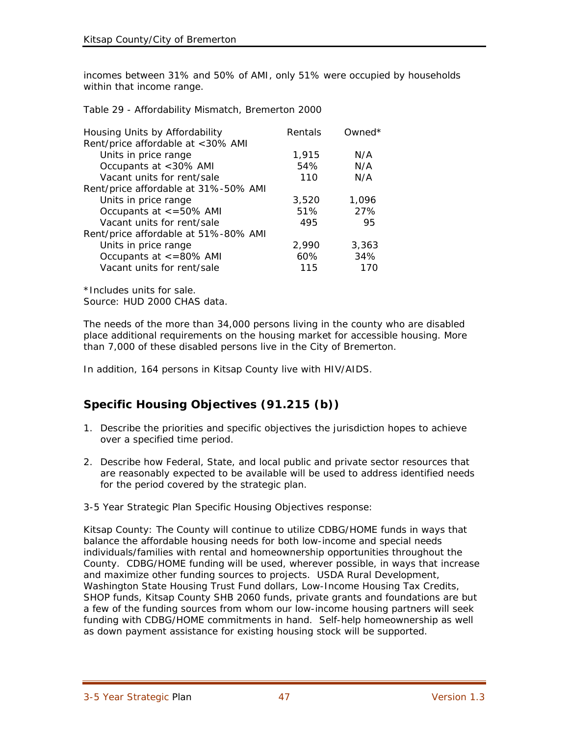incomes between 31% and 50% of AMI, only 51% were occupied by households within that income range.

Table 29 - Affordability Mismatch, Bremerton 2000

| Housing Units by Affordability       | Rentals | Owned $*$ |
|--------------------------------------|---------|-----------|
| Rent/price affordable at <30% AMI    |         |           |
| Units in price range                 | 1,915   | N/A       |
| Occupants at <30% AMI                | 54%     | N/A       |
| Vacant units for rent/sale           | 110     | N/A       |
| Rent/price affordable at 31%-50% AMI |         |           |
| Units in price range                 | 3,520   | 1.096     |
| Occupants at <= 50% AMI              | 51%     | 27%       |
| Vacant units for rent/sale           | 495     | 95        |
| Rent/price affordable at 51%-80% AMI |         |           |
| Units in price range                 | 2.990   | 3.363     |
| Occupants at <= 80% AMI              | 60%     | 34%       |
| Vacant units for rent/sale           | 115     | 170       |
|                                      |         |           |

\*Includes units for sale. Source: HUD 2000 CHAS data.

The needs of the more than 34,000 persons living in the county who are disabled place additional requirements on the housing market for accessible housing. More than 7,000 of these disabled persons live in the City of Bremerton.

In addition, 164 persons in Kitsap County live with HIV/AIDS.

# **Specific Housing Objectives (91.215 (b))**

- 1. Describe the priorities and specific objectives the jurisdiction hopes to achieve over a specified time period.
- 2. Describe how Federal, State, and local public and private sector resources that are reasonably expected to be available will be used to address identified needs for the period covered by the strategic plan.

3-5 Year Strategic Plan Specific Housing Objectives response:

Kitsap County: The County will continue to utilize CDBG/HOME funds in ways that balance the affordable housing needs for both low-income and special needs individuals/families with rental and homeownership opportunities throughout the County. CDBG/HOME funding will be used, wherever possible, in ways that increase and maximize other funding sources to projects. USDA Rural Development, Washington State Housing Trust Fund dollars, Low-Income Housing Tax Credits, SHOP funds, Kitsap County SHB 2060 funds, private grants and foundations are but a few of the funding sources from whom our low-income housing partners will seek funding with CDBG/HOME commitments in hand. Self-help homeownership as well as down payment assistance for existing housing stock will be supported.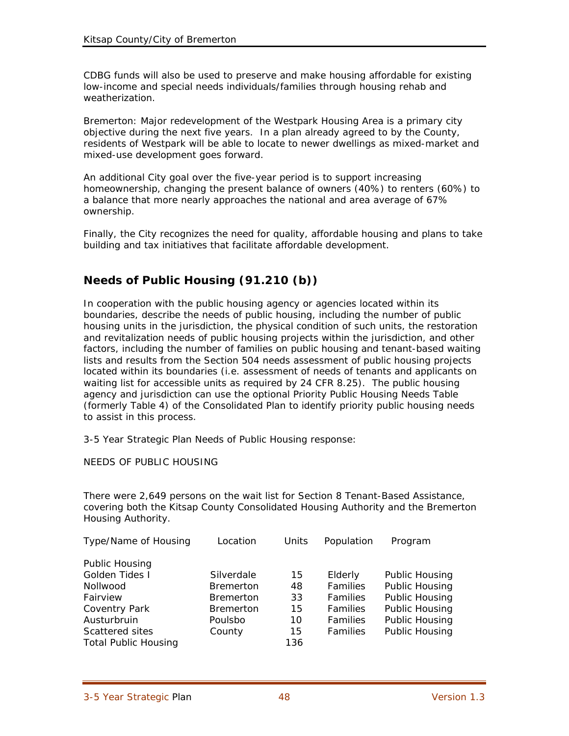CDBG funds will also be used to preserve and make housing affordable for existing low-income and special needs individuals/families through housing rehab and weatherization.

Bremerton: Major redevelopment of the Westpark Housing Area is a primary city objective during the next five years. In a plan already agreed to by the County, residents of Westpark will be able to locate to newer dwellings as mixed-market and mixed-use development goes forward.

An additional City goal over the five-year period is to support increasing homeownership, changing the present balance of owners (40%) to renters (60%) to a balance that more nearly approaches the national and area average of 67% ownership.

Finally, the City recognizes the need for quality, affordable housing and plans to take building and tax initiatives that facilitate affordable development.

## **Needs of Public Housing (91.210 (b))**

In cooperation with the public housing agency or agencies located within its boundaries, describe the needs of public housing, including the number of public housing units in the jurisdiction, the physical condition of such units, the restoration and revitalization needs of public housing projects within the jurisdiction, and other factors, including the number of families on public housing and tenant-based waiting lists and results from the Section 504 needs assessment of public housing projects located within its boundaries (i.e. assessment of needs of tenants and applicants on waiting list for accessible units as required by 24 CFR 8.25). The public housing agency and jurisdiction can use the optional Priority Public Housing Needs Table (formerly Table 4) of the Consolidated Plan to identify priority public housing needs to assist in this process.

3-5 Year Strategic Plan Needs of Public Housing response:

NEEDS OF PUBLIC HOUSING

There were 2,649 persons on the wait list for Section 8 Tenant-Based Assistance, covering both the Kitsap County Consolidated Housing Authority and the Bremerton Housing Authority.

| Type/Name of Housing        | Location         | Units | Population      | Program               |
|-----------------------------|------------------|-------|-----------------|-----------------------|
| Public Housing              |                  |       |                 |                       |
| Golden Tides I              | Silverdale       | 15    | Elderly         | <b>Public Housing</b> |
| <b>Nollwood</b>             | <b>Bremerton</b> | 48    | Families        | Public Housing        |
| Fairview                    | <b>Bremerton</b> | 33    | <b>Families</b> | Public Housing        |
| Coventry Park               | <b>Bremerton</b> | 15    | Families        | Public Housing        |
| Austurbruin                 | Poulsbo          | 10    | Families        | Public Housing        |
| Scattered sites             | County           | 15    | Families        | <b>Public Housing</b> |
| <b>Total Public Housing</b> |                  | 136   |                 |                       |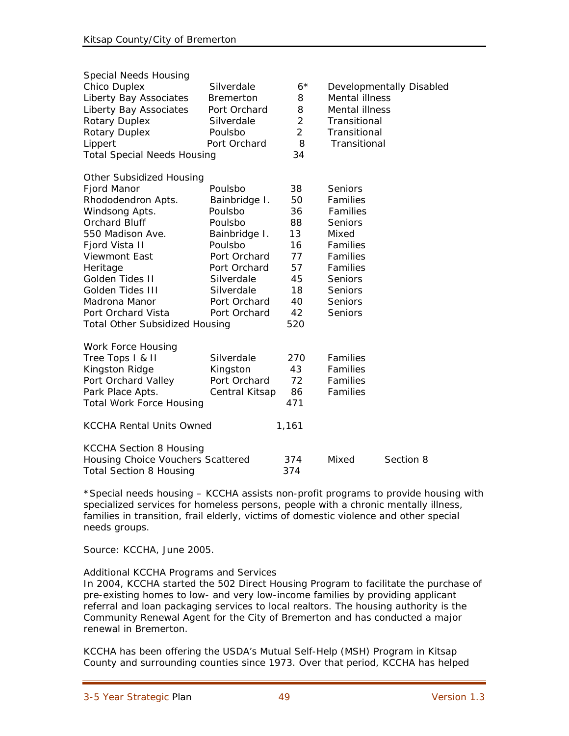| <b>Special Needs Housing</b>          |                  |                 |                |                          |
|---------------------------------------|------------------|-----------------|----------------|--------------------------|
| Chico Duplex                          | Silverdale       | $6\,{}^{\star}$ |                | Developmentally Disabled |
| Liberty Bay Associates                | <b>Bremerton</b> | 8               | Mental illness |                          |
| Liberty Bay Associates                | Port Orchard     | 8               | Mental illness |                          |
| <b>Rotary Duplex</b>                  | Silverdale       | $\overline{2}$  | Transitional   |                          |
| <b>Rotary Duplex</b>                  | Poulsbo          | $\overline{2}$  | Transitional   |                          |
| Lippert                               | Port Orchard     | 8               | Transitional   |                          |
| <b>Total Special Needs Housing</b>    |                  | 34              |                |                          |
| Other Subsidized Housing              |                  |                 |                |                          |
| Fjord Manor                           | Poulsbo          | 38              | <b>Seniors</b> |                          |
| Rhododendron Apts.                    | Bainbridge I.    | 50              | Families       |                          |
| Windsong Apts.                        | Poulsbo          | 36              | Families       |                          |
| <b>Orchard Bluff</b>                  | Poulsbo          | 88              | <b>Seniors</b> |                          |
| 550 Madison Ave.                      | Bainbridge I.    | 13              | Mixed          |                          |
| Fjord Vista II                        | Poulsbo          | 16              | Families       |                          |
| <b>Viewmont East</b>                  | Port Orchard     | 77              | Families       |                          |
| Heritage                              | Port Orchard     | 57              | Families       |                          |
| Golden Tides II                       | Silverdale       | 45              | <b>Seniors</b> |                          |
| Golden Tides III                      | Silverdale       | 18              | Seniors        |                          |
| Madrona Manor                         | Port Orchard     | 40              | <b>Seniors</b> |                          |
| Port Orchard Vista                    | Port Orchard     | 42              | Seniors        |                          |
| <b>Total Other Subsidized Housing</b> |                  | 520             |                |                          |
| Work Force Housing                    |                  |                 |                |                          |
| Tree Tops   & II                      | Silverdale       | 270             | Families       |                          |
| Kingston Ridge                        | Kingston         | 43              | Families       |                          |
| Port Orchard Valley                   | Port Orchard     | 72              | Families       |                          |
| Park Place Apts.                      | Central Kitsap   | 86              | Families       |                          |
| <b>Total Work Force Housing</b>       |                  | 471             |                |                          |
| <b>KCCHA Rental Units Owned</b>       |                  | 1,161           |                |                          |
| <b>KCCHA Section 8 Housing</b>        |                  |                 |                |                          |
| Housing Choice Vouchers Scattered     |                  | 374             | Mixed          | Section 8                |
| <b>Total Section 8 Housing</b>        |                  | 374             |                |                          |

\*Special needs housing – KCCHA assists non-profit programs to provide housing with specialized services for homeless persons, people with a chronic mentally illness, families in transition, frail elderly, victims of domestic violence and other special needs groups.

Source: KCCHA, June 2005.

Additional KCCHA Programs and Services In 2004, KCCHA started the 502 Direct Housing Program to facilitate the purchase of pre-existing homes to low- and very low-income families by providing applicant referral and loan packaging services to local realtors. The housing authority is the Community Renewal Agent for the City of Bremerton and has conducted a major renewal in Bremerton.

KCCHA has been offering the USDA's Mutual Self-Help (MSH) Program in Kitsap County and surrounding counties since 1973. Over that period, KCCHA has helped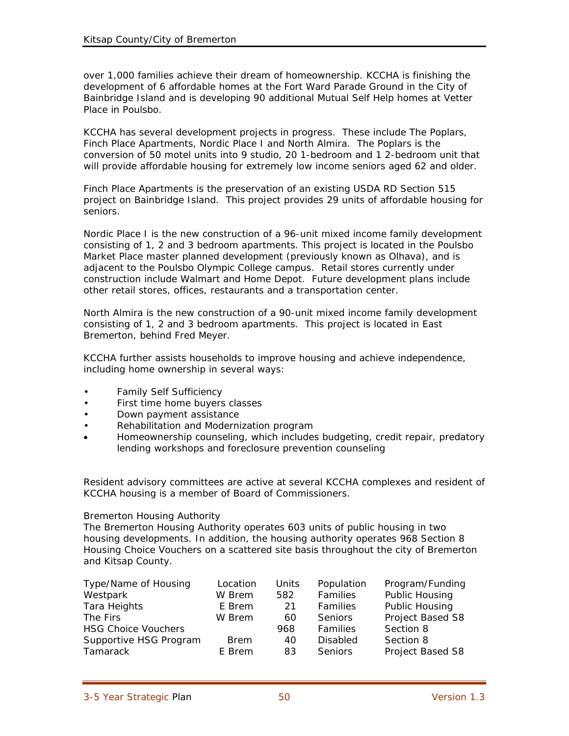over 1,000 families achieve their dream of homeownership. KCCHA is finishing the development of 6 affordable homes at the Fort Ward Parade Ground in the City of Bainbridge Island and is developing 90 additional Mutual Self Help homes at Vetter Place in Poulsbo.

KCCHA has several development projects in progress. These include The Poplars, Finch Place Apartments, Nordic Place I and North Almira. The Poplars is the conversion of 50 motel units into 9 studio, 20 1-bedroom and 1 2-bedroom unit that will provide affordable housing for extremely low income seniors aged 62 and older.

Finch Place Apartments is the preservation of an existing USDA RD Section 515 project on Bainbridge Island. This project provides 29 units of affordable housing for seniors.

Nordic Place I is the new construction of a 96-unit mixed income family development consisting of 1, 2 and 3 bedroom apartments. This project is located in the Poulsbo Market Place master planned development (previously known as Olhava), and is adjacent to the Poulsbo Olympic College campus. Retail stores currently under construction include Walmart and Home Depot. Future development plans include other retail stores, offices, restaurants and a transportation center.

North Almira is the new construction of a 90-unit mixed income family development consisting of 1, 2 and 3 bedroom apartments. This project is located in East Bremerton, behind Fred Meyer.

KCCHA further assists households to improve housing and achieve independence, including home ownership in several ways:

- Family Self Sufficiency
- First time home buyers classes
- Down payment assistance
- Rehabilitation and Modernization program
- Homeownership counseling, which includes budgeting, credit repair, predatory lending workshops and foreclosure prevention counseling

Resident advisory committees are active at several KCCHA complexes and resident of KCCHA housing is a member of Board of Commissioners.

#### Bremerton Housing Authority

The Bremerton Housing Authority operates 603 units of public housing in two housing developments. In addition, the housing authority operates 968 Section 8 Housing Choice Vouchers on a scattered site basis throughout the city of Bremerton and Kitsap County.

| Type/Name of Housing       | Location    | Units | Population      | Program/Funding  |
|----------------------------|-------------|-------|-----------------|------------------|
| Westpark                   | W Brem      | 582   | Families        | Public Housing   |
| <b>Tara Heights</b>        | E Brem      | 21    | Families        | Public Housing   |
| The Firs                   | W Brem      | 60    | <b>Seniors</b>  | Project Based S8 |
| <b>HSG Choice Vouchers</b> |             | 968   | Families        | Section 8        |
| Supportive HSG Program     | <b>Brem</b> | 40    | <b>Disabled</b> | Section 8        |
| Tamarack                   | E Brem      | 83    | <b>Seniors</b>  | Project Based S8 |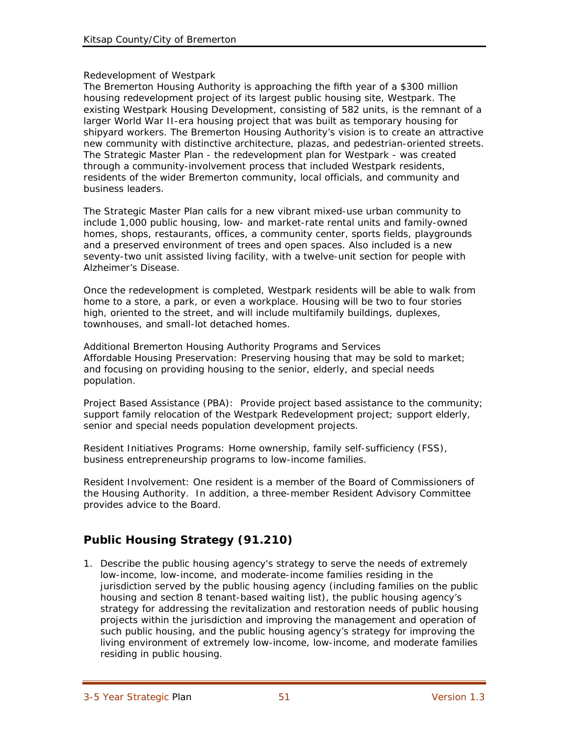#### Redevelopment of Westpark

The Bremerton Housing Authority is approaching the fifth year of a \$300 million housing redevelopment project of its largest public housing site, Westpark. The existing Westpark Housing Development, consisting of 582 units, is the remnant of a larger World War II-era housing project that was built as temporary housing for shipyard workers. The Bremerton Housing Authority's vision is to create an attractive new community with distinctive architecture, plazas, and pedestrian-oriented streets. The Strategic Master Plan - the redevelopment plan for Westpark - was created through a community-involvement process that included Westpark residents, residents of the wider Bremerton community, local officials, and community and business leaders.

The Strategic Master Plan calls for a new vibrant mixed-use urban community to include 1,000 public housing, low- and market-rate rental units and family-owned homes, shops, restaurants, offices, a community center, sports fields, playgrounds and a preserved environment of trees and open spaces. Also included is a new seventy-two unit assisted living facility, with a twelve-unit section for people with Alzheimer's Disease.

Once the redevelopment is completed, Westpark residents will be able to walk from home to a store, a park, or even a workplace. Housing will be two to four stories high, oriented to the street, and will include multifamily buildings, duplexes, townhouses, and small-lot detached homes.

Additional Bremerton Housing Authority Programs and Services Affordable Housing Preservation: Preserving housing that may be sold to market; and focusing on providing housing to the senior, elderly, and special needs population.

Project Based Assistance (PBA): Provide project based assistance to the community; support family relocation of the Westpark Redevelopment project; support elderly, senior and special needs population development projects.

Resident Initiatives Programs: Home ownership, family self-sufficiency (FSS), business entrepreneurship programs to low-income families.

Resident Involvement: One resident is a member of the Board of Commissioners of the Housing Authority. In addition, a three-member Resident Advisory Committee provides advice to the Board.

# **Public Housing Strategy (91.210)**

1. Describe the public housing agency's strategy to serve the needs of extremely low-income, low-income, and moderate-income families residing in the jurisdiction served by the public housing agency (including families on the public housing and section 8 tenant-based waiting list), the public housing agency's strategy for addressing the revitalization and restoration needs of public housing projects within the jurisdiction and improving the management and operation of such public housing, and the public housing agency's strategy for improving the living environment of extremely low-income, low-income, and moderate families residing in public housing.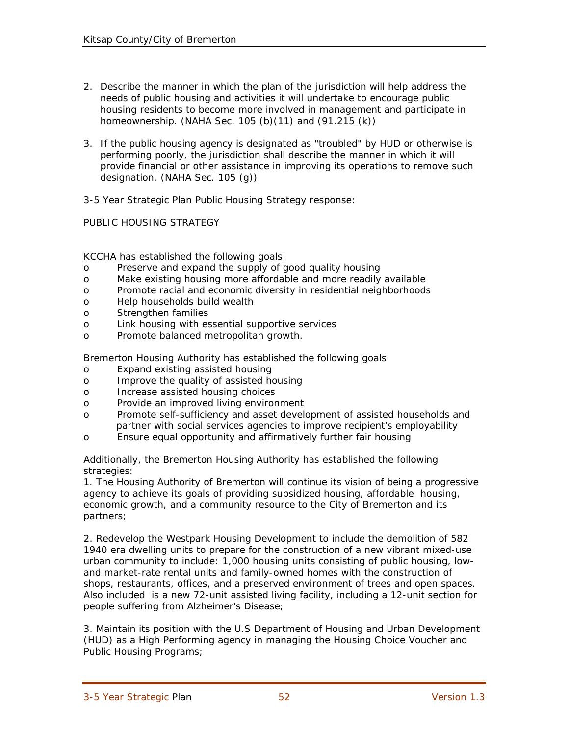- 2. Describe the manner in which the plan of the jurisdiction will help address the needs of public housing and activities it will undertake to encourage public housing residents to become more involved in management and participate in homeownership. (NAHA Sec. 105 (b)(11) and (91.215 (k))
- 3. If the public housing agency is designated as "troubled" by HUD or otherwise is performing poorly, the jurisdiction shall describe the manner in which it will provide financial or other assistance in improving its operations to remove such designation. (NAHA Sec. 105 (g))
- 3-5 Year Strategic Plan Public Housing Strategy response:

PUBLIC HOUSING STRATEGY

KCCHA has established the following goals:

- o Preserve and expand the supply of good quality housing
- o Make existing housing more affordable and more readily available
- o Promote racial and economic diversity in residential neighborhoods
- o Help households build wealth
- o Strengthen families
- o Link housing with essential supportive services
- o Promote balanced metropolitan growth.

Bremerton Housing Authority has established the following goals:

- o Expand existing assisted housing
- o Improve the quality of assisted housing
- o Increase assisted housing choices
- o Provide an improved living environment
- o Promote self-sufficiency and asset development of assisted households and partner with social services agencies to improve recipient's employability
- o Ensure equal opportunity and affirmatively further fair housing

Additionally, the Bremerton Housing Authority has established the following strategies:

1. The Housing Authority of Bremerton will continue its vision of being a progressive agency to achieve its goals of providing subsidized housing, affordable housing, economic growth, and a community resource to the City of Bremerton and its partners;

2. Redevelop the Westpark Housing Development to include the demolition of 582 1940 era dwelling units to prepare for the construction of a new vibrant mixed-use urban community to include: 1,000 housing units consisting of public housing, lowand market-rate rental units and family-owned homes with the construction of shops, restaurants, offices, and a preserved environment of trees and open spaces. Also included is a new 72-unit assisted living facility, including a 12-unit section for people suffering from Alzheimer's Disease;

3. Maintain its position with the U.S Department of Housing and Urban Development (HUD) as a High Performing agency in managing the Housing Choice Voucher and Public Housing Programs;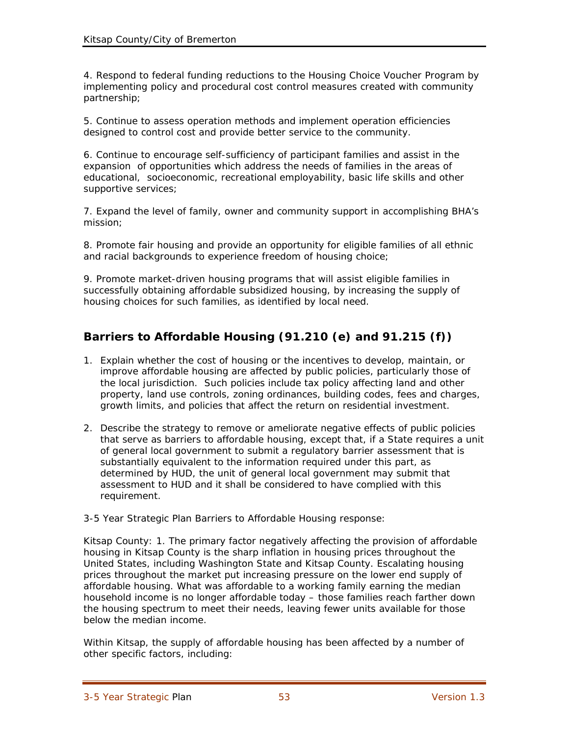4. Respond to federal funding reductions to the Housing Choice Voucher Program by implementing policy and procedural cost control measures created with community partnership;

5. Continue to assess operation methods and implement operation efficiencies designed to control cost and provide better service to the community.

6. Continue to encourage self-sufficiency of participant families and assist in the expansion of opportunities which address the needs of families in the areas of educational, socioeconomic, recreational employability, basic life skills and other supportive services;

7. Expand the level of family, owner and community support in accomplishing BHA's mission;

8. Promote fair housing and provide an opportunity for eligible families of all ethnic and racial backgrounds to experience freedom of housing choice;

9. Promote market-driven housing programs that will assist eligible families in successfully obtaining affordable subsidized housing, by increasing the supply of housing choices for such families, as identified by local need.

# **Barriers to Affordable Housing (91.210 (e) and 91.215 (f))**

- 1. Explain whether the cost of housing or the incentives to develop, maintain, or improve affordable housing are affected by public policies, particularly those of the local jurisdiction. Such policies include tax policy affecting land and other property, land use controls, zoning ordinances, building codes, fees and charges, growth limits, and policies that affect the return on residential investment.
- 2. Describe the strategy to remove or ameliorate negative effects of public policies that serve as barriers to affordable housing, except that, if a State requires a unit of general local government to submit a regulatory barrier assessment that is substantially equivalent to the information required under this part, as determined by HUD, the unit of general local government may submit that assessment to HUD and it shall be considered to have complied with this requirement.

3-5 Year Strategic Plan Barriers to Affordable Housing response:

Kitsap County: 1. The primary factor negatively affecting the provision of affordable housing in Kitsap County is the sharp inflation in housing prices throughout the United States, including Washington State and Kitsap County. Escalating housing prices throughout the market put increasing pressure on the lower end supply of affordable housing. What was affordable to a working family earning the median household income is no longer affordable today – those families reach farther down the housing spectrum to meet their needs, leaving fewer units available for those below the median income.

Within Kitsap, the supply of affordable housing has been affected by a number of other specific factors, including: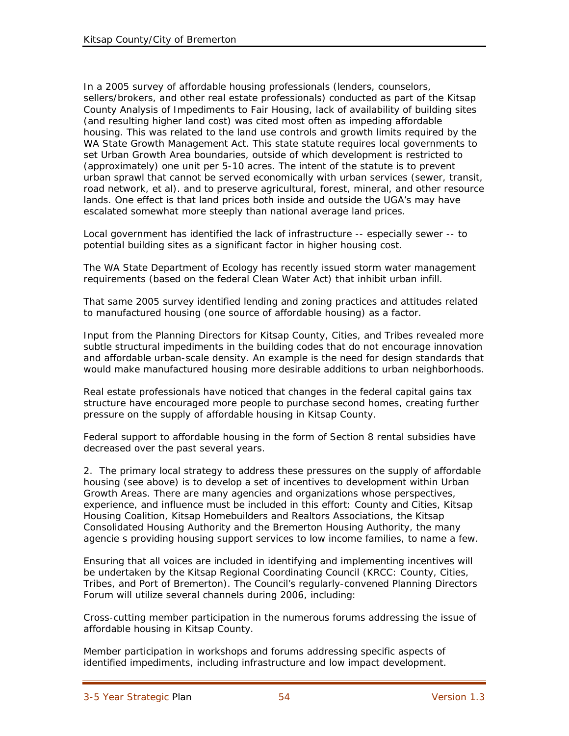In a 2005 survey of affordable housing professionals (lenders, counselors, sellers/brokers, and other real estate professionals) conducted as part of the Kitsap County Analysis of Impediments to Fair Housing, lack of availability of building sites (and resulting higher land cost) was cited most often as impeding affordable housing. This was related to the land use controls and growth limits required by the WA State Growth Management Act. This state statute requires local governments to set Urban Growth Area boundaries, outside of which development is restricted to (approximately) one unit per 5-10 acres. The intent of the statute is to prevent urban sprawl that cannot be served economically with urban services (sewer, transit, road network, et al). and to preserve agricultural, forest, mineral, and other resource lands. One effect is that land prices both inside and outside the UGA's may have escalated somewhat more steeply than national average land prices.

Local government has identified the lack of infrastructure -- especially sewer -- to potential building sites as a significant factor in higher housing cost.

The WA State Department of Ecology has recently issued storm water management requirements (based on the federal Clean Water Act) that inhibit urban infill.

That same 2005 survey identified lending and zoning practices and attitudes related to manufactured housing (one source of affordable housing) as a factor.

Input from the Planning Directors for Kitsap County, Cities, and Tribes revealed more subtle structural impediments in the building codes that do not encourage innovation and affordable urban-scale density. An example is the need for design standards that would make manufactured housing more desirable additions to urban neighborhoods.

Real estate professionals have noticed that changes in the federal capital gains tax structure have encouraged more people to purchase second homes, creating further pressure on the supply of affordable housing in Kitsap County.

Federal support to affordable housing in the form of Section 8 rental subsidies have decreased over the past several years.

2. The primary local strategy to address these pressures on the supply of affordable housing (see above) is to develop a set of incentives to development within Urban Growth Areas. There are many agencies and organizations whose perspectives, experience, and influence must be included in this effort: County and Cities, Kitsap Housing Coalition, Kitsap Homebuilders and Realtors Associations, the Kitsap Consolidated Housing Authority and the Bremerton Housing Authority, the many agencie s providing housing support services to low income families, to name a few.

Ensuring that all voices are included in identifying and implementing incentives will be undertaken by the Kitsap Regional Coordinating Council (KRCC: County, Cities, Tribes, and Port of Bremerton). The Council's regularly-convened Planning Directors Forum will utilize several channels during 2006, including:

Cross-cutting member participation in the numerous forums addressing the issue of affordable housing in Kitsap County.

Member participation in workshops and forums addressing specific aspects of identified impediments, including infrastructure and low impact development.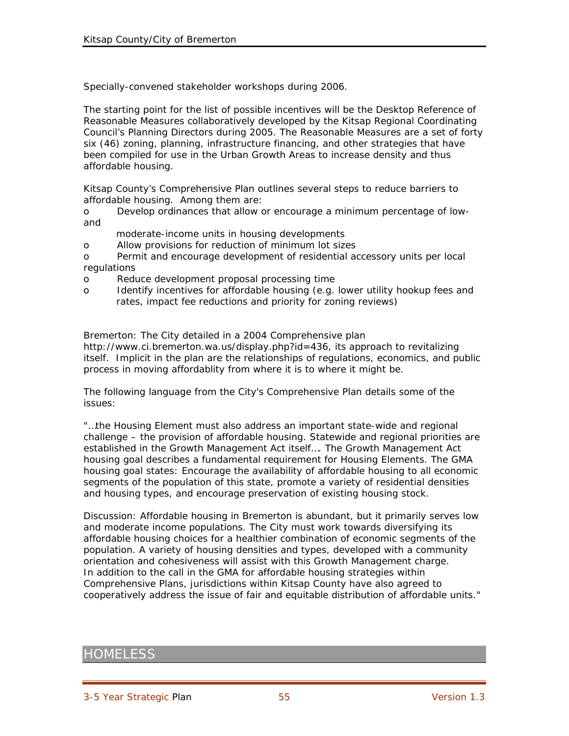Specially-convened stakeholder workshops during 2006.

The starting point for the list of possible incentives will be the Desktop Reference of Reasonable Measures collaboratively developed by the Kitsap Regional Coordinating Council's Planning Directors during 2005. The Reasonable Measures are a set of forty six (46) zoning, planning, infrastructure financing, and other strategies that have been compiled for use in the Urban Growth Areas to increase density and thus affordable housing.

Kitsap County's Comprehensive Plan outlines several steps to reduce barriers to affordable housing. Among them are:

o Develop ordinances that allow or encourage a minimum percentage of lowand

moderate-income units in housing developments

o Allow provisions for reduction of minimum lot sizes

o Permit and encourage development of residential accessory units per local regulations

- o Reduce development proposal processing time
- o Identify incentives for affordable housing (e.g. lower utility hookup fees and rates, impact fee reductions and priority for zoning reviews)

Bremerton: The City detailed in a 2004 Comprehensive plan http://www.ci.bremerton.wa.us/display.php?id=436, its approach to revitalizing itself. Implicit in the plan are the relationships of regulations, economics, and public process in moving affordablity from where it is to where it might be.

The following language from the City's Comprehensive Plan details some of the issues:

"…the Housing Element must also address an important state-wide and regional challenge – the provision of affordable housing. Statewide and regional priorities are established in the Growth Management Act itself…. The Growth Management Act housing goal describes a fundamental requirement for Housing Elements. The GMA housing goal states: Encourage the availability of affordable housing to all economic segments of the population of this state, promote a variety of residential densities and housing types, and encourage preservation of existing housing stock.

Discussion: Affordable housing in Bremerton is abundant, but it primarily serves low and moderate income populations. The City must work towards diversifying its affordable housing choices for a healthier combination of economic segments of the population. A variety of housing densities and types, developed with a community orientation and cohesiveness will assist with this Growth Management charge. In addition to the call in the GMA for affordable housing strategies within Comprehensive Plans, jurisdictions within Kitsap County have also agreed to cooperatively address the issue of fair and equitable distribution of affordable units."

## HOMELESS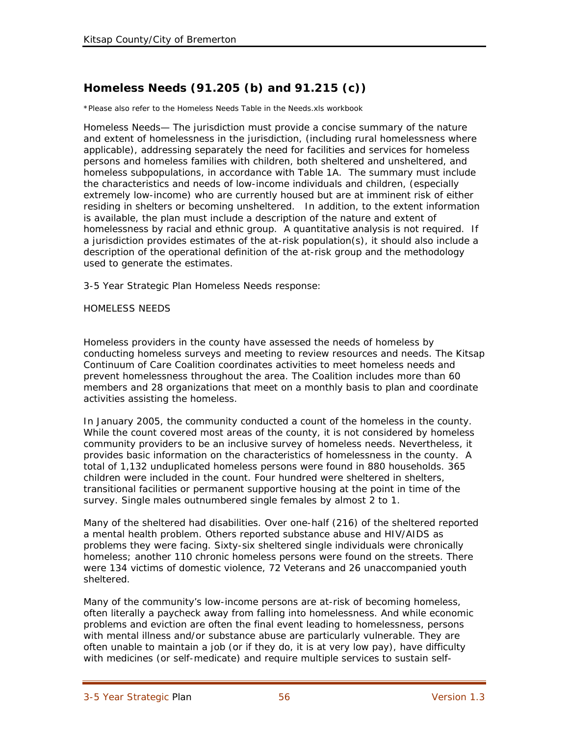# **Homeless Needs (91.205 (b) and 91.215 (c))**

\*Please also refer to the Homeless Needs Table in the Needs.xls workbook

Homeless Needs— The jurisdiction must provide a concise summary of the nature and extent of homelessness in the jurisdiction, (including rural homelessness where applicable), addressing separately the need for facilities and services for homeless persons and homeless families with children, both sheltered and unsheltered, and homeless subpopulations, in accordance with Table 1A. The summary must include the characteristics and needs of low-income individuals and children, (especially extremely low-income) who are currently housed but are at imminent risk of either residing in shelters or becoming unsheltered. In addition, to the extent information is available, the plan must include a description of the nature and extent of homelessness by racial and ethnic group. A quantitative analysis is not required. If a jurisdiction provides estimates of the at-risk population(s), it should also include a description of the operational definition of the at-risk group and the methodology used to generate the estimates.

3-5 Year Strategic Plan Homeless Needs response:

HOMELESS NEEDS

Homeless providers in the county have assessed the needs of homeless by conducting homeless surveys and meeting to review resources and needs. The Kitsap Continuum of Care Coalition coordinates activities to meet homeless needs and prevent homelessness throughout the area. The Coalition includes more than 60 members and 28 organizations that meet on a monthly basis to plan and coordinate activities assisting the homeless.

In January 2005, the community conducted a count of the homeless in the county. While the count covered most areas of the county, it is not considered by homeless community providers to be an inclusive survey of homeless needs. Nevertheless, it provides basic information on the characteristics of homelessness in the county. A total of 1,132 unduplicated homeless persons were found in 880 households. 365 children were included in the count. Four hundred were sheltered in shelters, transitional facilities or permanent supportive housing at the point in time of the survey. Single males outnumbered single females by almost 2 to 1.

Many of the sheltered had disabilities. Over one-half (216) of the sheltered reported a mental health problem. Others reported substance abuse and HIV/AIDS as problems they were facing. Sixty-six sheltered single individuals were chronically homeless; another 110 chronic homeless persons were found on the streets. There were 134 victims of domestic violence, 72 Veterans and 26 unaccompanied youth sheltered.

Many of the community's low-income persons are at-risk of becoming homeless, often literally a paycheck away from falling into homelessness. And while economic problems and eviction are often the final event leading to homelessness, persons with mental illness and/or substance abuse are particularly vulnerable. They are often unable to maintain a job (or if they do, it is at very low pay), have difficulty with medicines (or self-medicate) and require multiple services to sustain self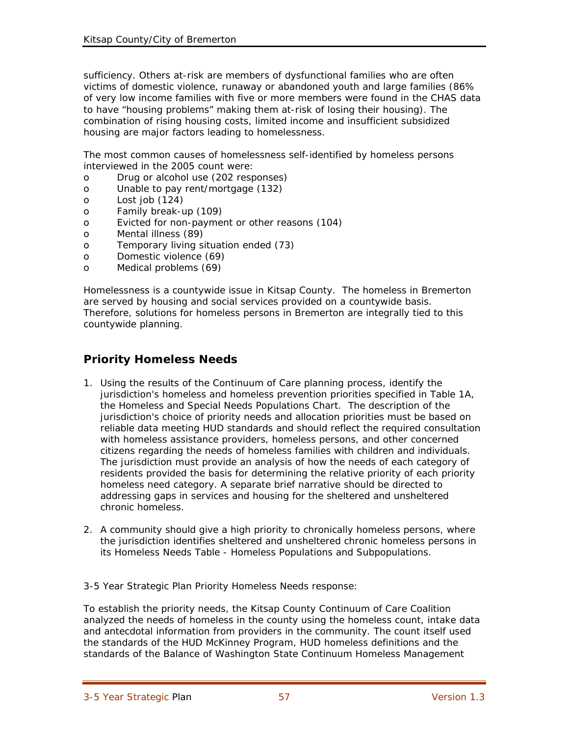sufficiency. Others at-risk are members of dysfunctional families who are often victims of domestic violence, runaway or abandoned youth and large families (86% of very low income families with five or more members were found in the CHAS data to have "housing problems" making them at-risk of losing their housing). The combination of rising housing costs, limited income and insufficient subsidized housing are major factors leading to homelessness.

The most common causes of homelessness self-identified by homeless persons interviewed in the 2005 count were:

- o Drug or alcohol use (202 responses)
- o Unable to pay rent/mortgage (132)
- o Lost job (124)
- o Family break-up (109)
- o Evicted for non-payment or other reasons (104)
- o Mental illness (89)
- o Temporary living situation ended (73)
- o Domestic violence (69)
- o Medical problems (69)

Homelessness is a countywide issue in Kitsap County. The homeless in Bremerton are served by housing and social services provided on a countywide basis. Therefore, solutions for homeless persons in Bremerton are integrally tied to this countywide planning.

## **Priority Homeless Needs**

- 1. Using the results of the Continuum of Care planning process, identify the jurisdiction's homeless and homeless prevention priorities specified in Table 1A, the Homeless and Special Needs Populations Chart. The description of the jurisdiction's choice of priority needs and allocation priorities must be based on reliable data meeting HUD standards and should reflect the required consultation with homeless assistance providers, homeless persons, and other concerned citizens regarding the needs of homeless families with children and individuals. The jurisdiction must provide an analysis of how the needs of each category of residents provided the basis for determining the relative priority of each priority homeless need category. A separate brief narrative should be directed to addressing gaps in services and housing for the sheltered and unsheltered chronic homeless.
- 2. A community should give a high priority to chronically homeless persons, where the jurisdiction identifies sheltered and unsheltered chronic homeless persons in its Homeless Needs Table - Homeless Populations and Subpopulations.
- 3-5 Year Strategic Plan Priority Homeless Needs response:

To establish the priority needs, the Kitsap County Continuum of Care Coalition analyzed the needs of homeless in the county using the homeless count, intake data and antecdotal information from providers in the community. The count itself used the standards of the HUD McKinney Program, HUD homeless definitions and the standards of the Balance of Washington State Continuum Homeless Management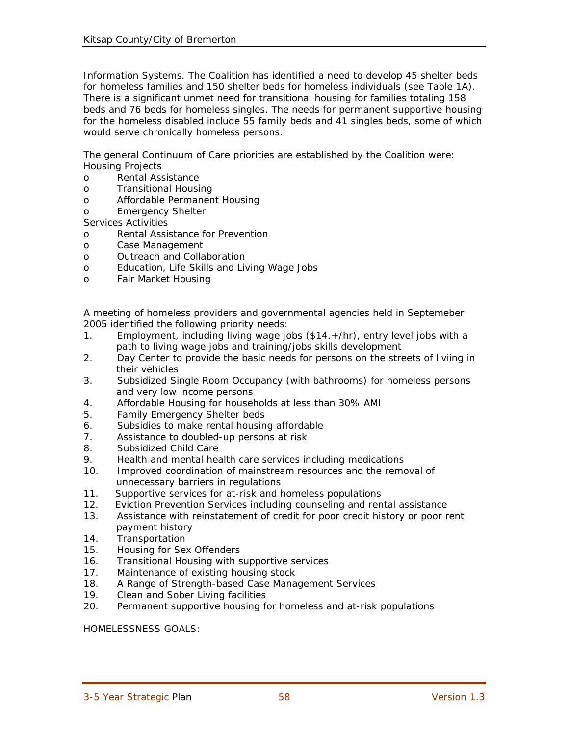Information Systems. The Coalition has identified a need to develop 45 shelter beds for homeless families and 150 shelter beds for homeless individuals (see Table 1A). There is a significant unmet need for transitional housing for families totaling 158 beds and 76 beds for homeless singles. The needs for permanent supportive housing for the homeless disabled include 55 family beds and 41 singles beds, some of which would serve chronically homeless persons.

The general Continuum of Care priorities are established by the Coalition were: Housing Projects

- o Rental Assistance
- o Transitional Housing
- o Affordable Permanent Housing
- o Emergency Shelter

Services Activities

- o Rental Assistance for Prevention
- o Case Management
- o Outreach and Collaboration
- o Education, Life Skills and Living Wage Jobs
- o Fair Market Housing

A meeting of homeless providers and governmental agencies held in Septemeber 2005 identified the following priority needs:

- 1. Employment, including living wage jobs (\$14.+/hr), entry level jobs with a path to living wage jobs and training/jobs skills development
- 2. Day Center to provide the basic needs for persons on the streets of liviing in their vehicles
- 3. Subsidized Single Room Occupancy (with bathrooms) for homeless persons and very low income persons
- 4. Affordable Housing for households at less than 30% AMI
- 5. Family Emergency Shelter beds
- 6. Subsidies to make rental housing affordable
- 7. Assistance to doubled-up persons at risk
- 8. Subsidized Child Care
- 9. Health and mental health care services including medications
- 10. Improved coordination of mainstream resources and the removal of unnecessary barriers in regulations
- 11. Supportive services for at-risk and homeless populations
- 12. Eviction Prevention Services including counseling and rental assistance
- 13. Assistance with reinstatement of credit for poor credit history or poor rent payment history
- 14. Transportation
- 15. Housing for Sex Offenders
- 16. Transitional Housing with supportive services
- 17. Maintenance of existing housing stock
- 18. A Range of Strength-based Case Management Services
- 19. Clean and Sober Living facilities
- 20. Permanent supportive housing for homeless and at-risk populations

HOMELESSNESS GOALS: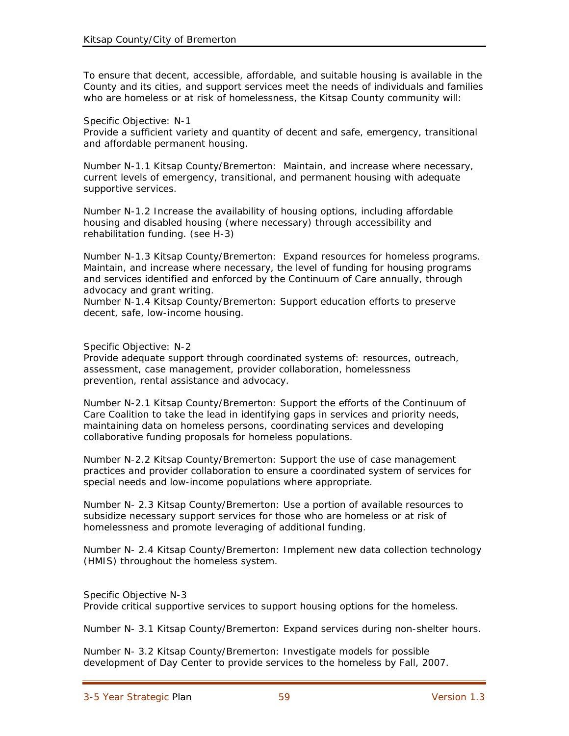To ensure that decent, accessible, affordable, and suitable housing is available in the County and its cities, and support services meet the needs of individuals and families who are homeless or at risk of homelessness, the Kitsap County community will:

#### Specific Objective: N-1

Provide a sufficient variety and quantity of decent and safe, emergency, transitional and affordable permanent housing.

Number N-1.1 Kitsap County/Bremerton: Maintain, and increase where necessary, current levels of emergency, transitional, and permanent housing with adequate supportive services.

Number N-1.2 Increase the availability of housing options, including affordable housing and disabled housing (where necessary) through accessibility and rehabilitation funding. (see H-3)

Number N-1.3 Kitsap County/Bremerton: Expand resources for homeless programs. Maintain, and increase where necessary, the level of funding for housing programs and services identified and enforced by the Continuum of Care annually, through advocacy and grant writing.

Number N-1.4 Kitsap County/Bremerton: Support education efforts to preserve decent, safe, low-income housing.

#### Specific Objective: N-2

Provide adequate support through coordinated systems of: resources, outreach, assessment, case management, provider collaboration, homelessness prevention, rental assistance and advocacy.

Number N-2.1 Kitsap County/Bremerton: Support the efforts of the Continuum of Care Coalition to take the lead in identifying gaps in services and priority needs, maintaining data on homeless persons, coordinating services and developing collaborative funding proposals for homeless populations.

Number N-2.2 Kitsap County/Bremerton: Support the use of case management practices and provider collaboration to ensure a coordinated system of services for special needs and low-income populations where appropriate.

Number N- 2.3 Kitsap County/Bremerton: Use a portion of available resources to subsidize necessary support services for those who are homeless or at risk of homelessness and promote leveraging of additional funding.

Number N- 2.4 Kitsap County/Bremerton: Implement new data collection technology (HMIS) throughout the homeless system.

Specific Objective N-3 Provide critical supportive services to support housing options for the homeless.

Number N- 3.1 Kitsap County/Bremerton: Expand services during non-shelter hours.

Number N- 3.2 Kitsap County/Bremerton: Investigate models for possible development of Day Center to provide services to the homeless by Fall, 2007.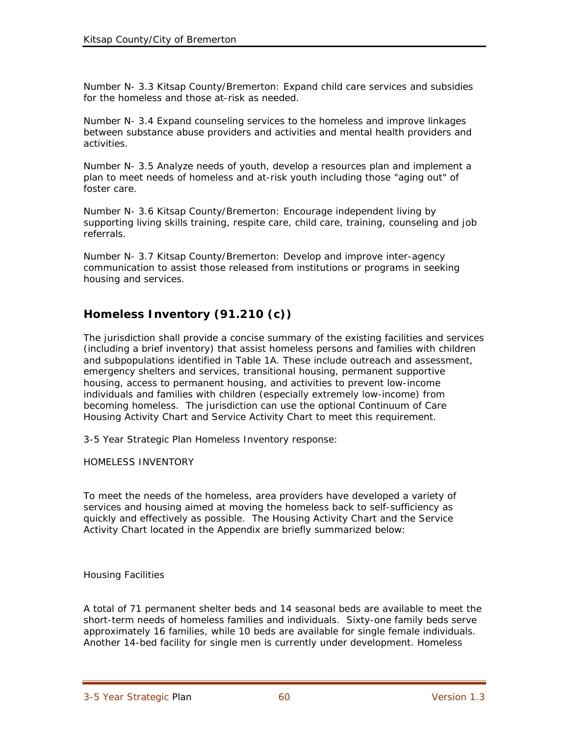Number N- 3.3 Kitsap County/Bremerton: Expand child care services and subsidies for the homeless and those at-risk as needed.

Number N- 3.4 Expand counseling services to the homeless and improve linkages between substance abuse providers and activities and mental health providers and activities.

Number N- 3.5 Analyze needs of youth, develop a resources plan and implement a plan to meet needs of homeless and at-risk youth including those "aging out" of foster care.

Number N- 3.6 Kitsap County/Bremerton: Encourage independent living by supporting living skills training, respite care, child care, training, counseling and job referrals.

Number N- 3.7 Kitsap County/Bremerton: Develop and improve inter-agency communication to assist those released from institutions or programs in seeking housing and services.

# **Homeless Inventory (91.210 (c))**

The jurisdiction shall provide a concise summary of the existing facilities and services (including a brief inventory) that assist homeless persons and families with children and subpopulations identified in Table 1A. These include outreach and assessment, emergency shelters and services, transitional housing, permanent supportive housing, access to permanent housing, and activities to prevent low-income individuals and families with children (especially extremely low-income) from becoming homeless. The jurisdiction can use the optional Continuum of Care Housing Activity Chart and Service Activity Chart to meet this requirement.

3-5 Year Strategic Plan Homeless Inventory response:

HOMELESS INVENTORY

To meet the needs of the homeless, area providers have developed a variety of services and housing aimed at moving the homeless back to self-sufficiency as quickly and effectively as possible. The Housing Activity Chart and the Service Activity Chart located in the Appendix are briefly summarized below:

Housing Facilities

A total of 71 permanent shelter beds and 14 seasonal beds are available to meet the short-term needs of homeless families and individuals. Sixty-one family beds serve approximately 16 families, while 10 beds are available for single female individuals. Another 14-bed facility for single men is currently under development. Homeless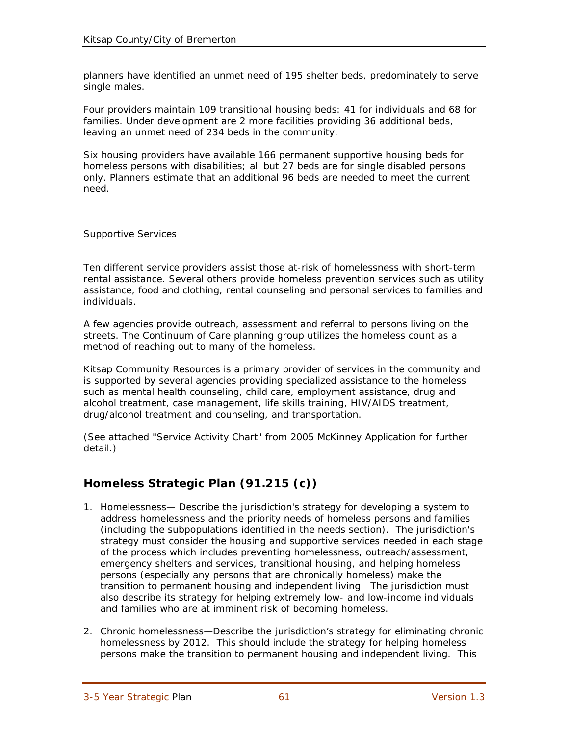planners have identified an unmet need of 195 shelter beds, predominately to serve single males.

Four providers maintain 109 transitional housing beds: 41 for individuals and 68 for families. Under development are 2 more facilities providing 36 additional beds, leaving an unmet need of 234 beds in the community.

Six housing providers have available 166 permanent supportive housing beds for homeless persons with disabilities; all but 27 beds are for single disabled persons only. Planners estimate that an additional 96 beds are needed to meet the current need.

Supportive Services

Ten different service providers assist those at-risk of homelessness with short-term rental assistance. Several others provide homeless prevention services such as utility assistance, food and clothing, rental counseling and personal services to families and individuals.

A few agencies provide outreach, assessment and referral to persons living on the streets. The Continuum of Care planning group utilizes the homeless count as a method of reaching out to many of the homeless.

Kitsap Community Resources is a primary provider of services in the community and is supported by several agencies providing specialized assistance to the homeless such as mental health counseling, child care, employment assistance, drug and alcohol treatment, case management, life skills training, HIV/AIDS treatment, drug/alcohol treatment and counseling, and transportation.

(See attached "Service Activity Chart" from 2005 McKinney Application for further detail.)

## **Homeless Strategic Plan (91.215 (c))**

- 1. Homelessness— Describe the jurisdiction's strategy for developing a system to address homelessness and the priority needs of homeless persons and families (including the subpopulations identified in the needs section). The jurisdiction's strategy must consider the housing and supportive services needed in each stage of the process which includes preventing homelessness, outreach/assessment, emergency shelters and services, transitional housing, and helping homeless persons (especially any persons that are chronically homeless) make the transition to permanent housing and independent living. The jurisdiction must also describe its strategy for helping extremely low- and low-income individuals and families who are at imminent risk of becoming homeless.
- 2. Chronic homelessness—Describe the jurisdiction's strategy for eliminating chronic homelessness by 2012. This should include the strategy for helping homeless persons make the transition to permanent housing and independent living. This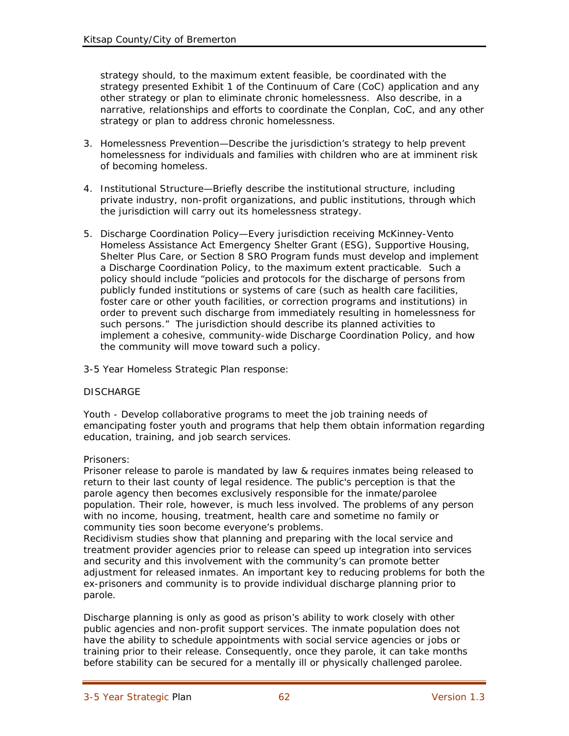strategy should, to the maximum extent feasible, be coordinated with the strategy presented Exhibit 1 of the Continuum of Care (CoC) application and any other strategy or plan to eliminate chronic homelessness. Also describe, in a narrative, relationships and efforts to coordinate the Conplan, CoC, and any other strategy or plan to address chronic homelessness.

- 3. Homelessness Prevention—Describe the jurisdiction's strategy to help prevent homelessness for individuals and families with children who are at imminent risk of becoming homeless.
- 4. Institutional Structure—Briefly describe the institutional structure, including private industry, non-profit organizations, and public institutions, through which the jurisdiction will carry out its homelessness strategy.
- 5. Discharge Coordination Policy—Every jurisdiction receiving McKinney-Vento Homeless Assistance Act Emergency Shelter Grant (ESG), Supportive Housing, Shelter Plus Care, or Section 8 SRO Program funds must develop and implement a Discharge Coordination Policy, to the maximum extent practicable. Such a policy should include "policies and protocols for the discharge of persons from publicly funded institutions or systems of care (such as health care facilities, foster care or other youth facilities, or correction programs and institutions) in order to prevent such discharge from immediately resulting in homelessness for such persons." The jurisdiction should describe its planned activities to implement a cohesive, community-wide Discharge Coordination Policy, and how the community will move toward such a policy.
- 3-5 Year Homeless Strategic Plan response:

#### **DISCHARGE**

Youth - Develop collaborative programs to meet the job training needs of emancipating foster youth and programs that help them obtain information regarding education, training, and job search services.

#### Prisoners:

Prisoner release to parole is mandated by law & requires inmates being released to return to their last county of legal residence. The public's perception is that the parole agency then becomes exclusively responsible for the inmate/parolee population. Their role, however, is much less involved. The problems of any person with no income, housing, treatment, health care and sometime no family or community ties soon become everyone's problems.

Recidivism studies show that planning and preparing with the local service and treatment provider agencies prior to release can speed up integration into services and security and this involvement with the community's can promote better adjustment for released inmates. An important key to reducing problems for both the ex-prisoners and community is to provide individual discharge planning prior to parole.

Discharge planning is only as good as prison's ability to work closely with other public agencies and non-profit support services. The inmate population does not have the ability to schedule appointments with social service agencies or jobs or training prior to their release. Consequently, once they parole, it can take months before stability can be secured for a mentally ill or physically challenged parolee.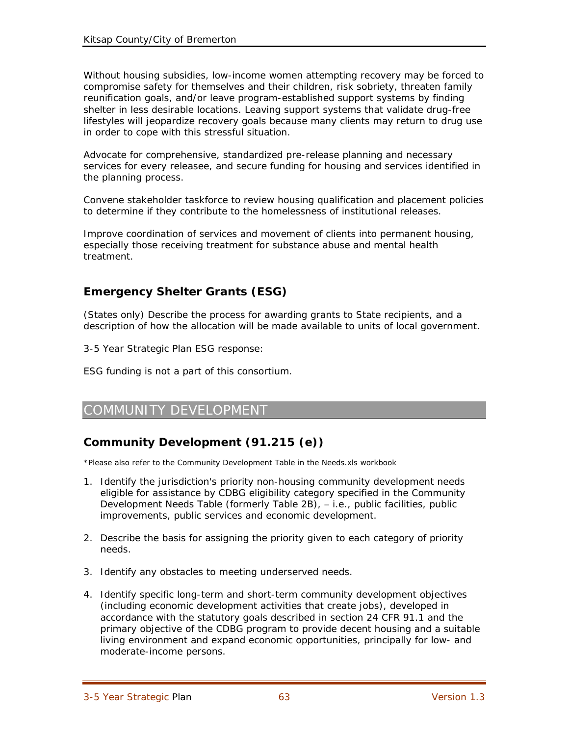Without housing subsidies, low-income women attempting recovery may be forced to compromise safety for themselves and their children, risk sobriety, threaten family reunification goals, and/or leave program-established support systems by finding shelter in less desirable locations. Leaving support systems that validate drug-free lifestyles will jeopardize recovery goals because many clients may return to drug use in order to cope with this stressful situation.

Advocate for comprehensive, standardized pre-release planning and necessary services for every releasee, and secure funding for housing and services identified in the planning process.

Convene stakeholder taskforce to review housing qualification and placement policies to determine if they contribute to the homelessness of institutional releases.

Improve coordination of services and movement of clients into permanent housing, especially those receiving treatment for substance abuse and mental health treatment.

## **Emergency Shelter Grants (ESG)**

(States only) Describe the process for awarding grants to State recipients, and a description of how the allocation will be made available to units of local government.

3-5 Year Strategic Plan ESG response:

ESG funding is not a part of this consortium.

## COMMUNITY DEVELOPMENT

## **Community Development (91.215 (e))**

\*Please also refer to the Community Development Table in the Needs.xls workbook

- 1. Identify the jurisdiction's priority non-housing community development needs eligible for assistance by CDBG eligibility category specified in the Community Development Needs Table (formerly Table 2B), − i.e., public facilities, public improvements, public services and economic development.
- 2. Describe the basis for assigning the priority given to each category of priority needs.
- 3. Identify any obstacles to meeting underserved needs.
- 4. Identify specific long-term and short-term community development objectives (including economic development activities that create jobs), developed in accordance with the statutory goals described in section 24 CFR 91.1 and the primary objective of the CDBG program to provide decent housing and a suitable living environment and expand economic opportunities, principally for low- and moderate-income persons.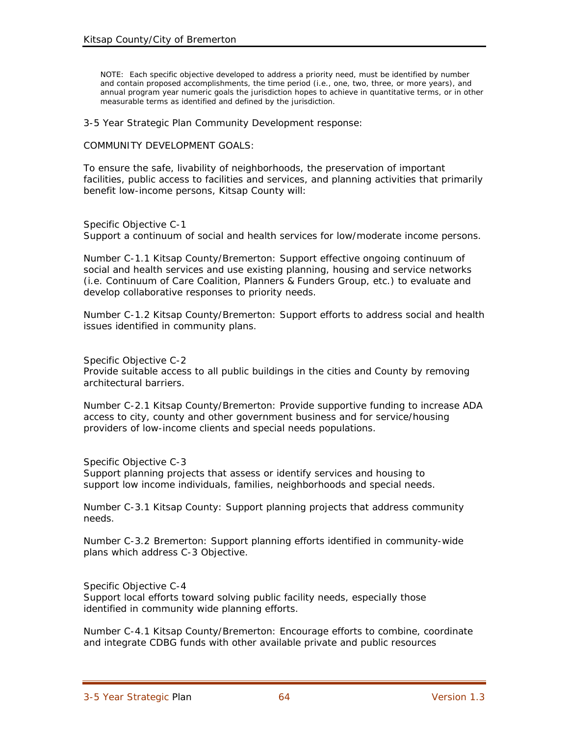NOTE: Each specific objective developed to address a priority need, must be identified by number and contain proposed accomplishments, the time period (i.e., one, two, three, or more years), and annual program year numeric goals the jurisdiction hopes to achieve in quantitative terms, or in other measurable terms as identified and defined by the jurisdiction.

3-5 Year Strategic Plan Community Development response:

COMMUNITY DEVELOPMENT GOALS:

To ensure the safe, livability of neighborhoods, the preservation of important facilities, public access to facilities and services, and planning activities that primarily benefit low-income persons, Kitsap County will:

Specific Objective C-1

Support a continuum of social and health services for low/moderate income persons.

Number C-1.1 Kitsap County/Bremerton: Support effective ongoing continuum of social and health services and use existing planning, housing and service networks (i.e. Continuum of Care Coalition, Planners & Funders Group, etc.) to evaluate and develop collaborative responses to priority needs.

Number C-1.2 Kitsap County/Bremerton: Support efforts to address social and health issues identified in community plans.

Specific Objective C-2

Provide suitable access to all public buildings in the cities and County by removing architectural barriers.

Number C-2.1 Kitsap County/Bremerton: Provide supportive funding to increase ADA access to city, county and other government business and for service/housing providers of low-income clients and special needs populations.

Specific Objective C-3

Support planning projects that assess or identify services and housing to support low income individuals, families, neighborhoods and special needs.

Number C-3.1 Kitsap County: Support planning projects that address community needs.

Number C-3.2Bremerton: Support planning efforts identified in community-wide plans which address C-3 Objective.

Specific Objective C-4 Support local efforts toward solving public facility needs, especially those identified in community wide planning efforts.

Number C-4.1 Kitsap County/Bremerton: Encourage efforts to combine, coordinate and integrate CDBG funds with other available private and public resources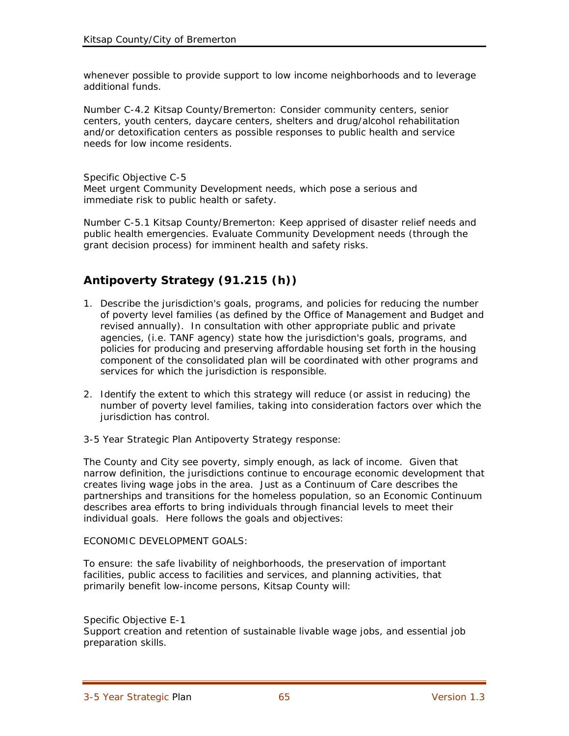whenever possible to provide support to low income neighborhoods and to leverage additional funds.

Number C-4.2Kitsap County/Bremerton: Consider community centers, senior centers, youth centers, daycare centers, shelters and drug/alcohol rehabilitation and/or detoxification centers as possible responses to public health and service needs for low income residents.

Specific Objective C-5 Meet urgent Community Development needs, which pose a serious and immediate risk to public health or safety.

Number C-5.1 Kitsap County/Bremerton: Keep apprised of disaster relief needs and public health emergencies. Evaluate Community Development needs (through the grant decision process) for imminent health and safety risks.

## **Antipoverty Strategy (91.215 (h))**

- 1. Describe the jurisdiction's goals, programs, and policies for reducing the number of poverty level families (as defined by the Office of Management and Budget and revised annually). In consultation with other appropriate public and private agencies, (i.e. TANF agency) state how the jurisdiction's goals, programs, and policies for producing and preserving affordable housing set forth in the housing component of the consolidated plan will be coordinated with other programs and services for which the jurisdiction is responsible.
- 2. Identify the extent to which this strategy will reduce (or assist in reducing) the number of poverty level families, taking into consideration factors over which the jurisdiction has control.
- 3-5 Year Strategic Plan Antipoverty Strategy response:

The County and City see poverty, simply enough, as lack of income. Given that narrow definition, the jurisdictions continue to encourage economic development that creates living wage jobs in the area. Just as a Continuum of Care describes the partnerships and transitions for the homeless population, so an Economic Continuum describes area efforts to bring individuals through financial levels to meet their individual goals. Here follows the goals and objectives:

#### ECONOMIC DEVELOPMENT GOALS:

To ensure: the safe livability of neighborhoods, the preservation of important facilities, public access to facilities and services, and planning activities, that primarily benefit low-income persons, Kitsap County will:

Specific Objective E-1 Support creation and retention of sustainable livable wage jobs, and essential job preparation skills.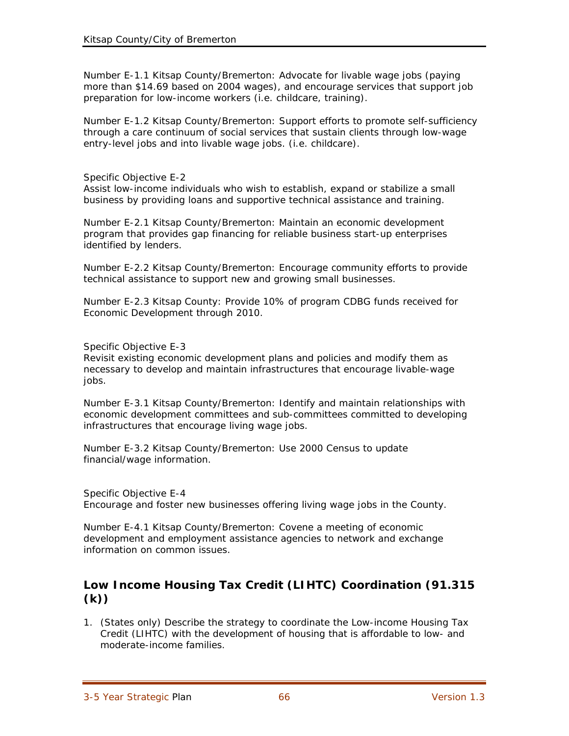Number E-1.1 Kitsap County/Bremerton: Advocate for livable wage jobs (paying more than \$14.69 based on 2004 wages), and encourage services that support job preparation for low-income workers (i.e. childcare, training).

Number E-1.2 Kitsap County/Bremerton: Support efforts to promote self-sufficiency through a care continuum of social services that sustain clients through low-wage entry-level jobs and into livable wage jobs. (i.e. childcare).

#### Specific Objective E-2

Assist low-income individuals who wish to establish, expand or stabilize a small business by providing loans and supportive technical assistance and training.

Number E-2.1 Kitsap County/Bremerton: Maintain an economic development program that provides gap financing for reliable business start-up enterprises identified by lenders.

Number E-2.2 Kitsap County/Bremerton: Encourage community efforts to provide technical assistance to support new and growing small businesses.

Number E-2.3 Kitsap County: Provide 10% of program CDBG funds received for Economic Development through 2010.

#### Specific Objective E-3

Revisit existing economic development plans and policies and modify them as necessary to develop and maintain infrastructures that encourage livable-wage jobs.

Number E-3.1 Kitsap County/Bremerton: Identify and maintain relationships with economic development committees and sub-committees committed to developing infrastructures that encourage living wage jobs.

Number E-3.2 Kitsap County/Bremerton: Use 2000 Census to update financial/wage information.

Specific Objective E-4 Encourage and foster new businesses offering living wage jobs in the County.

Number E-4.1 Kitsap County/Bremerton: Covene a meeting of economic development and employment assistance agencies to network and exchange information on common issues.

#### **Low Income Housing Tax Credit (LIHTC) Coordination (91.315 (k))**

1. (States only) Describe the strategy to coordinate the Low-income Housing Tax Credit (LIHTC) with the development of housing that is affordable to low- and moderate-income families.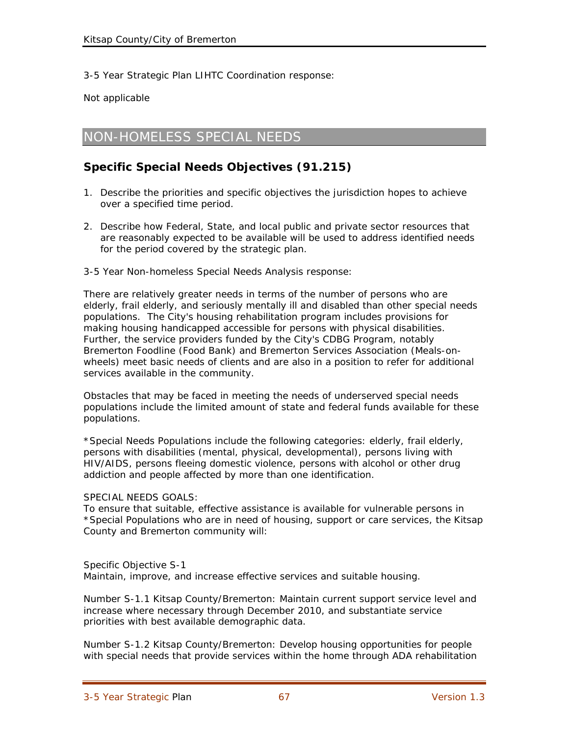3-5 Year Strategic Plan LIHTC Coordination response:

Not applicable

## NON-HOMELESS SPECIAL NEEDS

#### **Specific Special Needs Objectives (91.215)**

- 1. Describe the priorities and specific objectives the jurisdiction hopes to achieve over a specified time period.
- 2. Describe how Federal, State, and local public and private sector resources that are reasonably expected to be available will be used to address identified needs for the period covered by the strategic plan.
- 3-5 Year Non-homeless Special Needs Analysis response:

There are relatively greater needs in terms of the number of persons who are elderly, frail elderly, and seriously mentally ill and disabled than other special needs populations. The City's housing rehabilitation program includes provisions for making housing handicapped accessible for persons with physical disabilities. Further, the service providers funded by the City's CDBG Program, notably Bremerton Foodline (Food Bank) and Bremerton Services Association (Meals-onwheels) meet basic needs of clients and are also in a position to refer for additional services available in the community.

Obstacles that may be faced in meeting the needs of underserved special needs populations include the limited amount of state and federal funds available for these populations.

\*Special Needs Populations include the following categories: elderly, frail elderly, persons with disabilities (mental, physical, developmental), persons living with HIV/AIDS, persons fleeing domestic violence, persons with alcohol or other drug addiction and people affected by more than one identification.

#### SPECIAL NEEDS GOALS:

To ensure that suitable, effective assistance is available for vulnerable persons in \*Special Populations who are in need of housing, support or care services, the Kitsap County and Bremerton community will:

#### Specific Objective S-1

Maintain, improve, and increase effective services and suitable housing.

Number S-1.1 Kitsap County/Bremerton: Maintain current support service level and increase where necessary through December 2010, and substantiate service priorities with best available demographic data.

Number S-1.2 Kitsap County/Bremerton: Develop housing opportunities for people with special needs that provide services within the home through ADA rehabilitation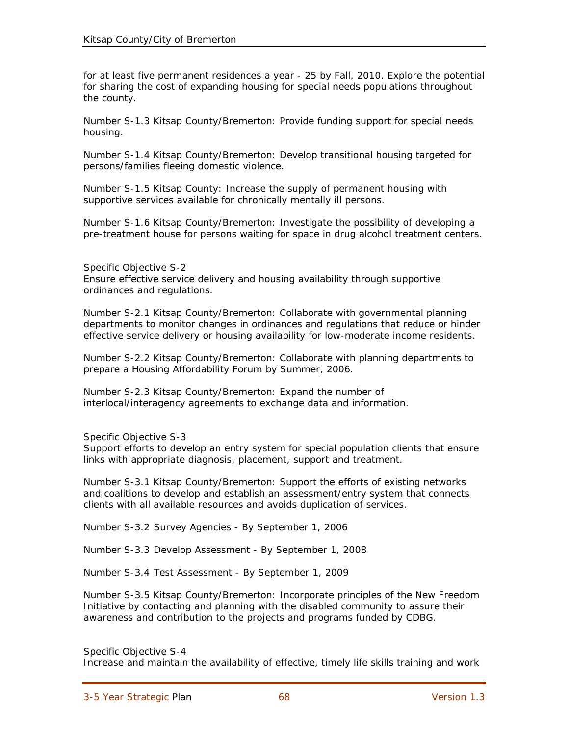for at least five permanent residences a year - 25 by Fall, 2010. Explore the potential for sharing the cost of expanding housing for special needs populations throughout the county.

Number S-1.3 Kitsap County/Bremerton: Provide funding support for special needs housing.

Number S-1.4 Kitsap County/Bremerton: Develop transitional housing targeted for persons/families fleeing domestic violence.

Number S-1.5 Kitsap County: Increase the supply of permanent housing with supportive services available for chronically mentally ill persons.

Number S-1.6 Kitsap County/Bremerton: Investigate the possibility of developing a pre-treatment house for persons waiting for space in drug alcohol treatment centers.

Specific Objective S-2 Ensure effective service delivery and housing availability through supportive ordinances and regulations.

Number S-2.1 Kitsap County/Bremerton: Collaborate with governmental planning departments to monitor changes in ordinances and regulations that reduce or hinder effective service delivery or housing availability for low-moderate income residents.

Number S-2.2 Kitsap County/Bremerton: Collaborate with planning departments to prepare a Housing Affordability Forum by Summer, 2006.

Number S-2.3 Kitsap County/Bremerton: Expand the number of interlocal/interagency agreements to exchange data and information.

Specific Objective S-3

Support efforts to develop an entry system for special population clients that ensure links with appropriate diagnosis, placement, support and treatment.

Number S-3.1 Kitsap County/Bremerton: Support the efforts of existing networks and coalitions to develop and establish an assessment/entry system that connects clients with all available resources and avoids duplication of services.

Number S-3.2 Survey Agencies - By September 1, 2006

Number S-3.3Develop Assessment - By September 1, 2008

Number S-3.4 Test Assessment - By September 1, 2009

Number S-3.5 Kitsap County/Bremerton: Incorporate principles of the New Freedom Initiative by contacting and planning with the disabled community to assure their awareness and contribution to the projects and programs funded by CDBG.

Specific Objective S-4

Increase and maintain the availability of effective, timely life skills training and work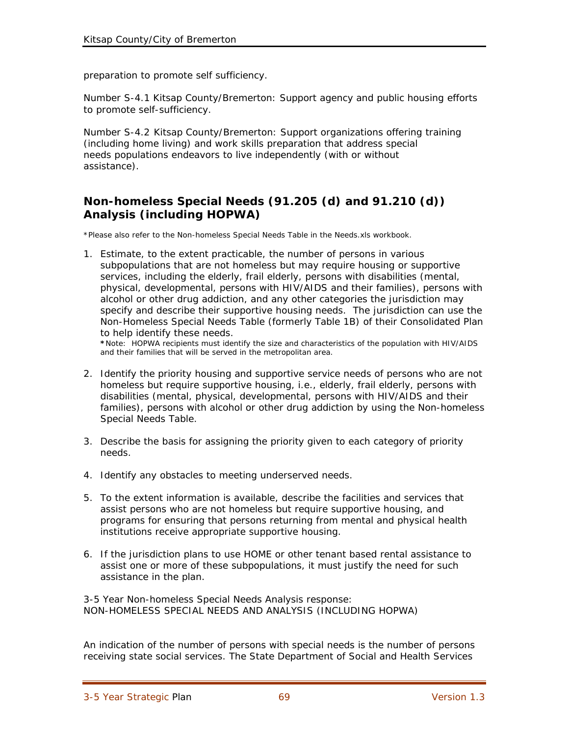preparation to promote self sufficiency.

Number S-4.1 Kitsap County/Bremerton: Support agency and public housing efforts to promote self-sufficiency.

Number S-4.2Kitsap County/Bremerton: Support organizations offering training (including home living) and work skills preparation that address special needs populations endeavors to live independently (with or without assistance).

## **Non-homeless Special Needs (91.205 (d) and 91.210 (d)) Analysis (including HOPWA)**

\*Please also refer to the Non-homeless Special Needs Table in the Needs.xls workbook.

1. Estimate, to the extent practicable, the number of persons in various subpopulations that are not homeless but may require housing or supportive services, including the elderly, frail elderly, persons with disabilities (mental, physical, developmental, persons with HIV/AIDS and their families), persons with alcohol or other drug addiction, and any other categories the jurisdiction may specify and describe their supportive housing needs. The jurisdiction can use the Non-Homeless Special Needs Table (formerly Table 1B) of their Consolidated Plan to help identify these needs.

**\***Note: HOPWA recipients must identify the size and characteristics of the population with HIV/AIDS and their families that will be served in the metropolitan area.

- 2. Identify the priority housing and supportive service needs of persons who are not homeless but require supportive housing, i.e., elderly, frail elderly, persons with disabilities (mental, physical, developmental, persons with HIV/AIDS and their families), persons with alcohol or other drug addiction by using the Non-homeless Special Needs Table.
- 3. Describe the basis for assigning the priority given to each category of priority needs.
- 4. Identify any obstacles to meeting underserved needs.
- 5. To the extent information is available, describe the facilities and services that assist persons who are not homeless but require supportive housing, and programs for ensuring that persons returning from mental and physical health institutions receive appropriate supportive housing.
- 6. If the jurisdiction plans to use HOME or other tenant based rental assistance to assist one or more of these subpopulations, it must justify the need for such assistance in the plan.

3-5 Year Non-homeless Special Needs Analysis response: NON-HOMELESS SPECIAL NEEDS AND ANALYSIS (INCLUDING HOPWA)

An indication of the number of persons with special needs is the number of persons receiving state social services. The State Department of Social and Health Services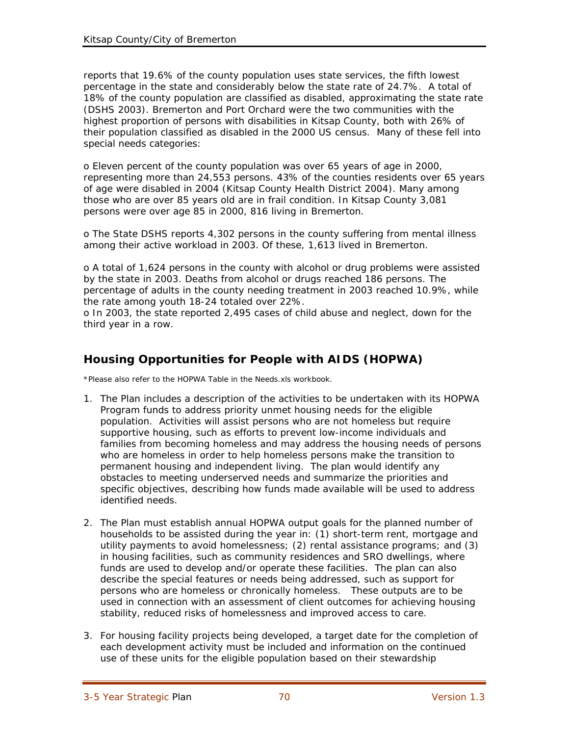reports that 19.6% of the county population uses state services, the fifth lowest percentage in the state and considerably below the state rate of 24.7%. A total of 18% of the county population are classified as disabled, approximating the state rate (DSHS 2003). Bremerton and Port Orchard were the two communities with the highest proportion of persons with disabilities in Kitsap County, both with 26% of their population classified as disabled in the 2000 US census. Many of these fell into special needs categories:

o Eleven percent of the county population was over 65 years of age in 2000, representing more than 24,553 persons. 43% of the counties residents over 65 years of age were disabled in 2004 (Kitsap County Health District 2004). Many among those who are over 85 years old are in frail condition. In Kitsap County 3,081 persons were over age 85 in 2000, 816 living in Bremerton.

o The State DSHS reports 4,302 persons in the county suffering from mental illness among their active workload in 2003. Of these, 1,613 lived in Bremerton.

o A total of 1,624 persons in the county with alcohol or drug problems were assisted by the state in 2003. Deaths from alcohol or drugs reached 186 persons. The percentage of adults in the county needing treatment in 2003 reached 10.9%, while the rate among youth 18-24 totaled over 22%.

o In 2003, the state reported 2,495 cases of child abuse and neglect, down for the third year in a row.

# **Housing Opportunities for People with AIDS (HOPWA)**

\*Please also refer to the HOPWA Table in the Needs.xls workbook.

- 1. The Plan includes a description of the activities to be undertaken with its HOPWA Program funds to address priority unmet housing needs for the eligible population. Activities will assist persons who are not homeless but require supportive housing, such as efforts to prevent low-income individuals and families from becoming homeless and may address the housing needs of persons who are homeless in order to help homeless persons make the transition to permanent housing and independent living. The plan would identify any obstacles to meeting underserved needs and summarize the priorities and specific objectives, describing how funds made available will be used to address identified needs.
- 2. The Plan must establish annual HOPWA output goals for the planned number of households to be assisted during the year in: (1) short-term rent, mortgage and utility payments to avoid homelessness; (2) rental assistance programs; and (3) in housing facilities, such as community residences and SRO dwellings, where funds are used to develop and/or operate these facilities. The plan can also describe the special features or needs being addressed, such as support for persons who are homeless or chronically homeless. These outputs are to be used in connection with an assessment of client outcomes for achieving housing stability, reduced risks of homelessness and improved access to care.
- 3. For housing facility projects being developed, a target date for the completion of each development activity must be included and information on the continued use of these units for the eligible population based on their stewardship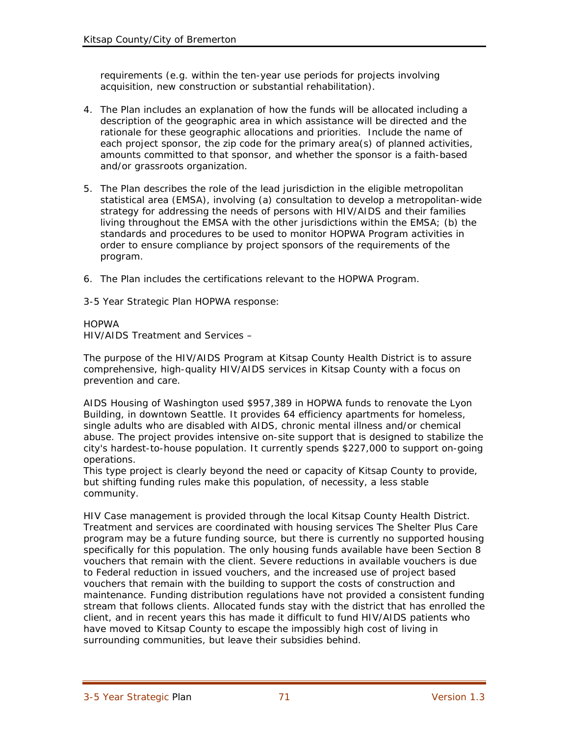requirements (e.g. within the ten-year use periods for projects involving acquisition, new construction or substantial rehabilitation).

- 4. The Plan includes an explanation of how the funds will be allocated including a description of the geographic area in which assistance will be directed and the rationale for these geographic allocations and priorities. Include the name of each project sponsor, the zip code for the primary area(s) of planned activities, amounts committed to that sponsor, and whether the sponsor is a faith-based and/or grassroots organization.
- 5. The Plan describes the role of the lead jurisdiction in the eligible metropolitan statistical area (EMSA), involving (a) consultation to develop a metropolitan-wide strategy for addressing the needs of persons with HIV/AIDS and their families living throughout the EMSA with the other jurisdictions within the EMSA; (b) the standards and procedures to be used to monitor HOPWA Program activities in order to ensure compliance by project sponsors of the requirements of the program.
- 6. The Plan includes the certifications relevant to the HOPWA Program.

3-5 Year Strategic Plan HOPWA response:

#### HOPWA

HIV/AIDS Treatment and Services –

The purpose of the HIV/AIDS Program at Kitsap County Health District is to assure comprehensive, high-quality HIV/AIDS services in Kitsap County with a focus on prevention and care.

AIDS Housing of Washington used \$957,389 in HOPWA funds to renovate the Lyon Building, in downtown Seattle. It provides 64 efficiency apartments for homeless, single adults who are disabled with AIDS, chronic mental illness and/or chemical abuse. The project provides intensive on-site support that is designed to stabilize the city's hardest-to-house population. It currently spends \$227,000 to support on-going operations.

This type project is clearly beyond the need or capacity of Kitsap County to provide, but shifting funding rules make this population, of necessity, a less stable community.

HIV Case management is provided through the local Kitsap County Health District. Treatment and services are coordinated with housing services The Shelter Plus Care program may be a future funding source, but there is currently no supported housing specifically for this population. The only housing funds available have been Section 8 vouchers that remain with the client. Severe reductions in available vouchers is due to Federal reduction in issued vouchers, and the increased use of project based vouchers that remain with the building to support the costs of construction and maintenance. Funding distribution regulations have not provided a consistent funding stream that follows clients. Allocated funds stay with the district that has enrolled the client, and in recent years this has made it difficult to fund HIV/AIDS patients who have moved to Kitsap County to escape the impossibly high cost of living in surrounding communities, but leave their subsidies behind.